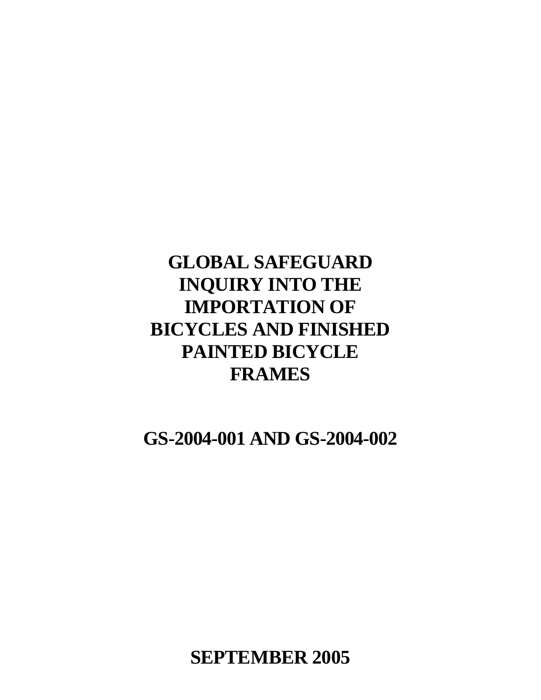# **GLOBAL SAFEGUARD INQUIRY INTO THE IMPORTATION OF BICYCLES AND FINISHED PAINTED BICYCLE FRAMES**

**GS-2004-001 AND GS-2004-002**

**SEPTEMBER 2005**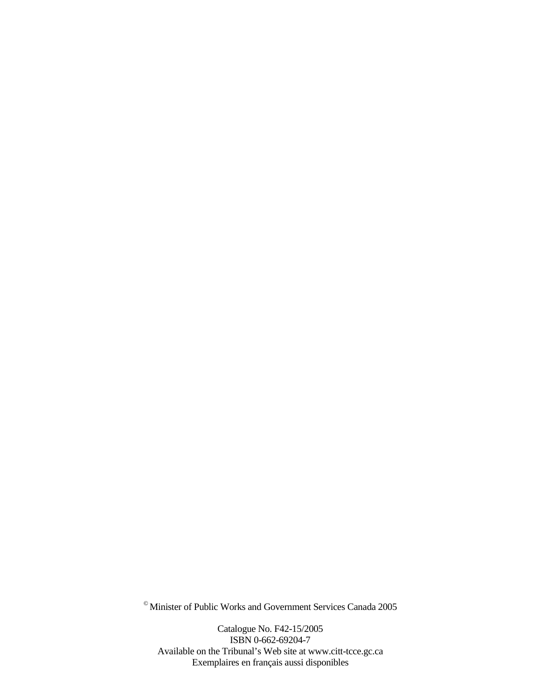© Minister of Public Works and Government Services Canada 2005

Catalogue No. F42-15/2005 ISBN 0-662-69204-7 Available on the Tribunal's Web site at www.citt-tcce.gc.ca Exemplaires en français aussi disponibles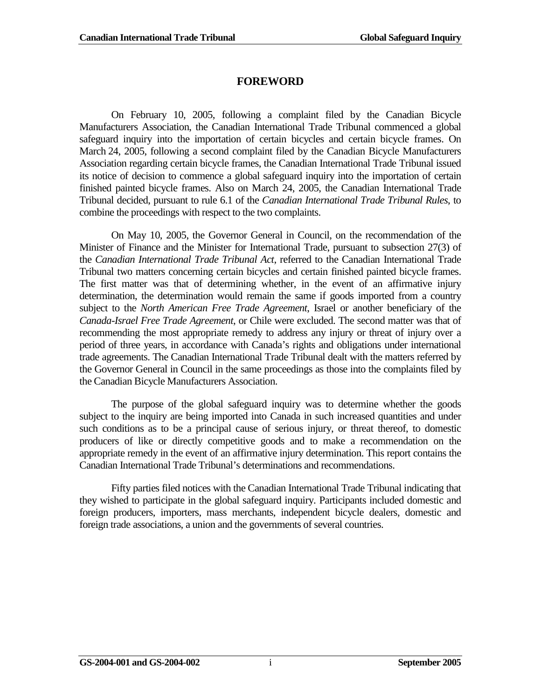### **FOREWORD**

On February 10, 2005, following a complaint filed by the Canadian Bicycle Manufacturers Association, the Canadian International Trade Tribunal commenced a global safeguard inquiry into the importation of certain bicycles and certain bicycle frames. On March 24, 2005, following a second complaint filed by the Canadian Bicycle Manufacturers Association regarding certain bicycle frames, the Canadian International Trade Tribunal issued its notice of decision to commence a global safeguard inquiry into the importation of certain finished painted bicycle frames. Also on March 24, 2005, the Canadian International Trade Tribunal decided, pursuant to rule 6.1 of the *Canadian International Trade Tribunal Rules*, to combine the proceedings with respect to the two complaints.

On May 10, 2005, the Governor General in Council, on the recommendation of the Minister of Finance and the Minister for International Trade, pursuant to subsection 27(3) of the *Canadian International Trade Tribunal Act*, referred to the Canadian International Trade Tribunal two matters concerning certain bicycles and certain finished painted bicycle frames. The first matter was that of determining whether, in the event of an affirmative injury determination, the determination would remain the same if goods imported from a country subject to the *North American Free Trade Agreement*, Israel or another beneficiary of the *Canada-Israel Free Trade Agreement*, or Chile were excluded. The second matter was that of recommending the most appropriate remedy to address any injury or threat of injury over a period of three years, in accordance with Canada's rights and obligations under international trade agreements. The Canadian International Trade Tribunal dealt with the matters referred by the Governor General in Council in the same proceedings as those into the complaints filed by the Canadian Bicycle Manufacturers Association.

The purpose of the global safeguard inquiry was to determine whether the goods subject to the inquiry are being imported into Canada in such increased quantities and under such conditions as to be a principal cause of serious injury, or threat thereof, to domestic producers of like or directly competitive goods and to make a recommendation on the appropriate remedy in the event of an affirmative injury determination. This report contains the Canadian International Trade Tribunal's determinations and recommendations.

Fifty parties filed notices with the Canadian International Trade Tribunal indicating that they wished to participate in the global safeguard inquiry. Participants included domestic and foreign producers, importers, mass merchants, independent bicycle dealers, domestic and foreign trade associations, a union and the governments of several countries.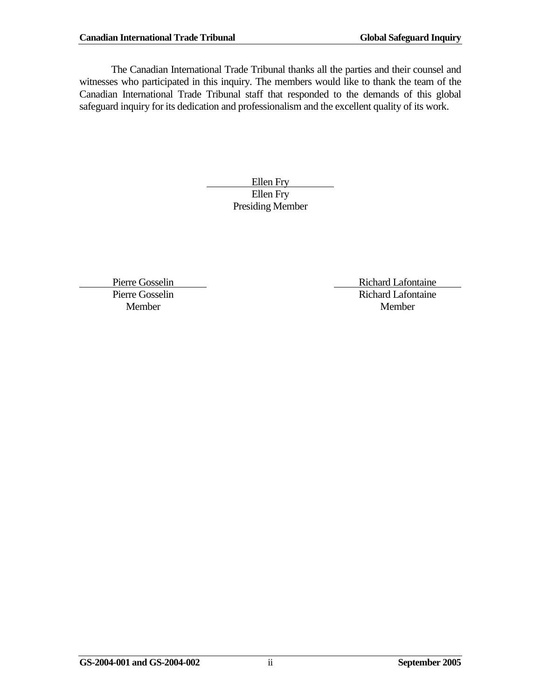The Canadian International Trade Tribunal thanks all the parties and their counsel and witnesses who participated in this inquiry. The members would like to thank the team of the Canadian International Trade Tribunal staff that responded to the demands of this global safeguard inquiry for its dedication and professionalism and the excellent quality of its work.

> Ellen Fry Ellen Fry Presiding Member

Pierre Gosselin Richard Lafontaine Pierre Gosselin Richard Lafontaine Member Member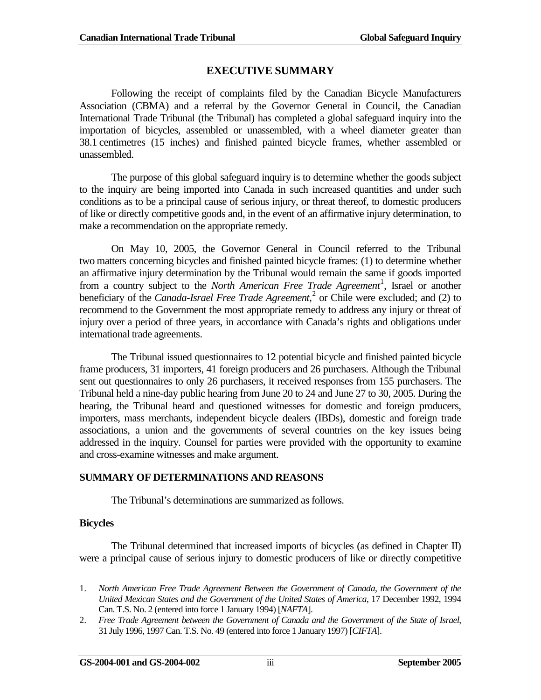### **EXECUTIVE SUMMARY**

Following the receipt of complaints filed by the Canadian Bicycle Manufacturers Association (CBMA) and a referral by the Governor General in Council, the Canadian International Trade Tribunal (the Tribunal) has completed a global safeguard inquiry into the importation of bicycles, assembled or unassembled, with a wheel diameter greater than 38.1 centimetres (15 inches) and finished painted bicycle frames, whether assembled or unassembled.

The purpose of this global safeguard inquiry is to determine whether the goods subject to the inquiry are being imported into Canada in such increased quantities and under such conditions as to be a principal cause of serious injury, or threat thereof, to domestic producers of like or directly competitive goods and, in the event of an affirmative injury determination, to make a recommendation on the appropriate remedy.

On May 10, 2005, the Governor General in Council referred to the Tribunal two matters concerning bicycles and finished painted bicycle frames: (1) to determine whether an affirmative injury determination by the Tribunal would remain the same if goods imported from a country subject to the *North American Free Trade Agreement*<sup>[1](#page-4-0)</sup>, Israel or another beneficiary of the *Canada-Israel Free Trade Agreement*,<sup>[2](#page-4-1)</sup> or Chile were excluded; and (2) to recommend to the Government the most appropriate remedy to address any injury or threat of injury over a period of three years, in accordance with Canada's rights and obligations under international trade agreements.

The Tribunal issued questionnaires to 12 potential bicycle and finished painted bicycle frame producers, 31 importers, 41 foreign producers and 26 purchasers. Although the Tribunal sent out questionnaires to only 26 purchasers, it received responses from 155 purchasers. The Tribunal held a nine-day public hearing from June 20 to 24 and June 27 to 30, 2005. During the hearing, the Tribunal heard and questioned witnesses for domestic and foreign producers, importers, mass merchants, independent bicycle dealers (IBDs), domestic and foreign trade associations, a union and the governments of several countries on the key issues being addressed in the inquiry. Counsel for parties were provided with the opportunity to examine and cross-examine witnesses and make argument.

### **SUMMARY OF DETERMINATIONS AND REASONS**

The Tribunal's determinations are summarized as follows.

#### **Bicycles**

 $\overline{a}$ 

The Tribunal determined that increased imports of bicycles (as defined in Chapter II) were a principal cause of serious injury to domestic producers of like or directly competitive

<span id="page-4-0"></span><sup>1.</sup> *North American Free Trade Agreement Between the Government of Canada, the Government of the United Mexican States and the Government of the United States of America*, 17 December 1992, 1994 Can. T.S. No. 2 (entered into force 1 January 1994) [*NAFTA*].

<span id="page-4-1"></span><sup>2.</sup> *Free Trade Agreement between the Government of Canada and the Government of the State of Israel*, 31 July 1996, 1997 Can. T.S. No. 49 (entered into force 1 January 1997) [*CIFTA*].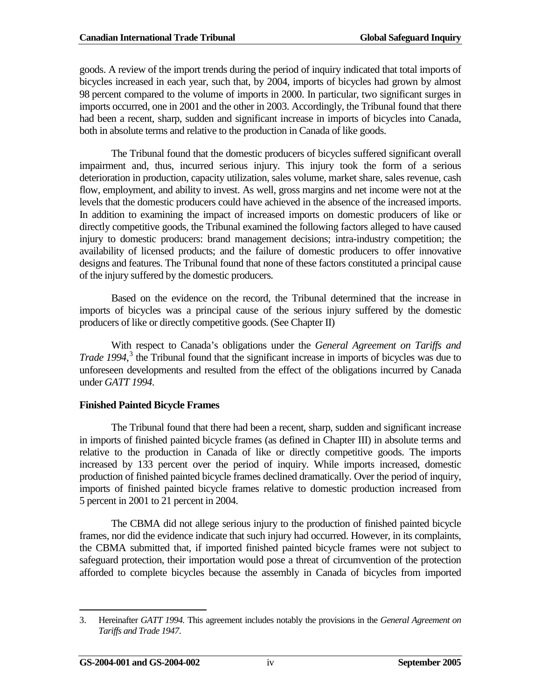goods. A review of the import trends during the period of inquiry indicated that total imports of bicycles increased in each year, such that, by 2004, imports of bicycles had grown by almost 98 percent compared to the volume of imports in 2000. In particular, two significant surges in imports occurred, one in 2001 and the other in 2003. Accordingly, the Tribunal found that there had been a recent, sharp, sudden and significant increase in imports of bicycles into Canada, both in absolute terms and relative to the production in Canada of like goods.

The Tribunal found that the domestic producers of bicycles suffered significant overall impairment and, thus, incurred serious injury. This injury took the form of a serious deterioration in production, capacity utilization, sales volume, market share, sales revenue, cash flow, employment, and ability to invest. As well, gross margins and net income were not at the levels that the domestic producers could have achieved in the absence of the increased imports. In addition to examining the impact of increased imports on domestic producers of like or directly competitive goods, the Tribunal examined the following factors alleged to have caused injury to domestic producers: brand management decisions; intra-industry competition; the availability of licensed products; and the failure of domestic producers to offer innovative designs and features. The Tribunal found that none of these factors constituted a principal cause of the injury suffered by the domestic producers.

Based on the evidence on the record, the Tribunal determined that the increase in imports of bicycles was a principal cause of the serious injury suffered by the domestic producers of like or directly competitive goods. (See Chapter II)

With respect to Canada's obligations under the *General Agreement on Tariffs and Trade 1994*, [3](#page-5-0) the Tribunal found that the significant increase in imports of bicycles was due to unforeseen developments and resulted from the effect of the obligations incurred by Canada under *GATT 1994*.

### **Finished Painted Bicycle Frames**

The Tribunal found that there had been a recent, sharp, sudden and significant increase in imports of finished painted bicycle frames (as defined in Chapter III) in absolute terms and relative to the production in Canada of like or directly competitive goods. The imports increased by 133 percent over the period of inquiry. While imports increased, domestic production of finished painted bicycle frames declined dramatically. Over the period of inquiry, imports of finished painted bicycle frames relative to domestic production increased from 5 percent in 2001 to 21 percent in 2004.

The CBMA did not allege serious injury to the production of finished painted bicycle frames, nor did the evidence indicate that such injury had occurred. However, in its complaints, the CBMA submitted that, if imported finished painted bicycle frames were not subject to safeguard protection, their importation would pose a threat of circumvention of the protection afforded to complete bicycles because the assembly in Canada of bicycles from imported

<span id="page-5-0"></span><sup>3.</sup> Hereinafter *GATT 1994.* This agreement includes notably the provisions in the *General Agreement on Tariffs and Trade 1947*.  $\overline{a}$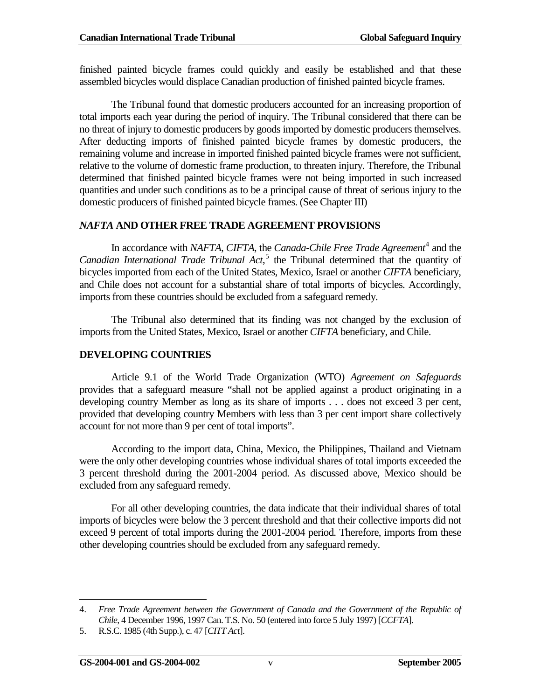finished painted bicycle frames could quickly and easily be established and that these assembled bicycles would displace Canadian production of finished painted bicycle frames.

The Tribunal found that domestic producers accounted for an increasing proportion of total imports each year during the period of inquiry. The Tribunal considered that there can be no threat of injury to domestic producers by goods imported by domestic producers themselves. After deducting imports of finished painted bicycle frames by domestic producers, the remaining volume and increase in imported finished painted bicycle frames were not sufficient, relative to the volume of domestic frame production, to threaten injury. Therefore, the Tribunal determined that finished painted bicycle frames were not being imported in such increased quantities and under such conditions as to be a principal cause of threat of serious injury to the domestic producers of finished painted bicycle frames. (See Chapter III)

### *NAFTA* **AND OTHER FREE TRADE AGREEMENT PROVISIONS**

In accordance with *NAFTA*, *CIFTA*, the *Canada-Chile Free Trade Agreement*<sup>[4](#page-6-0)</sup> and the *Canadian International Trade Tribunal Act*, [5](#page-6-1) the Tribunal determined that the quantity of bicycles imported from each of the United States, Mexico, Israel or another *CIFTA* beneficiary, and Chile does not account for a substantial share of total imports of bicycles. Accordingly, imports from these countries should be excluded from a safeguard remedy.

The Tribunal also determined that its finding was not changed by the exclusion of imports from the United States, Mexico, Israel or another *CIFTA* beneficiary, and Chile.

### **DEVELOPING COUNTRIES**

Article 9.1 of the World Trade Organization (WTO) *Agreement on Safeguards* provides that a safeguard measure "shall not be applied against a product originating in a developing country Member as long as its share of imports . . . does not exceed 3 per cent, provided that developing country Members with less than 3 per cent import share collectively account for not more than 9 per cent of total imports".

According to the import data, China, Mexico, the Philippines, Thailand and Vietnam were the only other developing countries whose individual shares of total imports exceeded the 3 percent threshold during the 2001-2004 period. As discussed above, Mexico should be excluded from any safeguard remedy.

For all other developing countries, the data indicate that their individual shares of total imports of bicycles were below the 3 percent threshold and that their collective imports did not exceed 9 percent of total imports during the 2001-2004 period. Therefore, imports from these other developing countries should be excluded from any safeguard remedy.

<span id="page-6-0"></span><sup>4.</sup> *Free Trade Agreement between the Government of Canada and the Government of the Republic of Chile*, 4 December 1996, 1997 Can. T.S. No. 50 (entered into force 5 July 1997) [*CCFTA*].  $\overline{a}$ 

<span id="page-6-1"></span><sup>5.</sup> R.S.C. 1985 (4th Supp.), c. 47 [*CITT Act*].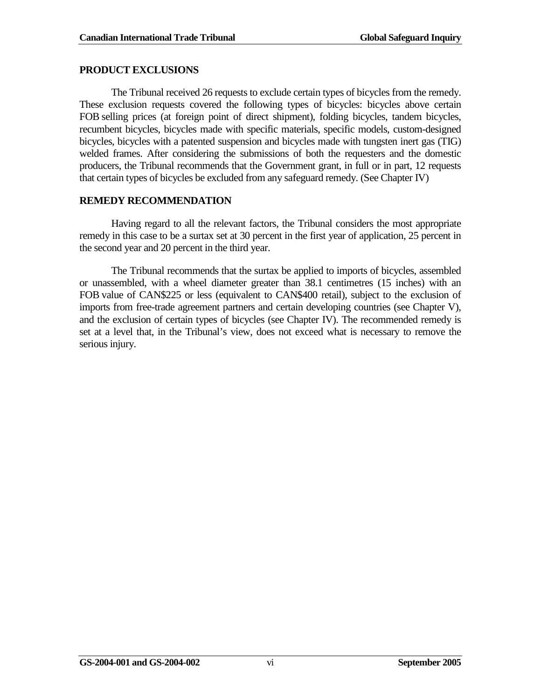#### **PRODUCT EXCLUSIONS**

The Tribunal received 26 requests to exclude certain types of bicycles from the remedy. These exclusion requests covered the following types of bicycles: bicycles above certain FOB selling prices (at foreign point of direct shipment), folding bicycles, tandem bicycles, recumbent bicycles, bicycles made with specific materials, specific models, custom-designed bicycles, bicycles with a patented suspension and bicycles made with tungsten inert gas (TIG) welded frames. After considering the submissions of both the requesters and the domestic producers, the Tribunal recommends that the Government grant, in full or in part, 12 requests that certain types of bicycles be excluded from any safeguard remedy. (See Chapter IV)

### **REMEDY RECOMMENDATION**

Having regard to all the relevant factors, the Tribunal considers the most appropriate remedy in this case to be a surtax set at 30 percent in the first year of application, 25 percent in the second year and 20 percent in the third year.

The Tribunal recommends that the surtax be applied to imports of bicycles, assembled or unassembled, with a wheel diameter greater than 38.1 centimetres (15 inches) with an FOB value of CAN\$225 or less (equivalent to CAN\$400 retail), subject to the exclusion of imports from free-trade agreement partners and certain developing countries (see Chapter V), and the exclusion of certain types of bicycles (see Chapter IV). The recommended remedy is set at a level that, in the Tribunal's view, does not exceed what is necessary to remove the serious injury.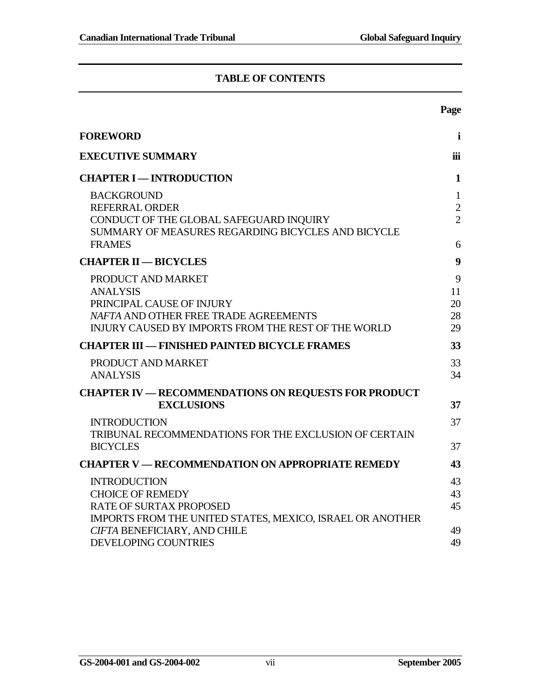### **TABLE OF CONTENTS**

|                                                                                                                                                                           | Page                                                  |
|---------------------------------------------------------------------------------------------------------------------------------------------------------------------------|-------------------------------------------------------|
| <b>FOREWORD</b>                                                                                                                                                           | $\mathbf i$                                           |
| <b>EXECUTIVE SUMMARY</b>                                                                                                                                                  | iii                                                   |
| <b>CHAPTER I - INTRODUCTION</b>                                                                                                                                           | $\mathbf{1}$                                          |
| <b>BACKGROUND</b><br><b>REFERRAL ORDER</b><br>CONDUCT OF THE GLOBAL SAFEGUARD INQUIRY<br>SUMMARY OF MEASURES REGARDING BICYCLES AND BICYCLE<br><b>FRAMES</b>              | $\mathbf{1}$<br>$\overline{2}$<br>$\overline{2}$<br>6 |
| <b>CHAPTER II - BICYCLES</b>                                                                                                                                              | $\boldsymbol{9}$                                      |
| PRODUCT AND MARKET<br><b>ANALYSIS</b><br>PRINCIPAL CAUSE OF INJURY<br>NAFTA AND OTHER FREE TRADE AGREEMENTS<br><b>INJURY CAUSED BY IMPORTS FROM THE REST OF THE WORLD</b> | 9<br>11<br>20<br>28<br>29                             |
| <b>CHAPTER III — FINISHED PAINTED BICYCLE FRAMES</b>                                                                                                                      | 33                                                    |
| PRODUCT AND MARKET<br><b>ANALYSIS</b>                                                                                                                                     | 33<br>34                                              |
| <b>CHAPTER IV — RECOMMENDATIONS ON REQUESTS FOR PRODUCT</b><br><b>EXCLUSIONS</b>                                                                                          | 37                                                    |
| <b>INTRODUCTION</b><br>TRIBUNAL RECOMMENDATIONS FOR THE EXCLUSION OF CERTAIN<br><b>BICYCLES</b>                                                                           | 37<br>37                                              |
| <b>CHAPTER V — RECOMMENDATION ON APPROPRIATE REMEDY</b>                                                                                                                   | 43                                                    |
| <b>INTRODUCTION</b><br><b>CHOICE OF REMEDY</b><br>RATE OF SURTAX PROPOSED<br>IMPORTS FROM THE UNITED STATES, MEXICO, ISRAEL OR ANOTHER                                    | 43<br>43<br>45                                        |
| CIFTA BENEFICIARY, AND CHILE<br><b>DEVELOPING COUNTRIES</b>                                                                                                               | 49<br>49                                              |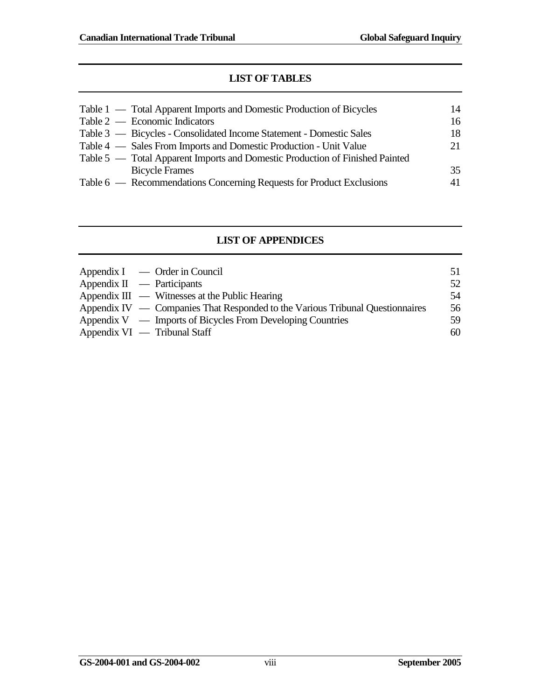### **LIST OF TABLES**

| Table 1 — Total Apparent Imports and Domestic Production of Bicycles         | 14  |
|------------------------------------------------------------------------------|-----|
| Table $2$ — Economic Indicators                                              | 16  |
| Table 3 — Bicycles - Consolidated Income Statement - Domestic Sales          | 18  |
| Table 4 — Sales From Imports and Domestic Production - Unit Value            | 21. |
| Table 5 — Total Apparent Imports and Domestic Production of Finished Painted |     |
| <b>Bicycle Frames</b>                                                        | 35  |
| Table 6 — Recommendations Concerning Requests for Product Exclusions         | 41  |
|                                                                              |     |

### **LIST OF APPENDICES**

| $Appendix I \quad - Order in Council$                                         | 51 |
|-------------------------------------------------------------------------------|----|
| Appendix $II$ — Participants                                                  | 52 |
| Appendix $III \sim$ Witnesses at the Public Hearing                           | 54 |
| Appendix IV — Companies That Responded to the Various Tribunal Questionnaires | 56 |
| Appendix $V \sim$ Imports of Bicycles From Developing Countries               | 59 |
| Appendix $VI$ — Tribunal Staff                                                | 60 |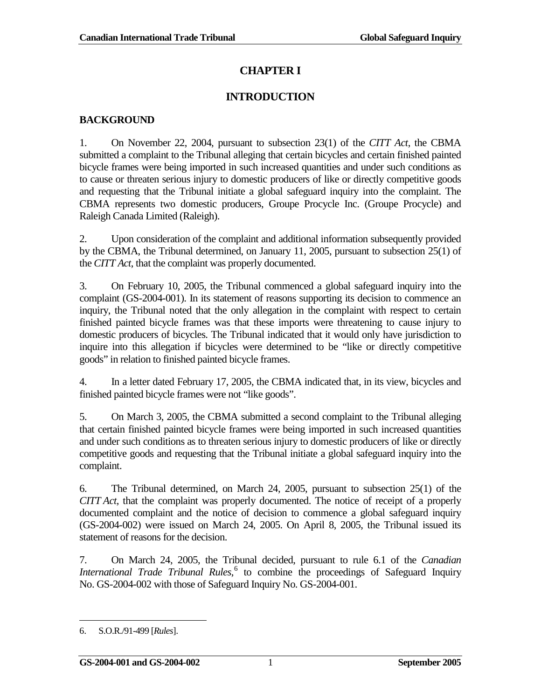# **CHAPTER I**

# **INTRODUCTION**

### <span id="page-10-1"></span><span id="page-10-0"></span>**BACKGROUND**

1. On November 22, 2004, pursuant to subsection 23(1) of the *CITT Act*, the CBMA submitted a complaint to the Tribunal alleging that certain bicycles and certain finished painted bicycle frames were being imported in such increased quantities and under such conditions as to cause or threaten serious injury to domestic producers of like or directly competitive goods and requesting that the Tribunal initiate a global safeguard inquiry into the complaint. The CBMA represents two domestic producers, Groupe Procycle Inc. (Groupe Procycle) and Raleigh Canada Limited (Raleigh).

2. Upon consideration of the complaint and additional information subsequently provided by the CBMA, the Tribunal determined, on January 11, 2005, pursuant to subsection 25(1) of the *CITT Act*, that the complaint was properly documented.

3. On February 10, 2005, the Tribunal commenced a global safeguard inquiry into the complaint (GS-2004-001). In its statement of reasons supporting its decision to commence an inquiry, the Tribunal noted that the only allegation in the complaint with respect to certain finished painted bicycle frames was that these imports were threatening to cause injury to domestic producers of bicycles. The Tribunal indicated that it would only have jurisdiction to inquire into this allegation if bicycles were determined to be "like or directly competitive goods" in relation to finished painted bicycle frames.

4. In a letter dated February 17, 2005, the CBMA indicated that, in its view, bicycles and finished painted bicycle frames were not "like goods".

5. On March 3, 2005, the CBMA submitted a second complaint to the Tribunal alleging that certain finished painted bicycle frames were being imported in such increased quantities and under such conditions as to threaten serious injury to domestic producers of like or directly competitive goods and requesting that the Tribunal initiate a global safeguard inquiry into the complaint.

6. The Tribunal determined, on March 24, 2005, pursuant to subsection 25(1) of the *CITT Act*, that the complaint was properly documented. The notice of receipt of a properly documented complaint and the notice of decision to commence a global safeguard inquiry (GS-2004-002) were issued on March 24, 2005. On April 8, 2005, the Tribunal issued its statement of reasons for the decision.

7. On March 24, 2005, the Tribunal decided, pursuant to rule 6.1 of the *Canadian International Trade Tribunal Rules*, [6](#page-10-2) to combine the proceedings of Safeguard Inquiry No. GS-2004-002 with those of Safeguard Inquiry No. GS-2004-001.

 $\overline{a}$ 

<span id="page-10-2"></span><sup>6.</sup> S.O.R./91-499 [*Rules*].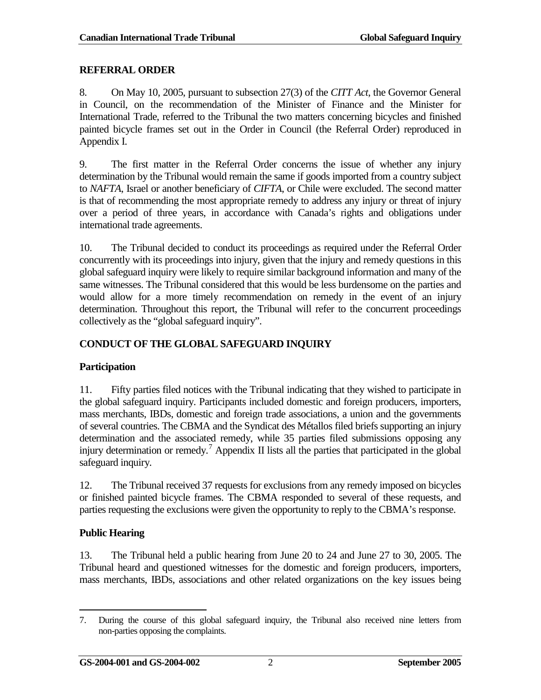#### <span id="page-11-0"></span>**REFERRAL ORDER**

8. On May 10, 2005, pursuant to subsection 27(3) of the *CITT Act*, the Governor General in Council, on the recommendation of the Minister of Finance and the Minister for International Trade, referred to the Tribunal the two matters concerning bicycles and finished painted bicycle frames set out in the Order in Council (the Referral Order) reproduced in Appendix I.

9. The first matter in the Referral Order concerns the issue of whether any injury determination by the Tribunal would remain the same if goods imported from a country subject to *NAFTA*, Israel or another beneficiary of *CIFTA*, or Chile were excluded. The second matter is that of recommending the most appropriate remedy to address any injury or threat of injury over a period of three years, in accordance with Canada's rights and obligations under international trade agreements.

10. The Tribunal decided to conduct its proceedings as required under the Referral Order concurrently with its proceedings into injury, given that the injury and remedy questions in this global safeguard inquiry were likely to require similar background information and many of the same witnesses. The Tribunal considered that this would be less burdensome on the parties and would allow for a more timely recommendation on remedy in the event of an injury determination. Throughout this report, the Tribunal will refer to the concurrent proceedings collectively as the "global safeguard inquiry".

### <span id="page-11-1"></span>**CONDUCT OF THE GLOBAL SAFEGUARD INQUIRY**

### **Participation**

11. Fifty parties filed notices with the Tribunal indicating that they wished to participate in the global safeguard inquiry. Participants included domestic and foreign producers, importers, mass merchants, IBDs, domestic and foreign trade associations, a union and the governments of several countries. The CBMA and the Syndicat des Métallos filed briefs supporting an injury determination and the associated remedy, while 35 parties filed submissions opposing any injury determination or remedy.<sup>[7](#page-11-2)</sup> Appendix II lists all the parties that participated in the global safeguard inquiry.

12. The Tribunal received 37 requests for exclusions from any remedy imposed on bicycles or finished painted bicycle frames. The CBMA responded to several of these requests, and parties requesting the exclusions were given the opportunity to reply to the CBMA's response.

### **Public Hearing**

13. The Tribunal held a public hearing from June 20 to 24 and June 27 to 30, 2005. The Tribunal heard and questioned witnesses for the domestic and foreign producers, importers, mass merchants, IBDs, associations and other related organizations on the key issues being

<span id="page-11-2"></span><sup>7.</sup> During the course of this global safeguard inquiry, the Tribunal also received nine letters from non-parties opposing the complaints.  $\overline{a}$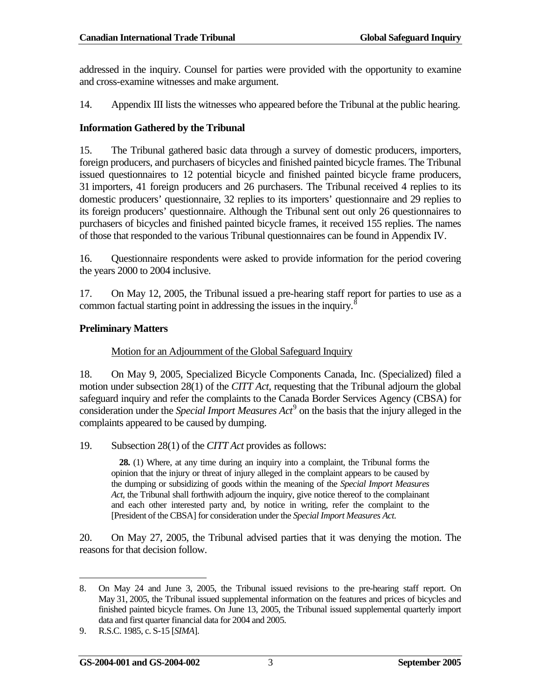addressed in the inquiry. Counsel for parties were provided with the opportunity to examine and cross-examine witnesses and make argument.

14. Appendix III lists the witnesses who appeared before the Tribunal at the public hearing.

#### **Information Gathered by the Tribunal**

15. The Tribunal gathered basic data through a survey of domestic producers, importers, foreign producers, and purchasers of bicycles and finished painted bicycle frames. The Tribunal issued questionnaires to 12 potential bicycle and finished painted bicycle frame producers, 31 importers, 41 foreign producers and 26 purchasers. The Tribunal received 4 replies to its domestic producers' questionnaire, 32 replies to its importers' questionnaire and 29 replies to its foreign producers' questionnaire. Although the Tribunal sent out only 26 questionnaires to purchasers of bicycles and finished painted bicycle frames, it received 155 replies. The names of those that responded to the various Tribunal questionnaires can be found in Appendix IV.

16. Questionnaire respondents were asked to provide information for the period covering the years 2000 to 2004 inclusive.

17. On May 12, 2005, the Tribunal issued a pre-hearing staff report for parties to use as a common factual starting point in addressing the issues in the inquiry. $\frac{8}{3}$  $\frac{8}{3}$  $\frac{8}{3}$ 

#### **Preliminary Matters**

#### Motion for an Adjournment of the Global Safeguard Inquiry

18. On May 9, 2005, Specialized Bicycle Components Canada, Inc. (Specialized) filed a motion under subsection 28(1) of the *CITT Act*, requesting that the Tribunal adjourn the global safeguard inquiry and refer the complaints to the Canada Border Services Agency (CBSA) for consideration under the *Special Import Measures Act*[9](#page-12-1) on the basis that the injury alleged in the complaints appeared to be caused by dumping.

19. Subsection 28(1) of the *CITT Act* provides as follows:

**28.** (1) Where, at any time during an inquiry into a complaint, the Tribunal forms the opinion that the injury or threat of injury alleged in the complaint appears to be caused by the dumping or subsidizing of goods within the meaning of the *Special Import Measures Act*, the Tribunal shall forthwith adjourn the inquiry, give notice thereof to the complainant and each other interested party and, by notice in writing, refer the complaint to the [President of the CBSA] for consideration under the *Special Import Measures Act*.

20. On May 27, 2005, the Tribunal advised parties that it was denying the motion. The reasons for that decision follow.

<span id="page-12-0"></span><sup>8.</sup> On May 24 and June 3, 2005, the Tribunal issued revisions to the pre-hearing staff report. On May 31, 2005, the Tribunal issued supplemental information on the features and prices of bicycles and finished painted bicycle frames. On June 13, 2005, the Tribunal issued supplemental quarterly import data and first quarter financial data for 2004 and 2005.  $\overline{a}$ 

<span id="page-12-1"></span><sup>9.</sup> R.S.C. 1985, c. S-15 [*SIMA*].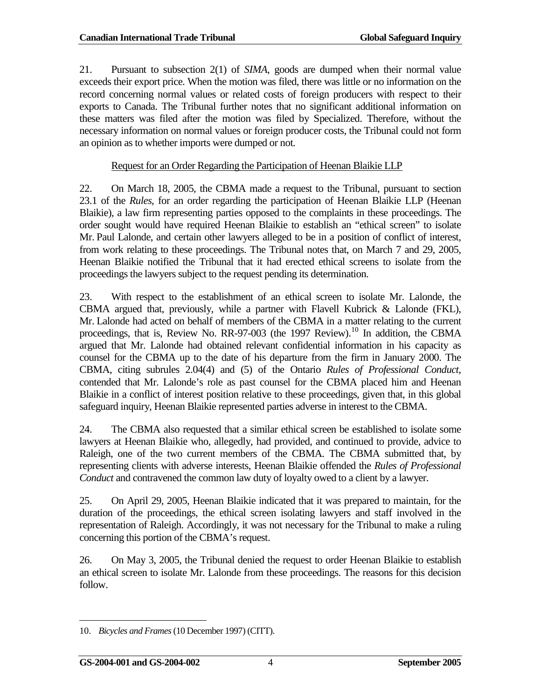21. Pursuant to subsection 2(1) of *SIMA*, goods are dumped when their normal value exceeds their export price. When the motion was filed, there was little or no information on the record concerning normal values or related costs of foreign producers with respect to their exports to Canada. The Tribunal further notes that no significant additional information on these matters was filed after the motion was filed by Specialized. Therefore, without the necessary information on normal values or foreign producer costs, the Tribunal could not form an opinion as to whether imports were dumped or not.

Request for an Order Regarding the Participation of Heenan Blaikie LLP

22. On March 18, 2005, the CBMA made a request to the Tribunal, pursuant to section 23.1 of the *Rules*, for an order regarding the participation of Heenan Blaikie LLP (Heenan Blaikie), a law firm representing parties opposed to the complaints in these proceedings. The order sought would have required Heenan Blaikie to establish an "ethical screen" to isolate Mr. Paul Lalonde, and certain other lawyers alleged to be in a position of conflict of interest, from work relating to these proceedings. The Tribunal notes that, on March 7 and 29, 2005, Heenan Blaikie notified the Tribunal that it had erected ethical screens to isolate from the proceedings the lawyers subject to the request pending its determination.

23. With respect to the establishment of an ethical screen to isolate Mr. Lalonde, the CBMA argued that, previously, while a partner with Flavell Kubrick & Lalonde (FKL), Mr. Lalonde had acted on behalf of members of the CBMA in a matter relating to the current proceedings, that is, Review No. RR-97-003 (the 1997 Review).<sup>[10](#page-13-0)</sup> In addition, the CBMA argued that Mr. Lalonde had obtained relevant confidential information in his capacity as counsel for the CBMA up to the date of his departure from the firm in January 2000. The CBMA, citing subrules 2.04(4) and (5) of the Ontario *Rules of Professional Conduct*, contended that Mr. Lalonde's role as past counsel for the CBMA placed him and Heenan Blaikie in a conflict of interest position relative to these proceedings, given that, in this global safeguard inquiry, Heenan Blaikie represented parties adverse in interest to the CBMA.

24. The CBMA also requested that a similar ethical screen be established to isolate some lawyers at Heenan Blaikie who, allegedly, had provided, and continued to provide, advice to Raleigh, one of the two current members of the CBMA. The CBMA submitted that, by representing clients with adverse interests, Heenan Blaikie offended the *Rules of Professional Conduct* and contravened the common law duty of loyalty owed to a client by a lawyer.

25. On April 29, 2005, Heenan Blaikie indicated that it was prepared to maintain, for the duration of the proceedings, the ethical screen isolating lawyers and staff involved in the representation of Raleigh. Accordingly, it was not necessary for the Tribunal to make a ruling concerning this portion of the CBMA's request.

26. On May 3, 2005, the Tribunal denied the request to order Heenan Blaikie to establish an ethical screen to isolate Mr. Lalonde from these proceedings. The reasons for this decision follow.

<span id="page-13-0"></span><sup>10.</sup> *Bicycles and Frames*(10 December 1997) (CITT).  $\overline{a}$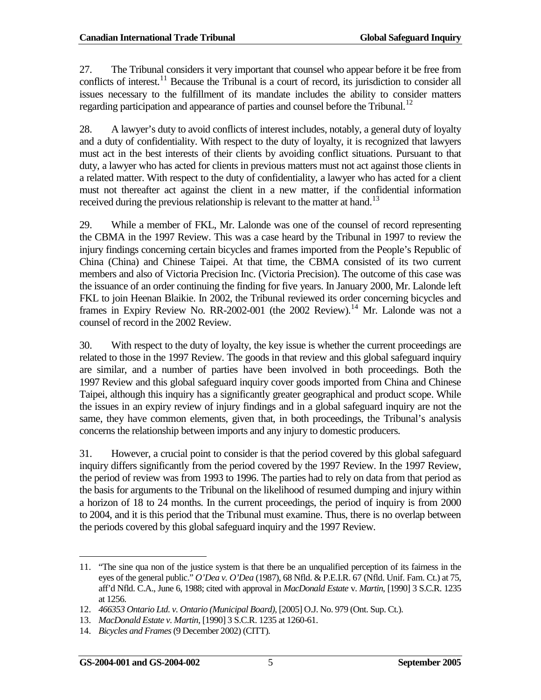27. The Tribunal considers it very important that counsel who appear before it be free from conflicts of interest.<sup>[11](#page-14-0)</sup> Because the Tribunal is a court of record, its jurisdiction to consider all issues necessary to the fulfillment of its mandate includes the ability to consider matters regarding participation and appearance of parties and counsel before the Tribunal.<sup>[12](#page-14-1)</sup>

28. A lawyer's duty to avoid conflicts of interest includes, notably, a general duty of loyalty and a duty of confidentiality. With respect to the duty of loyalty, it is recognized that lawyers must act in the best interests of their clients by avoiding conflict situations. Pursuant to that duty, a lawyer who has acted for clients in previous matters must not act against those clients in a related matter. With respect to the duty of confidentiality, a lawyer who has acted for a client must not thereafter act against the client in a new matter, if the confidential information received during the previous relationship is relevant to the matter at hand.<sup>[13](#page-14-2)</sup>

29. While a member of FKL, Mr. Lalonde was one of the counsel of record representing the CBMA in the 1997 Review. This was a case heard by the Tribunal in 1997 to review the injury findings concerning certain bicycles and frames imported from the People's Republic of China (China) and Chinese Taipei. At that time, the CBMA consisted of its two current members and also of Victoria Precision Inc. (Victoria Precision). The outcome of this case was the issuance of an order continuing the finding for five years. In January 2000, Mr. Lalonde left FKL to join Heenan Blaikie. In 2002, the Tribunal reviewed its order concerning bicycles and frames in Expiry Review No. RR-2002-001 (the 2002 Review).<sup>[14](#page-14-3)</sup> Mr. Lalonde was not a counsel of record in the 2002 Review.

30. With respect to the duty of loyalty, the key issue is whether the current proceedings are related to those in the 1997 Review. The goods in that review and this global safeguard inquiry are similar, and a number of parties have been involved in both proceedings. Both the 1997 Review and this global safeguard inquiry cover goods imported from China and Chinese Taipei, although this inquiry has a significantly greater geographical and product scope. While the issues in an expiry review of injury findings and in a global safeguard inquiry are not the same, they have common elements, given that, in both proceedings, the Tribunal's analysis concerns the relationship between imports and any injury to domestic producers.

31. However, a crucial point to consider is that the period covered by this global safeguard inquiry differs significantly from the period covered by the 1997 Review. In the 1997 Review, the period of review was from 1993 to 1996. The parties had to rely on data from that period as the basis for arguments to the Tribunal on the likelihood of resumed dumping and injury within a horizon of 18 to 24 months. In the current proceedings, the period of inquiry is from 2000 to 2004, and it is this period that the Tribunal must examine. Thus, there is no overlap between the periods covered by this global safeguard inquiry and the 1997 Review.

 $\overline{a}$ 

<span id="page-14-0"></span><sup>11.</sup> "The sine qua non of the justice system is that there be an unqualified perception of its fairness in the eyes of the general public." *O'Dea v. O'Dea* (1987), 68 Nfld. & P.E.I.R. 67 (Nfld. Unif. Fam. Ct.) at 75, aff'd Nfld. C.A., June 6, 1988; cited with approval in *MacDonald Estate* v. *Martin*, [1990] 3 S.C.R. 1235 at 1256.

<span id="page-14-1"></span><sup>12.</sup> *466353 Ontario Ltd. v. Ontario (Municipal Board)*, [2005] O.J. No. 979 (Ont. Sup. Ct.).

<sup>13.</sup> *MacDonald Estate v. Martin*, [1990] 3 S.C.R. 1235 at 1260-61.

<span id="page-14-3"></span><span id="page-14-2"></span><sup>14.</sup> *Bicycles and Frames*(9 December 2002) (CITT).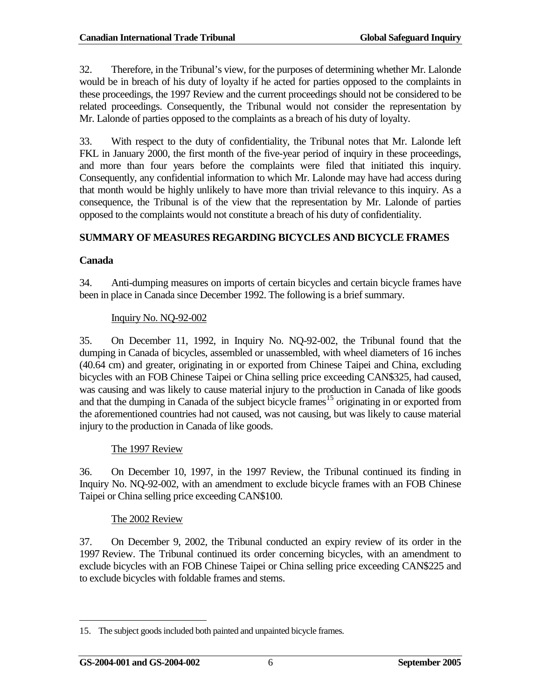32. Therefore, in the Tribunal's view, for the purposes of determining whether Mr. Lalonde would be in breach of his duty of loyalty if he acted for parties opposed to the complaints in these proceedings, the 1997 Review and the current proceedings should not be considered to be related proceedings. Consequently, the Tribunal would not consider the representation by Mr. Lalonde of parties opposed to the complaints as a breach of his duty of loyalty.

33. With respect to the duty of confidentiality, the Tribunal notes that Mr. Lalonde left FKL in January 2000, the first month of the five-year period of inquiry in these proceedings, and more than four years before the complaints were filed that initiated this inquiry. Consequently, any confidential information to which Mr. Lalonde may have had access during that month would be highly unlikely to have more than trivial relevance to this inquiry. As a consequence, the Tribunal is of the view that the representation by Mr. Lalonde of parties opposed to the complaints would not constitute a breach of his duty of confidentiality.

### <span id="page-15-0"></span>**SUMMARY OF MEASURES REGARDING BICYCLES AND BICYCLE FRAMES**

### **Canada**

34. Anti-dumping measures on imports of certain bicycles and certain bicycle frames have been in place in Canada since December 1992. The following is a brief summary.

### Inquiry No. NQ-92-002

35. On December 11, 1992, in Inquiry No. NQ-92-002, the Tribunal found that the dumping in Canada of bicycles, assembled or unassembled, with wheel diameters of 16 inches (40.64 cm) and greater, originating in or exported from Chinese Taipei and China, excluding bicycles with an FOB Chinese Taipei or China selling price exceeding CAN\$325, had caused, was causing and was likely to cause material injury to the production in Canada of like goods and that the dumping in Canada of the subject bicycle frames<sup>[15](#page-15-1)</sup> originating in or exported from the aforementioned countries had not caused, was not causing, but was likely to cause material injury to the production in Canada of like goods.

### The 1997 Review

36. On December 10, 1997, in the 1997 Review, the Tribunal continued its finding in Inquiry No. NQ-92-002, with an amendment to exclude bicycle frames with an FOB Chinese Taipei or China selling price exceeding CAN\$100.

### The 2002 Review

37. On December 9, 2002, the Tribunal conducted an expiry review of its order in the 1997 Review. The Tribunal continued its order concerning bicycles, with an amendment to exclude bicycles with an FOB Chinese Taipei or China selling price exceeding CAN\$225 and to exclude bicycles with foldable frames and stems.

<span id="page-15-1"></span><sup>15.</sup> The subject goods included both painted and unpainted bicycle frames.  $\overline{a}$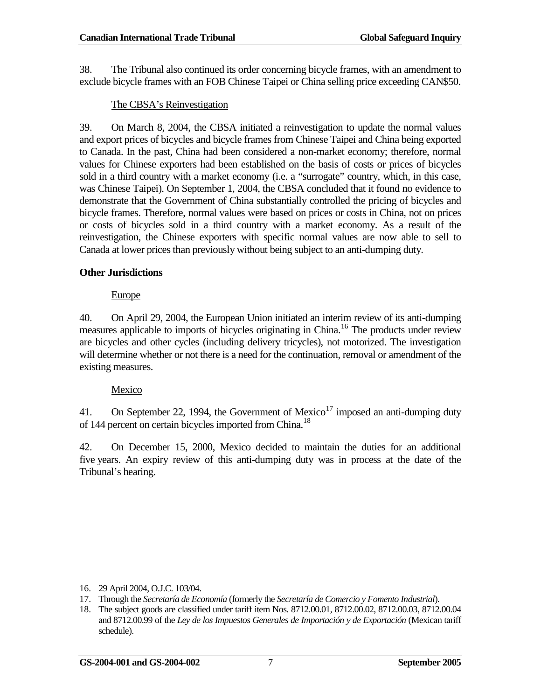38. The Tribunal also continued its order concerning bicycle frames, with an amendment to exclude bicycle frames with an FOB Chinese Taipei or China selling price exceeding CAN\$50.

### The CBSA's Reinvestigation

39. On March 8, 2004, the CBSA initiated a reinvestigation to update the normal values and export prices of bicycles and bicycle frames from Chinese Taipei and China being exported to Canada. In the past, China had been considered a non-market economy; therefore, normal values for Chinese exporters had been established on the basis of costs or prices of bicycles sold in a third country with a market economy (i.e. a "surrogate" country, which, in this case, was Chinese Taipei). On September 1, 2004, the CBSA concluded that it found no evidence to demonstrate that the Government of China substantially controlled the pricing of bicycles and bicycle frames. Therefore, normal values were based on prices or costs in China, not on prices or costs of bicycles sold in a third country with a market economy. As a result of the reinvestigation, the Chinese exporters with specific normal values are now able to sell to Canada at lower prices than previously without being subject to an anti-dumping duty.

### **Other Jurisdictions**

### Europe

40. On April 29, 2004, the European Union initiated an interim review of its anti-dumping measures applicable to imports of bicycles originating in China.<sup>[16](#page-16-0)</sup> The products under review are bicycles and other cycles (including delivery tricycles), not motorized. The investigation will determine whether or not there is a need for the continuation, removal or amendment of the existing measures.

### Mexico

41. On September 22, 1994, the Government of Mexico<sup>[17](#page-16-1)</sup> imposed an anti-dumping duty of 144 percent on certain bicycles imported from China.<sup>[18](#page-16-2)</sup>

42. On December 15, 2000, Mexico decided to maintain the duties for an additional five years. An expiry review of this anti-dumping duty was in process at the date of the Tribunal's hearing.

<span id="page-16-0"></span><sup>16.</sup> 29 April 2004, O.J.C. 103/04.  $\overline{a}$ 

<span id="page-16-1"></span><sup>17.</sup> Through the *Secretaría de Economía* (formerly the *Secretaría de Comercio y Fomento Industrial*).

<span id="page-16-2"></span><sup>18.</sup> The subject goods are classified under tariff item Nos. 8712.00.01, 8712.00.02, 8712.00.03, 8712.00.04 and 8712.00.99 of the *Ley de los Impuestos Generales de Importación y de Exportación* (Mexican tariff schedule).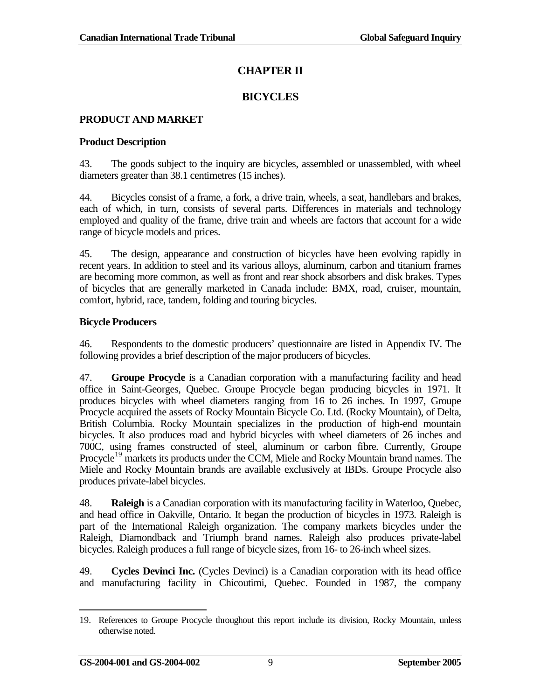# **CHAPTER II**

# **BICYCLES**

### <span id="page-18-1"></span><span id="page-18-0"></span>**PRODUCT AND MARKET**

### **Product Description**

43. The goods subject to the inquiry are bicycles, assembled or unassembled, with wheel diameters greater than 38.1 centimetres (15 inches).

44. Bicycles consist of a frame, a fork, a drive train, wheels, a seat, handlebars and brakes, each of which, in turn, consists of several parts. Differences in materials and technology employed and quality of the frame, drive train and wheels are factors that account for a wide range of bicycle models and prices.

45. The design, appearance and construction of bicycles have been evolving rapidly in recent years. In addition to steel and its various alloys, aluminum, carbon and titanium frames are becoming more common, as well as front and rear shock absorbers and disk brakes. Types of bicycles that are generally marketed in Canada include: BMX, road, cruiser, mountain, comfort, hybrid, race, tandem, folding and touring bicycles.

### **Bicycle Producers**

46. Respondents to the domestic producers' questionnaire are listed in Appendix IV. The following provides a brief description of the major producers of bicycles.

47. **Groupe Procycle** is a Canadian corporation with a manufacturing facility and head office in Saint-Georges, Quebec. Groupe Procycle began producing bicycles in 1971. It produces bicycles with wheel diameters ranging from 16 to 26 inches. In 1997, Groupe Procycle acquired the assets of Rocky Mountain Bicycle Co. Ltd. (Rocky Mountain), of Delta, British Columbia. Rocky Mountain specializes in the production of high-end mountain bicycles. It also produces road and hybrid bicycles with wheel diameters of 26 inches and 700C, using frames constructed of steel, aluminum or carbon fibre. Currently, Groupe Procycle<sup>[19](#page-18-2)</sup> markets its products under the CCM, Miele and Rocky Mountain brand names. The Miele and Rocky Mountain brands are available exclusively at IBDs. Groupe Procycle also produces private-label bicycles.

48. **Raleigh** is a Canadian corporation with its manufacturing facility in Waterloo, Quebec, and head office in Oakville, Ontario. It began the production of bicycles in 1973. Raleigh is part of the International Raleigh organization. The company markets bicycles under the Raleigh, Diamondback and Triumph brand names. Raleigh also produces private-label bicycles. Raleigh produces a full range of bicycle sizes, from 16- to 26-inch wheel sizes.

49. **Cycles Devinci Inc.** (Cycles Devinci) is a Canadian corporation with its head office and manufacturing facility in Chicoutimi, Quebec. Founded in 1987, the company

<span id="page-18-2"></span><sup>19.</sup> References to Groupe Procycle throughout this report include its division, Rocky Mountain, unless otherwise noted.  $\overline{a}$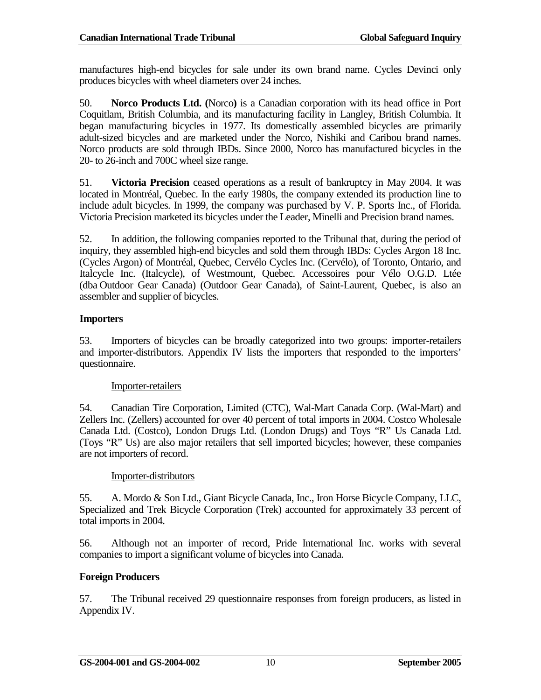manufactures high-end bicycles for sale under its own brand name. Cycles Devinci only produces bicycles with wheel diameters over 24 inches.

50. **Norco Products Ltd. (**Norco**)** is a Canadian corporation with its head office in Port Coquitlam, British Columbia, and its manufacturing facility in Langley, British Columbia. It began manufacturing bicycles in 1977. Its domestically assembled bicycles are primarily adult-sized bicycles and are marketed under the Norco, Nishiki and Caribou brand names. Norco products are sold through IBDs. Since 2000, Norco has manufactured bicycles in the 20- to 26-inch and 700C wheel size range.

51. **Victoria Precision** ceased operations as a result of bankruptcy in May 2004. It was located in Montréal, Quebec. In the early 1980s, the company extended its production line to include adult bicycles. In 1999, the company was purchased by V. P. Sports Inc., of Florida. Victoria Precision marketed its bicycles under the Leader, Minelli and Precision brand names.

52. In addition, the following companies reported to the Tribunal that, during the period of inquiry, they assembled high-end bicycles and sold them through IBDs: Cycles Argon 18 Inc. (Cycles Argon) of Montréal, Quebec, Cervélo Cycles Inc. (Cervélo), of Toronto, Ontario, and Italcycle Inc. (Italcycle), of Westmount, Quebec. Accessoires pour Vélo O.G.D. Ltée (dba Outdoor Gear Canada) (Outdoor Gear Canada), of Saint-Laurent, Quebec, is also an assembler and supplier of bicycles.

### **Importers**

53. Importers of bicycles can be broadly categorized into two groups: importer-retailers and importer-distributors. Appendix IV lists the importers that responded to the importers' questionnaire.

### Importer-retailers

54. Canadian Tire Corporation, Limited (CTC), Wal-Mart Canada Corp. (Wal-Mart) and Zellers Inc. (Zellers) accounted for over 40 percent of total imports in 2004. Costco Wholesale Canada Ltd. (Costco), London Drugs Ltd. (London Drugs) and Toys "R" Us Canada Ltd. (Toys "R" Us) are also major retailers that sell imported bicycles; however, these companies are not importers of record.

### Importer-distributors

55. A. Mordo & Son Ltd., Giant Bicycle Canada, Inc., Iron Horse Bicycle Company, LLC, Specialized and Trek Bicycle Corporation (Trek) accounted for approximately 33 percent of total imports in 2004.

56. Although not an importer of record, Pride International Inc. works with several companies to import a significant volume of bicycles into Canada.

# **Foreign Producers**

57. The Tribunal received 29 questionnaire responses from foreign producers, as listed in Appendix IV.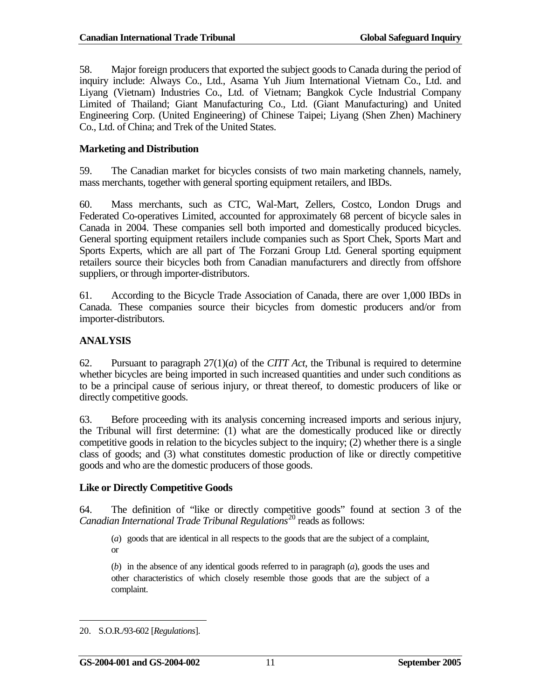58. Major foreign producers that exported the subject goods to Canada during the period of inquiry include: Always Co., Ltd., Asama Yuh Jium International Vietnam Co., Ltd. and Liyang (Vietnam) Industries Co., Ltd. of Vietnam; Bangkok Cycle Industrial Company Limited of Thailand; Giant Manufacturing Co., Ltd. (Giant Manufacturing) and United Engineering Corp. (United Engineering) of Chinese Taipei; Liyang (Shen Zhen) Machinery Co., Ltd. of China; and Trek of the United States.

#### **Marketing and Distribution**

59. The Canadian market for bicycles consists of two main marketing channels, namely, mass merchants, together with general sporting equipment retailers, and IBDs.

60. Mass merchants, such as CTC, Wal-Mart, Zellers, Costco, London Drugs and Federated Co-operatives Limited, accounted for approximately 68 percent of bicycle sales in Canada in 2004. These companies sell both imported and domestically produced bicycles. General sporting equipment retailers include companies such as Sport Chek, Sports Mart and Sports Experts, which are all part of The Forzani Group Ltd. General sporting equipment retailers source their bicycles both from Canadian manufacturers and directly from offshore suppliers, or through importer-distributors.

61. According to the Bicycle Trade Association of Canada, there are over 1,000 IBDs in Canada. These companies source their bicycles from domestic producers and/or from importer-distributors.

### <span id="page-20-0"></span>**ANALYSIS**

62. Pursuant to paragraph 27(1)(*a*) of the *CITT Act*, the Tribunal is required to determine whether bicycles are being imported in such increased quantities and under such conditions as to be a principal cause of serious injury, or threat thereof, to domestic producers of like or directly competitive goods.

63. Before proceeding with its analysis concerning increased imports and serious injury, the Tribunal will first determine: (1) what are the domestically produced like or directly competitive goods in relation to the bicycles subject to the inquiry; (2) whether there is a single class of goods; and (3) what constitutes domestic production of like or directly competitive goods and who are the domestic producers of those goods.

#### **Like or Directly Competitive Goods**

64. The definition of "like or directly competitive goods" found at section 3 of the *Canadian International Trade Tribunal Regulations*[20](#page-20-1) reads as follows:

(*a*) goods that are identical in all respects to the goods that are the subject of a complaint, or

(*b*) in the absence of any identical goods referred to in paragraph (*a*), goods the uses and other characteristics of which closely resemble those goods that are the subject of a complaint.

 $\overline{a}$ 

<span id="page-20-1"></span><sup>20.</sup> S.O.R./93-602 [*Regulations*].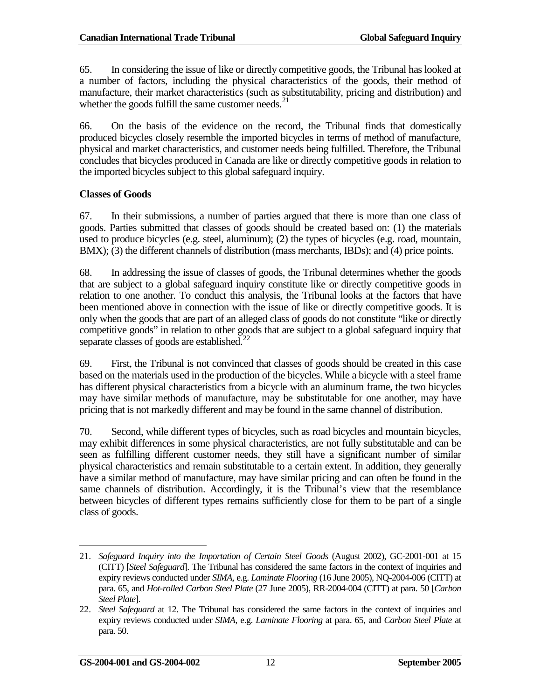65. In considering the issue of like or directly competitive goods, the Tribunal has looked at a number of factors, including the physical characteristics of the goods, their method of manufacture, their market characteristics (such as substitutability, pricing and distribution) and whether the goods fulfill the same customer needs. $^{21}$  $^{21}$  $^{21}$ 

66. On the basis of the evidence on the record, the Tribunal finds that domestically produced bicycles closely resemble the imported bicycles in terms of method of manufacture, physical and market characteristics, and customer needs being fulfilled. Therefore, the Tribunal concludes that bicycles produced in Canada are like or directly competitive goods in relation to the imported bicycles subject to this global safeguard inquiry.

#### **Classes of Goods**

67. In their submissions, a number of parties argued that there is more than one class of goods. Parties submitted that classes of goods should be created based on: (1) the materials used to produce bicycles (e.g. steel, aluminum); (2) the types of bicycles (e.g. road, mountain, BMX); (3) the different channels of distribution (mass merchants, IBDs); and (4) price points.

68. In addressing the issue of classes of goods, the Tribunal determines whether the goods that are subject to a global safeguard inquiry constitute like or directly competitive goods in relation to one another. To conduct this analysis, the Tribunal looks at the factors that have been mentioned above in connection with the issue of like or directly competitive goods. It is only when the goods that are part of an alleged class of goods do not constitute "like or directly competitive goods" in relation to other goods that are subject to a global safeguard inquiry that separate classes of goods are established. $^{22}$  $^{22}$  $^{22}$ 

69. First, the Tribunal is not convinced that classes of goods should be created in this case based on the materials used in the production of the bicycles. While a bicycle with a steel frame has different physical characteristics from a bicycle with an aluminum frame, the two bicycles may have similar methods of manufacture, may be substitutable for one another, may have pricing that is not markedly different and may be found in the same channel of distribution.

70. Second, while different types of bicycles, such as road bicycles and mountain bicycles, may exhibit differences in some physical characteristics, are not fully substitutable and can be seen as fulfilling different customer needs, they still have a significant number of similar physical characteristics and remain substitutable to a certain extent. In addition, they generally have a similar method of manufacture, may have similar pricing and can often be found in the same channels of distribution. Accordingly, it is the Tribunal's view that the resemblance between bicycles of different types remains sufficiently close for them to be part of a single class of goods.

 $\overline{a}$ 

<span id="page-21-0"></span><sup>21.</sup> *Safeguard Inquiry into the Importation of Certain Steel Goods* (August 2002), GC-2001-001 at 15 (CITT) [*Steel Safeguard*]. The Tribunal has considered the same factors in the context of inquiries and expiry reviews conducted under *SIMA*, e.g. *Laminate Flooring* (16 June 2005), NQ-2004-006 (CITT) at para. 65, and *Hot-rolled Carbon Steel Plate* (27 June 2005), RR-2004-004 (CITT) at para. 50 [*Carbon Steel Plate*].

<span id="page-21-1"></span><sup>22.</sup> *Steel Safeguard* at 12. The Tribunal has considered the same factors in the context of inquiries and expiry reviews conducted under *SIMA,* e.g. *Laminate Flooring* at para. 65, and *Carbon Steel Plate* at para. 50.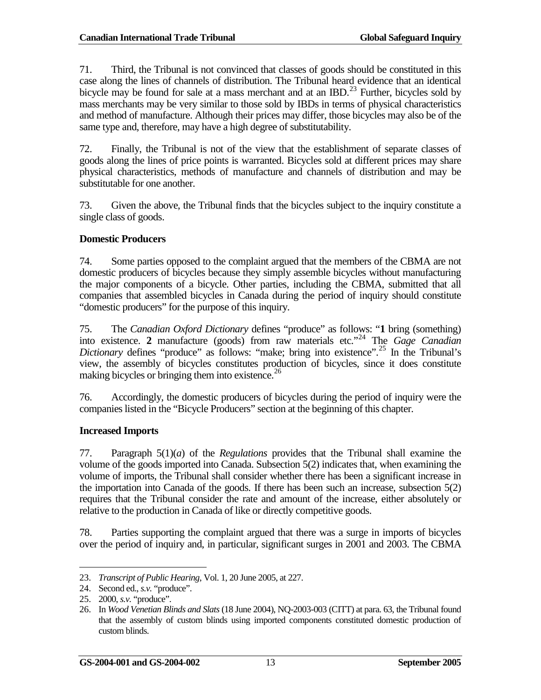71. Third, the Tribunal is not convinced that classes of goods should be constituted in this case along the lines of channels of distribution. The Tribunal heard evidence that an identical bicycle may be found for sale at a mass merchant and at an IBD.<sup>[23](#page-22-0)</sup> Further, bicycles sold by mass merchants may be very similar to those sold by IBDs in terms of physical characteristics and method of manufacture. Although their prices may differ, those bicycles may also be of the same type and, therefore, may have a high degree of substitutability.

72. Finally, the Tribunal is not of the view that the establishment of separate classes of goods along the lines of price points is warranted. Bicycles sold at different prices may share physical characteristics, methods of manufacture and channels of distribution and may be substitutable for one another.

73. Given the above, the Tribunal finds that the bicycles subject to the inquiry constitute a single class of goods.

### **Domestic Producers**

74. Some parties opposed to the complaint argued that the members of the CBMA are not domestic producers of bicycles because they simply assemble bicycles without manufacturing the major components of a bicycle. Other parties, including the CBMA, submitted that all companies that assembled bicycles in Canada during the period of inquiry should constitute "domestic producers" for the purpose of this inquiry.

75. The *Canadian Oxford Dictionary* defines "produce" as follows: "**1** bring (something) into existence. **2** manufacture (goods) from raw materials etc."[24](#page-22-1) The *Gage Canadian Dictionary* defines "produce" as follows: "make; bring into existence".<sup>[25](#page-22-2)</sup> In the Tribunal's view, the assembly of bicycles constitutes production of bicycles, since it does constitute making bicycles or bringing them into existence. $^{26}$  $^{26}$  $^{26}$ 

76. Accordingly, the domestic producers of bicycles during the period of inquiry were the companies listed in the "Bicycle Producers" section at the beginning of this chapter.

### **Increased Imports**

77. Paragraph 5(1)(*a*) of the *Regulations* provides that the Tribunal shall examine the volume of the goods imported into Canada. Subsection 5(2) indicates that, when examining the volume of imports, the Tribunal shall consider whether there has been a significant increase in the importation into Canada of the goods. If there has been such an increase, subsection 5(2) requires that the Tribunal consider the rate and amount of the increase, either absolutely or relative to the production in Canada of like or directly competitive goods.

78. Parties supporting the complaint argued that there was a surge in imports of bicycles over the period of inquiry and, in particular, significant surges in 2001 and 2003. The CBMA

<sup>23.</sup> *Transcript of Public Hearing*, Vol. 1, 20 June 2005, at 227.  $\overline{a}$ 

<span id="page-22-1"></span><span id="page-22-0"></span><sup>24.</sup> Second ed., *s.v.* "produce".

<span id="page-22-2"></span><sup>25.</sup> 2000, *s.v.* "produce".

<span id="page-22-3"></span><sup>26.</sup> In *Wood Venetian Blinds and Slats*(18 June 2004), NQ-2003-003 (CITT) at para. 63, the Tribunal found that the assembly of custom blinds using imported components constituted domestic production of custom blinds.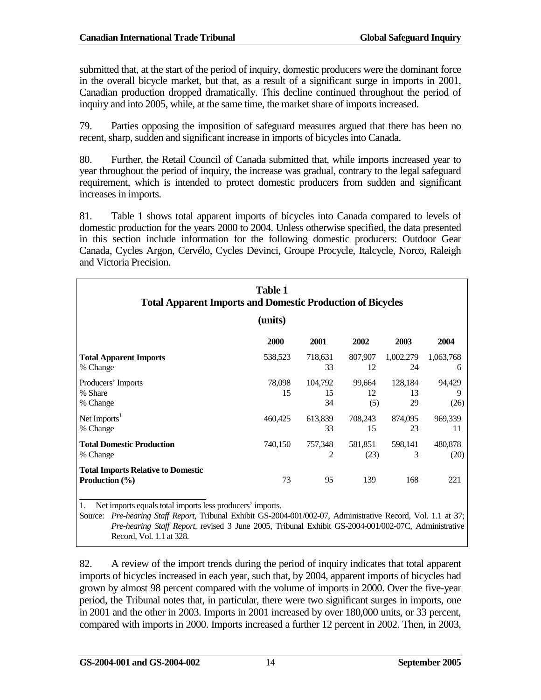submitted that, at the start of the period of inquiry, domestic producers were the dominant force in the overall bicycle market, but that, as a result of a significant surge in imports in 2001, Canadian production dropped dramatically. This decline continued throughout the period of inquiry and into 2005, while, at the same time, the market share of imports increased.

79. Parties opposing the imposition of safeguard measures argued that there has been no recent, sharp, sudden and significant increase in imports of bicycles into Canada.

80. Further, the Retail Council of Canada submitted that, while imports increased year to year throughout the period of inquiry, the increase was gradual, contrary to the legal safeguard requirement, which is intended to protect domestic producers from sudden and significant increases in imports.

81. Table 1 shows total apparent imports of bicycles into Canada compared to levels of domestic production for the years 2000 to 2004. Unless otherwise specified, the data presented in this section include information for the following domestic producers: Outdoor Gear Canada, Cycles Argon, Cervélo, Cycles Devinci, Groupe Procycle, Italcycle, Norco, Raleigh and Victoria Precision.

| <b>Table 1</b><br><b>Total Apparent Imports and Domestic Production of Bicycles</b> |              |                     |                     |                     |                     |
|-------------------------------------------------------------------------------------|--------------|---------------------|---------------------|---------------------|---------------------|
|                                                                                     | (units)      |                     |                     |                     |                     |
|                                                                                     | 2000         | 2001                | 2002                | 2003                | 2004                |
| <b>Total Apparent Imports</b><br>% Change                                           | 538,523      | 718,631<br>33       | 807,907<br>12       | 1,002,279<br>24     | 1,063,768<br>6      |
| Producers' Imports<br>% Share<br>% Change                                           | 78,098<br>15 | 104,792<br>15<br>34 | 99.664<br>12<br>(5) | 128,184<br>13<br>29 | 94,429<br>9<br>(26) |
| Net Imports <sup>1</sup><br>% Change                                                | 460,425      | 613,839<br>33       | 708,243<br>15       | 874,095<br>23       | 969,339<br>11       |
| <b>Total Domestic Production</b><br>% Change                                        | 740,150      | 757,348<br>2        | 581,851<br>(23)     | 598,141<br>3        | 480,878<br>(20)     |
| <b>Total Imports Relative to Domestic</b><br><b>Production</b> $(\% )$              | 73           | 95                  | 139                 | 168                 | 221                 |

1. Net imports equals total imports less producers' imports.

Source: *Pre-hearing Staff Report*, Tribunal Exhibit GS-2004-001/002-07, Administrative Record, Vol. 1.1 at 37; *Pre-hearing Staff Report*, revised 3 June 2005, Tribunal Exhibit GS-2004-001/002-07C, Administrative Record, Vol. 1.1 at 328.

82. A review of the import trends during the period of inquiry indicates that total apparent imports of bicycles increased in each year, such that, by 2004, apparent imports of bicycles had grown by almost 98 percent compared with the volume of imports in 2000. Over the five-year period, the Tribunal notes that, in particular, there were two significant surges in imports, one in 2001 and the other in 2003. Imports in 2001 increased by over 180,000 units, or 33 percent, compared with imports in 2000. Imports increased a further 12 percent in 2002. Then, in 2003,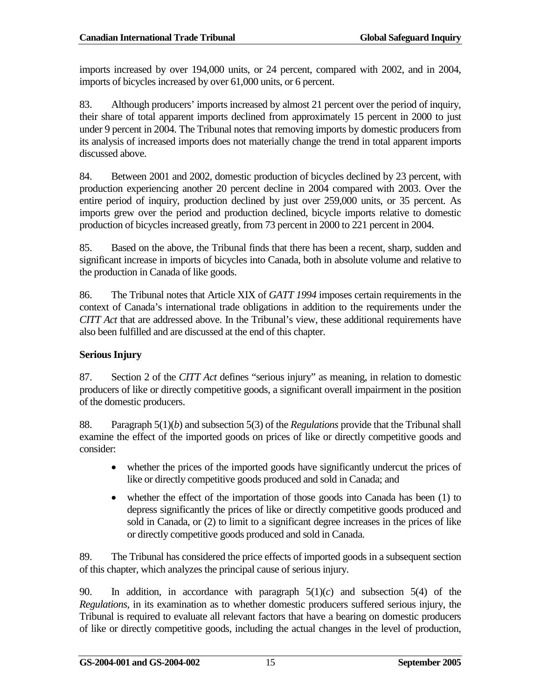imports increased by over 194,000 units, or 24 percent, compared with 2002, and in 2004, imports of bicycles increased by over 61,000 units, or 6 percent.

83. Although producers' imports increased by almost 21 percent over the period of inquiry, their share of total apparent imports declined from approximately 15 percent in 2000 to just under 9 percent in 2004. The Tribunal notes that removing imports by domestic producers from its analysis of increased imports does not materially change the trend in total apparent imports discussed above.

84. Between 2001 and 2002, domestic production of bicycles declined by 23 percent, with production experiencing another 20 percent decline in 2004 compared with 2003. Over the entire period of inquiry, production declined by just over 259,000 units, or 35 percent. As imports grew over the period and production declined, bicycle imports relative to domestic production of bicycles increased greatly, from 73 percent in 2000 to 221 percent in 2004.

85. Based on the above, the Tribunal finds that there has been a recent, sharp, sudden and significant increase in imports of bicycles into Canada, both in absolute volume and relative to the production in Canada of like goods.

86. The Tribunal notes that Article XIX of *GATT 1994* imposes certain requirements in the context of Canada's international trade obligations in addition to the requirements under the *CITT Act* that are addressed above. In the Tribunal's view, these additional requirements have also been fulfilled and are discussed at the end of this chapter.

### **Serious Injury**

87. Section 2 of the *CITT Act* defines "serious injury" as meaning, in relation to domestic producers of like or directly competitive goods, a significant overall impairment in the position of the domestic producers.

88. Paragraph 5(1)(*b*) and subsection 5(3) of the *Regulations* provide that the Tribunal shall examine the effect of the imported goods on prices of like or directly competitive goods and consider:

- whether the prices of the imported goods have significantly undercut the prices of like or directly competitive goods produced and sold in Canada; and
- whether the effect of the importation of those goods into Canada has been (1) to depress significantly the prices of like or directly competitive goods produced and sold in Canada, or (2) to limit to a significant degree increases in the prices of like or directly competitive goods produced and sold in Canada.

89. The Tribunal has considered the price effects of imported goods in a subsequent section of this chapter, which analyzes the principal cause of serious injury.

90. In addition, in accordance with paragraph  $5(1)(c)$  and subsection  $5(4)$  of the *Regulations*, in its examination as to whether domestic producers suffered serious injury, the Tribunal is required to evaluate all relevant factors that have a bearing on domestic producers of like or directly competitive goods, including the actual changes in the level of production,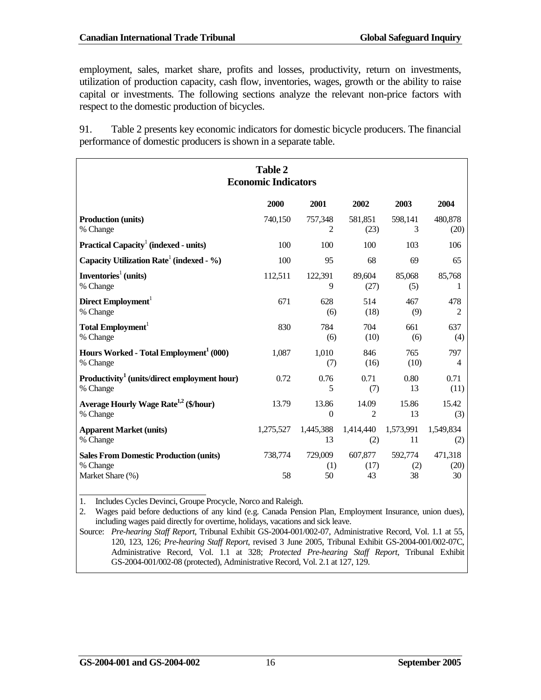employment, sales, market share, profits and losses, productivity, return on investments, utilization of production capacity, cash flow, inventories, wages, growth or the ability to raise capital or investments. The following sections analyze the relevant non-price factors with respect to the domestic production of bicycles.

91. Table 2 presents key economic indicators for domestic bicycle producers. The financial performance of domestic producers is shown in a separate table.

| <b>Table 2</b><br><b>Economic Indicators</b>                                  |               |                      |                       |                      |                       |
|-------------------------------------------------------------------------------|---------------|----------------------|-----------------------|----------------------|-----------------------|
|                                                                               | 2000          | 2001                 | 2002                  | 2003                 | 2004                  |
| <b>Production (units)</b>                                                     | 740,150       | 757,348              | 581,851               | 598,141              | 480,878               |
| % Change                                                                      |               | $\overline{2}$       | (23)                  | 3                    | (20)                  |
| Practical Capacity <sup>1</sup> (indexed - units)                             | 100           | 100                  | 100                   | 103                  | 106                   |
| Capacity Utilization Rate <sup>1</sup> (indexed - %)                          | 100           | 95                   | 68                    | 69                   | 65                    |
| Inventories <sup>1</sup> (units)                                              | 112,511       | 122,391              | 89,604                | 85,068               | 85,768                |
| % Change                                                                      |               | 9                    | (27)                  | (5)                  | 1                     |
| Direct Employment                                                             | 671           | 628                  | 514                   | 467                  | 478                   |
| % Change                                                                      |               | (6)                  | (18)                  | (9)                  | 2                     |
| Total Employment <sup>1</sup>                                                 | 830           | 784                  | 704                   | 661                  | 637                   |
| % Change                                                                      |               | (6)                  | (10)                  | (6)                  | (4)                   |
| Hours Worked - Total Employment <sup>1</sup> (000)                            | 1,087         | 1,010                | 846                   | 765                  | 797                   |
| % Change                                                                      |               | (7)                  | (16)                  | (10)                 | 4                     |
| Productivity <sup>1</sup> (units/direct employment hour)                      | 0.72          | 0.76                 | 0.71                  | 0.80                 | 0.71                  |
| % Change                                                                      |               | 5                    | (7)                   | 13                   | (11)                  |
| Average Hourly Wage Rate <sup>1,2</sup> (\$/hour)                             | 13.79         | 13.86                | 14.09                 | 15.86                | 15.42                 |
| % Change                                                                      |               | $\theta$             | 2                     | 13                   | (3)                   |
| <b>Apparent Market (units)</b>                                                | 1,275,527     | 1,445,388            | 1,414,440             | 1,573,991            | 1,549,834             |
| % Change                                                                      |               | 13                   | (2)                   | 11                   | (2)                   |
| <b>Sales From Domestic Production (units)</b><br>% Change<br>Market Share (%) | 738,774<br>58 | 729,009<br>(1)<br>50 | 607,877<br>(17)<br>43 | 592,774<br>(2)<br>38 | 471,318<br>(20)<br>30 |

1. Includes Cycles Devinci, Groupe Procycle, Norco and Raleigh.

2. Wages paid before deductions of any kind (e.g. Canada Pension Plan, Employment Insurance, union dues), including wages paid directly for overtime, holidays, vacations and sick leave.

Source: *Pre-hearing Staff Report*, Tribunal Exhibit GS-2004-001/002-07, Administrative Record, Vol. 1.1 at 55, 120, 123, 126; *Pre-hearing Staff Report*, revised 3 June 2005, Tribunal Exhibit GS-2004-001/002-07C, Administrative Record, Vol. 1.1 at 328; *Protected Pre-hearing Staff Report*, Tribunal Exhibit GS-2004-001/002-08 (protected), Administrative Record, Vol. 2.1 at 127, 129.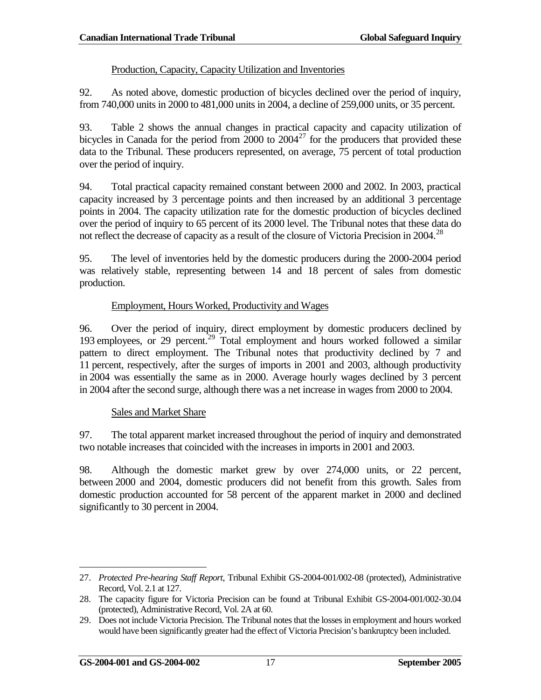#### Production, Capacity, Capacity Utilization and Inventories

92. As noted above, domestic production of bicycles declined over the period of inquiry, from 740,000 units in 2000 to 481,000 units in 2004, a decline of 259,000 units, or 35 percent.

93. Table 2 shows the annual changes in practical capacity and capacity utilization of bicycles in Canada for the period from 2000 to  $2004^{27}$  $2004^{27}$  $2004^{27}$  for the producers that provided these data to the Tribunal. These producers represented, on average, 75 percent of total production over the period of inquiry.

94. Total practical capacity remained constant between 2000 and 2002. In 2003, practical capacity increased by 3 percentage points and then increased by an additional 3 percentage points in 2004. The capacity utilization rate for the domestic production of bicycles declined over the period of inquiry to 65 percent of its 2000 level. The Tribunal notes that these data do not reflect the decrease of capacity as a result of the closure of Victoria Precision in 2004.<sup>[28](#page-26-1)</sup>

95. The level of inventories held by the domestic producers during the 2000-2004 period was relatively stable, representing between 14 and 18 percent of sales from domestic production.

### Employment, Hours Worked, Productivity and Wages

96. Over the period of inquiry, direct employment by domestic producers declined by 193 employees, or [29](#page-26-2) percent.<sup>29</sup> Total employment and hours worked followed a similar pattern to direct employment. The Tribunal notes that productivity declined by 7 and 11 percent, respectively, after the surges of imports in 2001 and 2003, although productivity in 2004 was essentially the same as in 2000. Average hourly wages declined by 3 percent in 2004 after the second surge, although there was a net increase in wages from 2000 to 2004.

#### Sales and Market Share

97. The total apparent market increased throughout the period of inquiry and demonstrated two notable increases that coincided with the increases in imports in 2001 and 2003.

98. Although the domestic market grew by over 274,000 units, or 22 percent, between 2000 and 2004, domestic producers did not benefit from this growth. Sales from domestic production accounted for 58 percent of the apparent market in 2000 and declined significantly to 30 percent in 2004.

<span id="page-26-0"></span><sup>27.</sup> *Protected Pre-hearing Staff Report*, Tribunal Exhibit GS-2004-001/002-08 (protected), Administrative Record, Vol. 2.1 at 127.  $\overline{a}$ 

<span id="page-26-1"></span><sup>28.</sup> The capacity figure for Victoria Precision can be found at Tribunal Exhibit GS-2004-001/002-30.04 (protected), Administrative Record, Vol. 2A at 60.

<span id="page-26-2"></span><sup>29.</sup> Does not include Victoria Precision. The Tribunal notes that the losses in employment and hours worked would have been significantly greater had the effect of Victoria Precision's bankruptcy been included.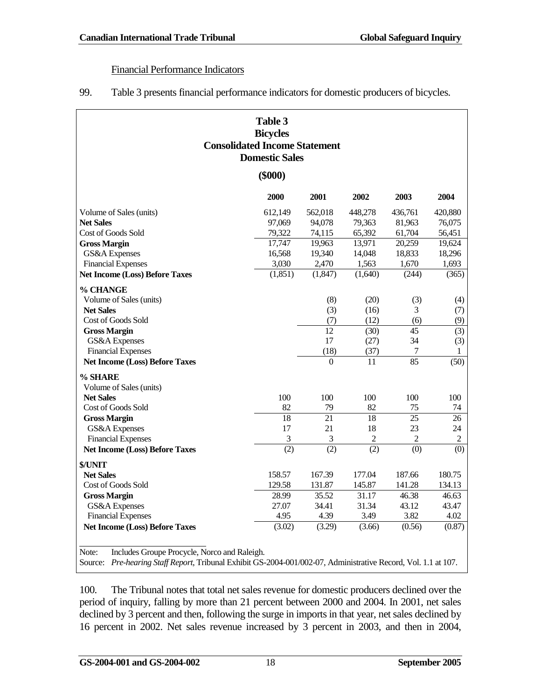#### Financial Performance Indicators

99. Table 3 presents financial performance indicators for domestic producers of bicycles.

| Table 3<br><b>Bicycles</b><br><b>Consolidated Income Statement</b><br><b>Domestic Sales</b>                                                                                                                                                                        |                  |                  |                  |                  |                  |
|--------------------------------------------------------------------------------------------------------------------------------------------------------------------------------------------------------------------------------------------------------------------|------------------|------------------|------------------|------------------|------------------|
|                                                                                                                                                                                                                                                                    | $(\$000)$        |                  |                  |                  |                  |
|                                                                                                                                                                                                                                                                    | 2000             | 2001             | 2002             | 2003             | 2004             |
| Volume of Sales (units)                                                                                                                                                                                                                                            | 612,149          | 562,018          | 448.278          | 436,761          | 420.880          |
| <b>Net Sales</b>                                                                                                                                                                                                                                                   | 97,069           | 94,078           | 79,363           | 81,963           | 76,075           |
| Cost of Goods Sold                                                                                                                                                                                                                                                 | 79,322           | 74,115           | 65,392           | 61,704           | 56,451           |
| <b>Gross Margin</b>                                                                                                                                                                                                                                                | 17,747<br>16,568 | 19,963<br>19,340 | 13,971           | 20,259           | 19,624<br>18,296 |
| GS&A Expenses<br><b>Financial Expenses</b>                                                                                                                                                                                                                         | 3,030            | 2,470            | 14,048<br>1,563  | 18,833<br>1,670  | 1,693            |
| <b>Net Income (Loss) Before Taxes</b>                                                                                                                                                                                                                              | (1, 851)         | (1,847)          | (1,640)          | (244)            | (365)            |
|                                                                                                                                                                                                                                                                    |                  |                  |                  |                  |                  |
| % CHANGE                                                                                                                                                                                                                                                           |                  |                  |                  |                  |                  |
| Volume of Sales (units)                                                                                                                                                                                                                                            |                  | (8)              | (20)             | (3)              | (4)              |
| <b>Net Sales</b>                                                                                                                                                                                                                                                   |                  | (3)              | (16)             | 3                | (7)              |
| Cost of Goods Sold                                                                                                                                                                                                                                                 |                  | (7)              | (12)             | (6)              | (9)              |
| <b>Gross Margin</b><br>GS&A Expenses                                                                                                                                                                                                                               |                  | 12<br>17         | (30)<br>(27)     | 45<br>34         | (3)<br>(3)       |
| <b>Financial Expenses</b>                                                                                                                                                                                                                                          |                  | (18)             | (37)             | 7                | 1                |
| <b>Net Income (Loss) Before Taxes</b>                                                                                                                                                                                                                              |                  | $\Omega$         | 11               | 85               | (50)             |
|                                                                                                                                                                                                                                                                    |                  |                  |                  |                  |                  |
| % SHARE                                                                                                                                                                                                                                                            |                  |                  |                  |                  |                  |
| Volume of Sales (units)                                                                                                                                                                                                                                            |                  |                  |                  |                  |                  |
| <b>Net Sales</b>                                                                                                                                                                                                                                                   | 100              | 100              | 100              | 100              | 100              |
| Cost of Goods Sold                                                                                                                                                                                                                                                 | 82<br>18         | 79<br>21         | 82<br>18         | 75<br>25         | 74<br>26         |
| <b>Gross Margin</b><br>GS&A Expenses                                                                                                                                                                                                                               | 17               | 21               | 18               | 23               | 24               |
| <b>Financial Expenses</b>                                                                                                                                                                                                                                          | $\mathfrak 3$    | 3                | $\overline{2}$   | 2                | $\sqrt{2}$       |
| <b>Net Income (Loss) Before Taxes</b>                                                                                                                                                                                                                              | (2)              | (2)              | $\overline{(2)}$ | $\overline{(0)}$ | (0)              |
|                                                                                                                                                                                                                                                                    |                  |                  |                  |                  |                  |
| \$/UNIT                                                                                                                                                                                                                                                            |                  |                  |                  |                  |                  |
| <b>Net Sales</b><br>Cost of Goods Sold                                                                                                                                                                                                                             | 158.57<br>129.58 | 167.39<br>131.87 | 177.04<br>145.87 | 187.66<br>141.28 | 180.75<br>134.13 |
| <b>Gross Margin</b>                                                                                                                                                                                                                                                | 28.99            | 35.52            | 31.17            | 46.38            | 46.63            |
| GS&A Expenses                                                                                                                                                                                                                                                      | 27.07            | 34.41            | 31.34            | 43.12            | 43.47            |
| <b>Financial Expenses</b>                                                                                                                                                                                                                                          | 4.95             | 4.39             | 3.49             | 3.82             | 4.02             |
|                                                                                                                                                                                                                                                                    |                  |                  |                  |                  |                  |
| <b>Net Income (Loss) Before Taxes</b><br>(3.02)<br>(3.29)<br>(0.56)<br>(0.87)<br>(3.66)<br>Note:<br>Includes Groupe Procycle, Norco and Raleigh.<br>Source: Pre-hearing Staff Report, Tribunal Exhibit GS-2004-001/002-07, Administrative Record, Vol. 1.1 at 107. |                  |                  |                  |                  |                  |

100. The Tribunal notes that total net sales revenue for domestic producers declined over the period of inquiry, falling by more than 21 percent between 2000 and 2004. In 2001, net sales declined by 3 percent and then, following the surge in imports in that year, net sales declined by 16 percent in 2002. Net sales revenue increased by 3 percent in 2003, and then in 2004,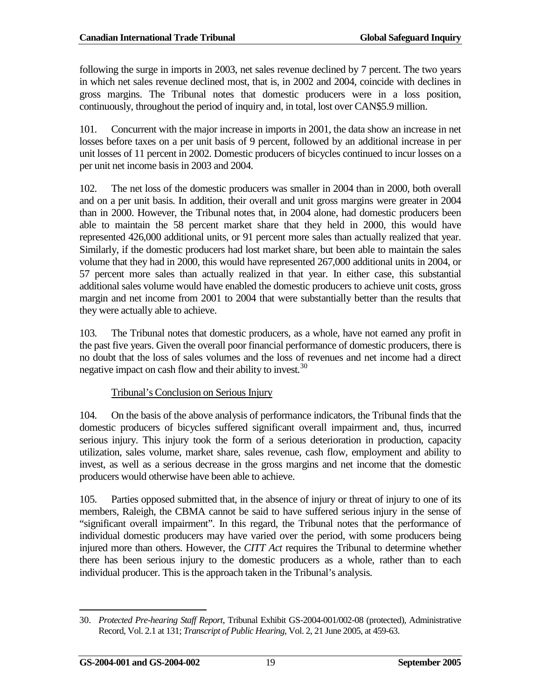following the surge in imports in 2003, net sales revenue declined by 7 percent. The two years in which net sales revenue declined most, that is, in 2002 and 2004, coincide with declines in gross margins. The Tribunal notes that domestic producers were in a loss position, continuously, throughout the period of inquiry and, in total, lost over CAN\$5.9 million.

101. Concurrent with the major increase in imports in 2001, the data show an increase in net losses before taxes on a per unit basis of 9 percent, followed by an additional increase in per unit losses of 11 percent in 2002. Domestic producers of bicycles continued to incur losses on a per unit net income basis in 2003 and 2004.

102. The net loss of the domestic producers was smaller in 2004 than in 2000, both overall and on a per unit basis. In addition, their overall and unit gross margins were greater in 2004 than in 2000. However, the Tribunal notes that, in 2004 alone, had domestic producers been able to maintain the 58 percent market share that they held in 2000, this would have represented 426,000 additional units, or 91 percent more sales than actually realized that year. Similarly, if the domestic producers had lost market share, but been able to maintain the sales volume that they had in 2000, this would have represented 267,000 additional units in 2004, or 57 percent more sales than actually realized in that year. In either case, this substantial additional sales volume would have enabled the domestic producers to achieve unit costs, gross margin and net income from 2001 to 2004 that were substantially better than the results that they were actually able to achieve.

103. The Tribunal notes that domestic producers, as a whole, have not earned any profit in the past five years. Given the overall poor financial performance of domestic producers, there is no doubt that the loss of sales volumes and the loss of revenues and net income had a direct negative impact on cash flow and their ability to invest.<sup>[30](#page-28-0)</sup>

### Tribunal's Conclusion on Serious Injury

104. On the basis of the above analysis of performance indicators, the Tribunal finds that the domestic producers of bicycles suffered significant overall impairment and, thus, incurred serious injury. This injury took the form of a serious deterioration in production, capacity utilization, sales volume, market share, sales revenue, cash flow, employment and ability to invest, as well as a serious decrease in the gross margins and net income that the domestic producers would otherwise have been able to achieve.

105. Parties opposed submitted that, in the absence of injury or threat of injury to one of its members, Raleigh, the CBMA cannot be said to have suffered serious injury in the sense of "significant overall impairment". In this regard, the Tribunal notes that the performance of individual domestic producers may have varied over the period, with some producers being injured more than others. However, the *CITT Act* requires the Tribunal to determine whether there has been serious injury to the domestic producers as a whole, rather than to each individual producer. This is the approach taken in the Tribunal's analysis.

<span id="page-28-0"></span><sup>30.</sup> *Protected Pre-hearing Staff Report*, Tribunal Exhibit GS-2004-001/002-08 (protected), Administrative Record, Vol. 2.1 at 131; *Transcript of Public Hearing*, Vol. 2, 21 June 2005, at 459-63.  $\overline{a}$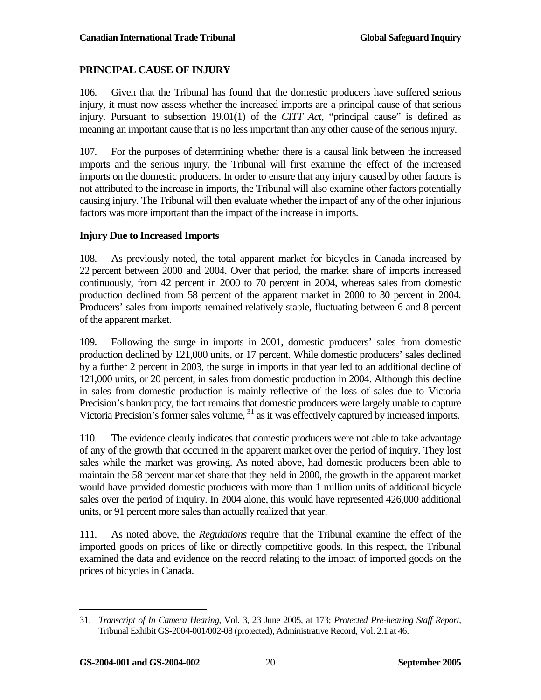### <span id="page-29-0"></span>**PRINCIPAL CAUSE OF INJURY**

106. Given that the Tribunal has found that the domestic producers have suffered serious injury, it must now assess whether the increased imports are a principal cause of that serious injury. Pursuant to subsection 19.01(1) of the *CITT Act*, "principal cause" is defined as meaning an important cause that is no less important than any other cause of the serious injury.

107. For the purposes of determining whether there is a causal link between the increased imports and the serious injury, the Tribunal will first examine the effect of the increased imports on the domestic producers. In order to ensure that any injury caused by other factors is not attributed to the increase in imports, the Tribunal will also examine other factors potentially causing injury. The Tribunal will then evaluate whether the impact of any of the other injurious factors was more important than the impact of the increase in imports.

#### **Injury Due to Increased Imports**

108. As previously noted, the total apparent market for bicycles in Canada increased by 22 percent between 2000 and 2004. Over that period, the market share of imports increased continuously, from 42 percent in 2000 to 70 percent in 2004, whereas sales from domestic production declined from 58 percent of the apparent market in 2000 to 30 percent in 2004. Producers' sales from imports remained relatively stable, fluctuating between 6 and 8 percent of the apparent market.

109. Following the surge in imports in 2001, domestic producers' sales from domestic production declined by 121,000 units, or 17 percent. While domestic producers' sales declined by a further 2 percent in 2003, the surge in imports in that year led to an additional decline of 121,000 units, or 20 percent, in sales from domestic production in 2004. Although this decline in sales from domestic production is mainly reflective of the loss of sales due to Victoria Precision's bankruptcy, the fact remains that domestic producers were largely unable to capture Victoria Precision's former sales volume, [31](#page-29-1) as it was effectively captured by increased imports.

110. The evidence clearly indicates that domestic producers were not able to take advantage of any of the growth that occurred in the apparent market over the period of inquiry. They lost sales while the market was growing. As noted above, had domestic producers been able to maintain the 58 percent market share that they held in 2000, the growth in the apparent market would have provided domestic producers with more than 1 million units of additional bicycle sales over the period of inquiry. In 2004 alone, this would have represented 426,000 additional units, or 91 percent more sales than actually realized that year.

111. As noted above, the *Regulations* require that the Tribunal examine the effect of the imported goods on prices of like or directly competitive goods. In this respect, the Tribunal examined the data and evidence on the record relating to the impact of imported goods on the prices of bicycles in Canada.

<span id="page-29-1"></span><sup>31.</sup> *Transcript of In Camera Hearing*, Vol. 3, 23 June 2005, at 173; *Protected Pre-hearing Staff Report*, Tribunal Exhibit GS-2004-001/002-08 (protected), Administrative Record, Vol. 2.1 at 46.  $\overline{a}$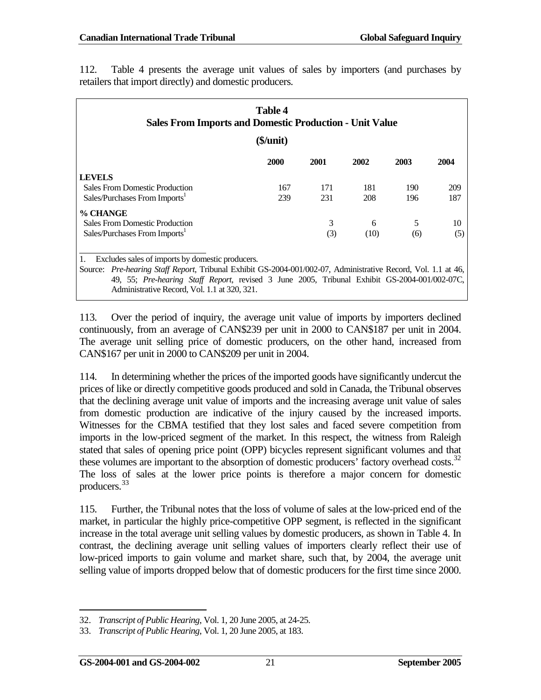| <b>Table 4</b><br><b>Sales From Imports and Domestic Production - Unit Value</b>                              |           |      |             |      |      |
|---------------------------------------------------------------------------------------------------------------|-----------|------|-------------|------|------|
|                                                                                                               | (\$/unit) |      |             |      |      |
|                                                                                                               | 2000      | 2001 | <b>2002</b> | 2003 | 2004 |
| <b>LEVELS</b>                                                                                                 |           |      |             |      |      |
| <b>Sales From Domestic Production</b>                                                                         | 167       | 171  | 181         | 190  | 209  |
| Sales/Purchases From Imports <sup>1</sup>                                                                     | 239       | 231  | 208         | 196  | 187  |
| % CHANGE                                                                                                      |           |      |             |      |      |
| <b>Sales From Domestic Production</b>                                                                         |           | 3    | 6           | 5    | 10   |
| Sales/Purchases From Imports <sup>1</sup>                                                                     |           | (3)  | (10)        | (6)  | (5)  |
| Excludes sales of imports by domestic producers.<br>1.                                                        |           |      |             |      |      |
| Source: Pre-hearing Staff Report, Tribunal Exhibit GS-2004-001/002-07, Administrative Record, Vol. 1.1 at 46, |           |      |             |      |      |
| 49, 55; Pre-hearing Staff Report, revised 3 June 2005, Tribunal Exhibit GS-2004-001/002-07C,                  |           |      |             |      |      |
| Administrative Record, Vol. 1.1 at 320, 321.                                                                  |           |      |             |      |      |

112. Table 4 presents the average unit values of sales by importers (and purchases by retailers that import directly) and domestic producers.

113. Over the period of inquiry, the average unit value of imports by importers declined continuously, from an average of CAN\$239 per unit in 2000 to CAN\$187 per unit in 2004. The average unit selling price of domestic producers, on the other hand, increased from CAN\$167 per unit in 2000 to CAN\$209 per unit in 2004.

114. In determining whether the prices of the imported goods have significantly undercut the prices of like or directly competitive goods produced and sold in Canada, the Tribunal observes that the declining average unit value of imports and the increasing average unit value of sales from domestic production are indicative of the injury caused by the increased imports. Witnesses for the CBMA testified that they lost sales and faced severe competition from imports in the low-priced segment of the market. In this respect, the witness from Raleigh stated that sales of opening price point (OPP) bicycles represent significant volumes and that these volumes are important to the absorption of domestic producers' factory overhead costs.<sup>[32](#page-30-0)</sup> The loss of sales at the lower price points is therefore a major concern for domestic producers.[33](#page-30-1)

115. Further, the Tribunal notes that the loss of volume of sales at the low-priced end of the market, in particular the highly price-competitive OPP segment, is reflected in the significant increase in the total average unit selling values by domestic producers, as shown in Table 4. In contrast, the declining average unit selling values of importers clearly reflect their use of low-priced imports to gain volume and market share, such that, by 2004, the average unit selling value of imports dropped below that of domestic producers for the first time since 2000.

<sup>32.</sup> *Transcript of Public Hearing*, Vol. 1, 20 June 2005, at 24-25.  $\overline{a}$ 

<span id="page-30-1"></span><span id="page-30-0"></span><sup>33.</sup> *Transcript of Public Hearing*, Vol. 1, 20 June 2005, at 183.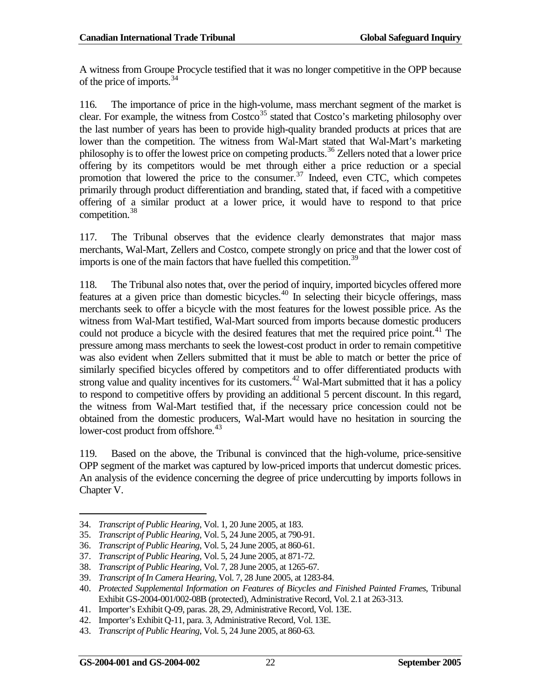A witness from Groupe Procycle testified that it was no longer competitive in the OPP because of the price of imports. $34$ 

116. The importance of price in the high-volume, mass merchant segment of the market is clear. For example, the witness from  $\text{Costco}^{35}$  $\text{Costco}^{35}$  $\text{Costco}^{35}$  stated that  $\text{Costco}$ 's marketing philosophy over the last number of years has been to provide high-quality branded products at prices that are lower than the competition. The witness from Wal-Mart stated that Wal-Mart's marketing philosophy is to offer the lowest price on competing products.[36](#page-31-2) Zellers noted that a lower price offering by its competitors would be met through either a price reduction or a special promotion that lowered the price to the consumer. $37$  Indeed, even CTC, which competes primarily through product differentiation and branding, stated that, if faced with a competitive offering of a similar product at a lower price, it would have to respond to that price competition.<sup>[38](#page-31-4)</sup>

117. The Tribunal observes that the evidence clearly demonstrates that major mass merchants, Wal-Mart, Zellers and Costco, compete strongly on price and that the lower cost of imports is one of the main factors that have fuelled this competition.<sup>[39](#page-31-5)</sup>

118. The Tribunal also notes that, over the period of inquiry, imported bicycles offered more features at a given price than domestic bicycles.<sup>[40](#page-31-6)</sup> In selecting their bicycle offerings, mass merchants seek to offer a bicycle with the most features for the lowest possible price. As the witness from Wal-Mart testified, Wal-Mart sourced from imports because domestic producers could not produce a bicycle with the desired features that met the required price point.<sup>[41](#page-31-7)</sup> The pressure among mass merchants to seek the lowest-cost product in order to remain competitive was also evident when Zellers submitted that it must be able to match or better the price of similarly specified bicycles offered by competitors and to offer differentiated products with strong value and quality incentives for its customers.<sup>[42](#page-31-8)</sup> Wal-Mart submitted that it has a policy to respond to competitive offers by providing an additional 5 percent discount. In this regard, the witness from Wal-Mart testified that, if the necessary price concession could not be obtained from the domestic producers, Wal-Mart would have no hesitation in sourcing the lower-cost product from offshore.<sup>[43](#page-31-9)</sup>

119. Based on the above, the Tribunal is convinced that the high-volume, price-sensitive OPP segment of the market was captured by low-priced imports that undercut domestic prices. An analysis of the evidence concerning the degree of price undercutting by imports follows in Chapter V.

- <span id="page-31-1"></span>35. *Transcript of Public Hearing,* Vol. 5, 24 June 2005, at 790-91.
- <span id="page-31-2"></span>36. *Transcript of Public Hearing*, Vol. 5, 24 June 2005, at 860-61.

<span id="page-31-4"></span>38. *Transcript of Public Hearing,* Vol. 7, 28 June 2005, at 1265-67.

42. Importer's Exhibit Q-11, para. 3, Administrative Record, Vol. 13E.

 $\overline{a}$ 

<span id="page-31-0"></span><sup>34.</sup> *Transcript of Public Hearing*, Vol. 1, 20 June 2005, at 183.

<span id="page-31-3"></span><sup>37.</sup> *Transcript of Public Hearing,* Vol. 5, 24 June 2005, at 871-72.

<span id="page-31-5"></span><sup>39.</sup> *Transcript of In Camera Hearing*, Vol. 7, 28 June 2005, at 1283-84.

<span id="page-31-6"></span><sup>40.</sup> *Protected Supplemental Information on Features of Bicycles and Finished Painted Frames*, Tribunal Exhibit GS-2004-001/002-08B (protected), Administrative Record, Vol. 2.1 at 263-313.

<span id="page-31-8"></span><span id="page-31-7"></span><sup>41.</sup> Importer's Exhibit Q-09, paras. 28, 29, Administrative Record, Vol. 13E.

<span id="page-31-9"></span><sup>43.</sup> *Transcript of Public Hearing*, Vol. 5, 24 June 2005, at 860-63.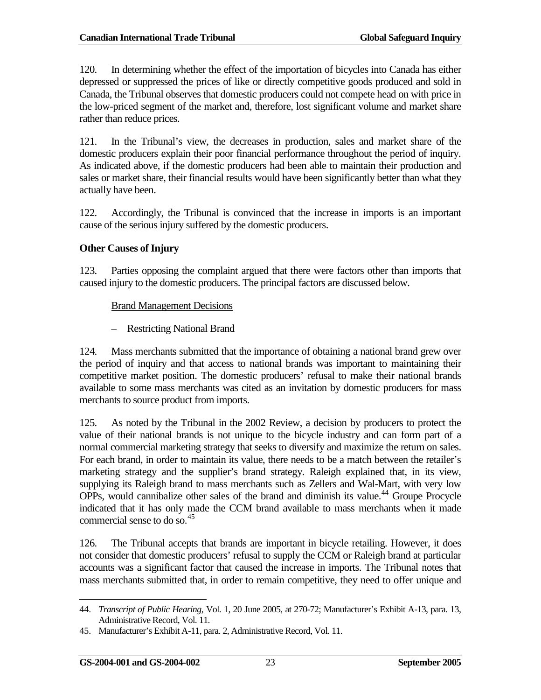120. In determining whether the effect of the importation of bicycles into Canada has either depressed or suppressed the prices of like or directly competitive goods produced and sold in Canada, the Tribunal observes that domestic producers could not compete head on with price in the low-priced segment of the market and, therefore, lost significant volume and market share rather than reduce prices.

121. In the Tribunal's view, the decreases in production, sales and market share of the domestic producers explain their poor financial performance throughout the period of inquiry. As indicated above, if the domestic producers had been able to maintain their production and sales or market share, their financial results would have been significantly better than what they actually have been.

122. Accordingly, the Tribunal is convinced that the increase in imports is an important cause of the serious injury suffered by the domestic producers.

### **Other Causes of Injury**

123. Parties opposing the complaint argued that there were factors other than imports that caused injury to the domestic producers. The principal factors are discussed below.

### Brand Management Decisions

– Restricting National Brand

124. Mass merchants submitted that the importance of obtaining a national brand grew over the period of inquiry and that access to national brands was important to maintaining their competitive market position. The domestic producers' refusal to make their national brands available to some mass merchants was cited as an invitation by domestic producers for mass merchants to source product from imports.

125. As noted by the Tribunal in the 2002 Review, a decision by producers to protect the value of their national brands is not unique to the bicycle industry and can form part of a normal commercial marketing strategy that seeks to diversify and maximize the return on sales. For each brand, in order to maintain its value, there needs to be a match between the retailer's marketing strategy and the supplier's brand strategy. Raleigh explained that, in its view, supplying its Raleigh brand to mass merchants such as Zellers and Wal-Mart, with very low OPPs, would cannibalize other sales of the brand and diminish its value.<sup>[44](#page-32-0)</sup> Groupe Procycle indicated that it has only made the CCM brand available to mass merchants when it made commercial sense to do so.  $45$ 

126. The Tribunal accepts that brands are important in bicycle retailing. However, it does not consider that domestic producers' refusal to supply the CCM or Raleigh brand at particular accounts was a significant factor that caused the increase in imports. The Tribunal notes that mass merchants submitted that, in order to remain competitive, they need to offer unique and

<span id="page-32-0"></span><sup>44.</sup> *Transcript of Public Hearing*, Vol. 1, 20 June 2005, at 270-72; Manufacturer's Exhibit A-13, para. 13, Administrative Record, Vol. 11.  $\overline{a}$ 

<span id="page-32-1"></span><sup>45.</sup> Manufacturer's Exhibit A-11, para. 2, Administrative Record, Vol. 11.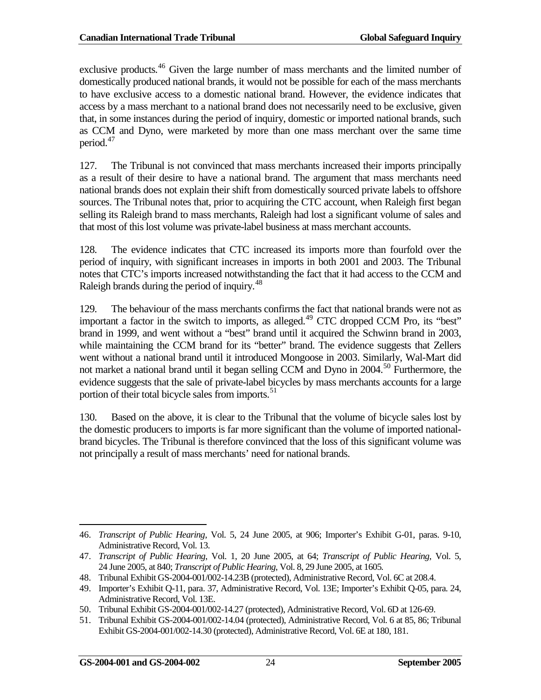exclusive products.<sup>[46](#page-33-0)</sup> Given the large number of mass merchants and the limited number of domestically produced national brands, it would not be possible for each of the mass merchants to have exclusive access to a domestic national brand. However, the evidence indicates that access by a mass merchant to a national brand does not necessarily need to be exclusive, given that, in some instances during the period of inquiry, domestic or imported national brands, such as CCM and Dyno, were marketed by more than one mass merchant over the same time period.[47](#page-33-1)

127. The Tribunal is not convinced that mass merchants increased their imports principally as a result of their desire to have a national brand. The argument that mass merchants need national brands does not explain their shift from domestically sourced private labels to offshore sources. The Tribunal notes that, prior to acquiring the CTC account, when Raleigh first began selling its Raleigh brand to mass merchants, Raleigh had lost a significant volume of sales and that most of this lost volume was private-label business at mass merchant accounts.

128. The evidence indicates that CTC increased its imports more than fourfold over the period of inquiry, with significant increases in imports in both 2001 and 2003. The Tribunal notes that CTC's imports increased notwithstanding the fact that it had access to the CCM and Raleigh brands during the period of inquiry.<sup>[48](#page-33-2)</sup>

129. The behaviour of the mass merchants confirms the fact that national brands were not as important a factor in the switch to imports, as alleged.<sup>[49](#page-33-3)</sup> CTC dropped CCM Pro, its "best" brand in 1999, and went without a "best" brand until it acquired the Schwinn brand in 2003, while maintaining the CCM brand for its "better" brand. The evidence suggests that Zellers went without a national brand until it introduced Mongoose in 2003. Similarly, Wal-Mart did not market a national brand until it began selling CCM and Dyno in 2004.<sup>[50](#page-33-4)</sup> Furthermore, the evidence suggests that the sale of private-label bicycles by mass merchants accounts for a large portion of their total bicycle sales from imports.<sup>[51](#page-33-5)</sup>

130. Based on the above, it is clear to the Tribunal that the volume of bicycle sales lost by the domestic producers to imports is far more significant than the volume of imported nationalbrand bicycles. The Tribunal is therefore convinced that the loss of this significant volume was not principally a result of mass merchants' need for national brands.

<span id="page-33-0"></span><sup>46.</sup> *Transcript of Public Hearing*, Vol. 5, 24 June 2005, at 906; Importer's Exhibit G-01, paras. 9-10, Administrative Record, Vol. 13.  $\overline{a}$ 

<span id="page-33-1"></span><sup>47.</sup> *Transcript of Public Hearing*, Vol. 1, 20 June 2005, at 64; *Transcript of Public Hearing*, Vol. 5, 24 June 2005, at 840; *Transcript of Public Hearing*, Vol. 8, 29 June 2005, at 1605*.*

<span id="page-33-2"></span><sup>48.</sup> Tribunal Exhibit GS-2004-001/002-14.23B (protected), Administrative Record, Vol. 6C at 208.4.

<span id="page-33-3"></span><sup>49.</sup> Importer's Exhibit Q-11, para. 37, Administrative Record, Vol. 13E; Importer's Exhibit Q-05, para. 24, Administrative Record, Vol. 13E.

<span id="page-33-4"></span><sup>50.</sup> Tribunal Exhibit GS-2004-001/002-14.27 (protected), Administrative Record, Vol. 6D at 126-69.

<span id="page-33-5"></span><sup>51.</sup> Tribunal Exhibit GS-2004-001/002-14.04 (protected), Administrative Record, Vol. 6 at 85, 86; Tribunal Exhibit GS-2004-001/002-14.30 (protected), Administrative Record, Vol. 6E at 180, 181.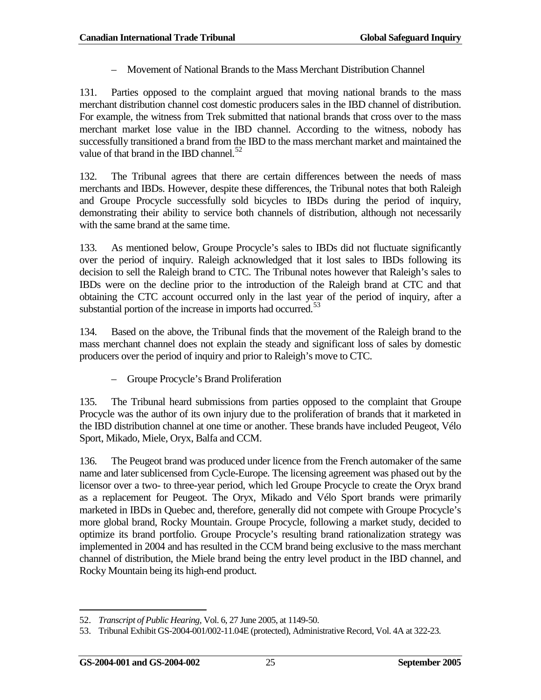– Movement of National Brands to the Mass Merchant Distribution Channel

131. Parties opposed to the complaint argued that moving national brands to the mass merchant distribution channel cost domestic producers sales in the IBD channel of distribution. For example, the witness from Trek submitted that national brands that cross over to the mass merchant market lose value in the IBD channel. According to the witness, nobody has successfully transitioned a brand from the IBD to the mass merchant market and maintained the value of that brand in the IBD channel.<sup>[52](#page-34-0)</sup>

132. The Tribunal agrees that there are certain differences between the needs of mass merchants and IBDs. However, despite these differences, the Tribunal notes that both Raleigh and Groupe Procycle successfully sold bicycles to IBDs during the period of inquiry, demonstrating their ability to service both channels of distribution, although not necessarily with the same brand at the same time.

133. As mentioned below, Groupe Procycle's sales to IBDs did not fluctuate significantly over the period of inquiry. Raleigh acknowledged that it lost sales to IBDs following its decision to sell the Raleigh brand to CTC. The Tribunal notes however that Raleigh's sales to IBDs were on the decline prior to the introduction of the Raleigh brand at CTC and that obtaining the CTC account occurred only in the last year of the period of inquiry, after a substantial portion of the increase in imports had occurred.<sup>[53](#page-34-1)</sup>

134. Based on the above, the Tribunal finds that the movement of the Raleigh brand to the mass merchant channel does not explain the steady and significant loss of sales by domestic producers over the period of inquiry and prior to Raleigh's move to CTC.

– Groupe Procycle's Brand Proliferation

135. The Tribunal heard submissions from parties opposed to the complaint that Groupe Procycle was the author of its own injury due to the proliferation of brands that it marketed in the IBD distribution channel at one time or another. These brands have included Peugeot, Vélo Sport, Mikado, Miele, Oryx, Balfa and CCM.

136. The Peugeot brand was produced under licence from the French automaker of the same name and later sublicensed from Cycle-Europe. The licensing agreement was phased out by the licensor over a two- to three-year period, which led Groupe Procycle to create the Oryx brand as a replacement for Peugeot. The Oryx, Mikado and Vélo Sport brands were primarily marketed in IBDs in Quebec and, therefore, generally did not compete with Groupe Procycle's more global brand, Rocky Mountain. Groupe Procycle, following a market study, decided to optimize its brand portfolio. Groupe Procycle's resulting brand rationalization strategy was implemented in 2004 and has resulted in the CCM brand being exclusive to the mass merchant channel of distribution, the Miele brand being the entry level product in the IBD channel, and Rocky Mountain being its high-end product.

<span id="page-34-0"></span><sup>52.</sup> *Transcript of Public Hearing,* Vol. 6, 27 June 2005, at 1149-50.  $\overline{a}$ 

<span id="page-34-1"></span><sup>53.</sup> Tribunal Exhibit GS-2004-001/002-11.04E (protected), Administrative Record, Vol. 4A at 322-23.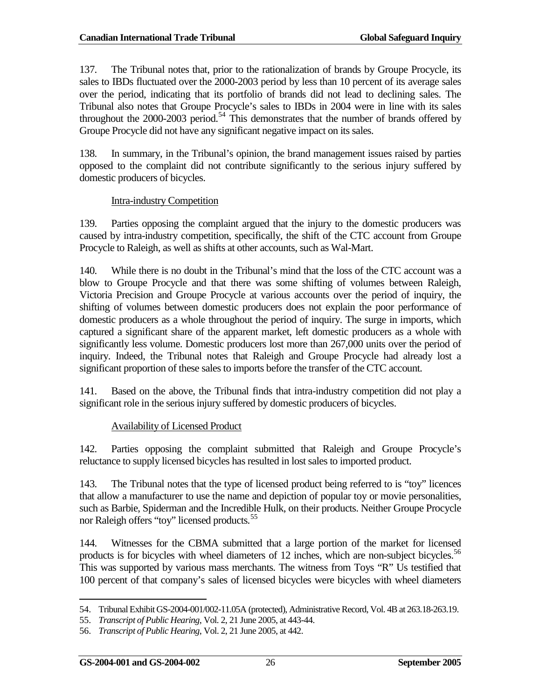137. The Tribunal notes that, prior to the rationalization of brands by Groupe Procycle, its sales to IBDs fluctuated over the 2000-2003 period by less than 10 percent of its average sales over the period, indicating that its portfolio of brands did not lead to declining sales. The Tribunal also notes that Groupe Procycle's sales to IBDs in 2004 were in line with its sales throughout the 2000-2003 period.<sup>[54](#page-35-0)</sup> This demonstrates that the number of brands offered by Groupe Procycle did not have any significant negative impact on its sales.

138. In summary, in the Tribunal's opinion, the brand management issues raised by parties opposed to the complaint did not contribute significantly to the serious injury suffered by domestic producers of bicycles.

#### Intra-industry Competition

139. Parties opposing the complaint argued that the injury to the domestic producers was caused by intra-industry competition, specifically, the shift of the CTC account from Groupe Procycle to Raleigh, as well as shifts at other accounts, such as Wal-Mart.

140. While there is no doubt in the Tribunal's mind that the loss of the CTC account was a blow to Groupe Procycle and that there was some shifting of volumes between Raleigh, Victoria Precision and Groupe Procycle at various accounts over the period of inquiry, the shifting of volumes between domestic producers does not explain the poor performance of domestic producers as a whole throughout the period of inquiry. The surge in imports, which captured a significant share of the apparent market, left domestic producers as a whole with significantly less volume. Domestic producers lost more than 267,000 units over the period of inquiry. Indeed, the Tribunal notes that Raleigh and Groupe Procycle had already lost a significant proportion of these sales to imports before the transfer of the CTC account.

141. Based on the above, the Tribunal finds that intra-industry competition did not play a significant role in the serious injury suffered by domestic producers of bicycles.

### Availability of Licensed Product

142. Parties opposing the complaint submitted that Raleigh and Groupe Procycle's reluctance to supply licensed bicycles has resulted in lost sales to imported product.

143. The Tribunal notes that the type of licensed product being referred to is "toy" licences that allow a manufacturer to use the name and depiction of popular toy or movie personalities, such as Barbie, Spiderman and the Incredible Hulk, on their products. Neither Groupe Procycle nor Raleigh offers "toy" licensed products.<sup>[55](#page-35-1)</sup>

144. Witnesses for the CBMA submitted that a large portion of the market for licensed products is for bicycles with wheel diameters of 12 inches, which are non-subject bicycles.<sup>[56](#page-35-2)</sup> This was supported by various mass merchants. The witness from Toys "R" Us testified that 100 percent of that company's sales of licensed bicycles were bicycles with wheel diameters

<sup>54.</sup> Tribunal Exhibit GS-2004-001/002-11.05A (protected), Administrative Record, Vol. 4B at 263.18-263.19.  $\overline{a}$ 

<span id="page-35-1"></span><span id="page-35-0"></span><sup>55.</sup> *Transcript of Public Hearing*, Vol. 2, 21 June 2005, at 443-44.

<span id="page-35-2"></span><sup>56.</sup> *Transcript of Public Hearing*, Vol. 2, 21 June 2005, at 442.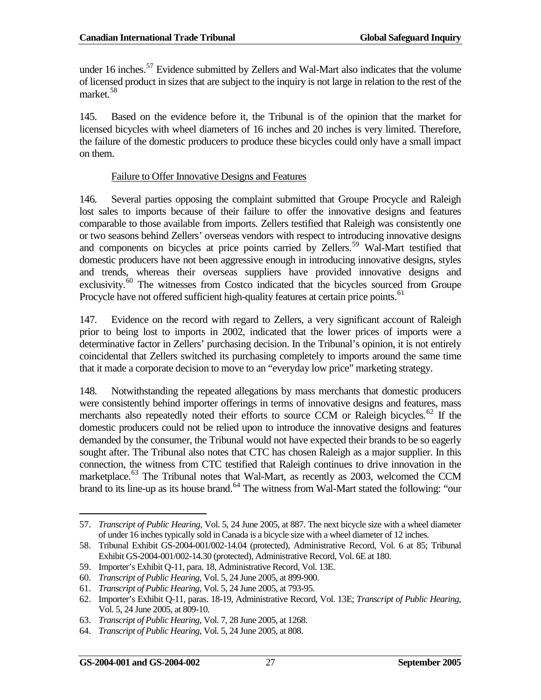under 16 inches. $57$  Evidence submitted by Zellers and Wal-Mart also indicates that the volume of licensed product in sizes that are subject to the inquiry is not large in relation to the rest of the market.[58](#page-36-1)

145. Based on the evidence before it, the Tribunal is of the opinion that the market for licensed bicycles with wheel diameters of 16 inches and 20 inches is very limited. Therefore, the failure of the domestic producers to produce these bicycles could only have a small impact on them.

#### Failure to Offer Innovative Designs and Features

146. Several parties opposing the complaint submitted that Groupe Procycle and Raleigh lost sales to imports because of their failure to offer the innovative designs and features comparable to those available from imports. Zellers testified that Raleigh was consistently one or two seasons behind Zellers' overseas vendors with respect to introducing innovative designs and components on bicycles at price points carried by Zellers.<sup>[59](#page-36-2)</sup> Wal-Mart testified that domestic producers have not been aggressive enough in introducing innovative designs, styles and trends, whereas their overseas suppliers have provided innovative designs and exclusivity.<sup>[60](#page-36-3)</sup> The witnesses from Costco indicated that the bicycles sourced from Groupe Procycle have not offered sufficient high-quality features at certain price points.<sup>[61](#page-36-4)</sup>

147. Evidence on the record with regard to Zellers, a very significant account of Raleigh prior to being lost to imports in 2002, indicated that the lower prices of imports were a determinative factor in Zellers' purchasing decision. In the Tribunal's opinion, it is not entirely coincidental that Zellers switched its purchasing completely to imports around the same time that it made a corporate decision to move to an "everyday low price" marketing strategy.

148. Notwithstanding the repeated allegations by mass merchants that domestic producers were consistently behind importer offerings in terms of innovative designs and features, mass merchants also repeatedly noted their efforts to source CCM or Raleigh bicycles.<sup>[62](#page-36-5)</sup> If the domestic producers could not be relied upon to introduce the innovative designs and features demanded by the consumer, the Tribunal would not have expected their brands to be so eagerly sought after. The Tribunal also notes that CTC has chosen Raleigh as a major supplier. In this connection, the witness from CTC testified that Raleigh continues to drive innovation in the marketplace.<sup>[63](#page-36-6)</sup> The Tribunal notes that Wal-Mart, as recently as 2003, welcomed the CCM brand to its line-up as its house brand.<sup>[64](#page-36-7)</sup> The witness from Wal-Mart stated the following: "our

 $\overline{a}$ 

<span id="page-36-0"></span><sup>57.</sup> *Transcript of Public Hearing*, Vol. 5, 24 June 2005, at 887. The next bicycle size with a wheel diameter of under 16 inches typically sold in Canada is a bicycle size with a wheel diameter of 12 inches.

<span id="page-36-1"></span><sup>58.</sup> Tribunal Exhibit GS-2004-001/002-14.04 (protected), Administrative Record, Vol. 6 at 85; Tribunal Exhibit GS-2004-001/002-14.30 (protected), Administrative Record, Vol. 6E at 180.

<span id="page-36-2"></span><sup>59.</sup> Importer's Exhibit Q-11, para. 18, Administrative Record, Vol. 13E.

<span id="page-36-3"></span><sup>60.</sup> *Transcript of Public Hearing*, Vol. 5, 24 June 2005, at 899-900.

<span id="page-36-4"></span><sup>61.</sup> *Transcript of Public Hearing*, Vol. 5, 24 June 2005, at 793-95.

<span id="page-36-5"></span><sup>62.</sup> Importer's Exhibit Q-11, paras. 18-19, Administrative Record, Vol. 13E; *Transcript of Public Hearing*, Vol. 5, 24 June 2005, at 809-10.

<span id="page-36-6"></span><sup>63.</sup> *Transcript of Public Hearing*, Vol. 7, 28 June 2005, at 1268.

<span id="page-36-7"></span><sup>64.</sup> *Transcript of Public Hearing*, Vol. 5, 24 June 2005, at 808.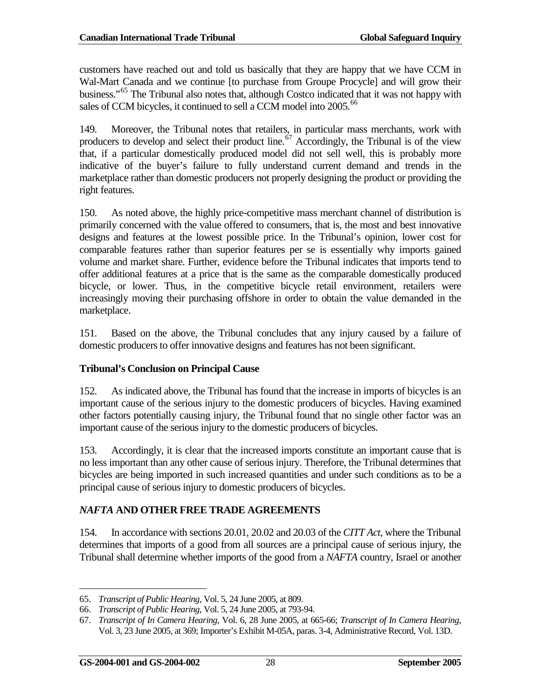customers have reached out and told us basically that they are happy that we have CCM in Wal-Mart Canada and we continue [to purchase from Groupe Procycle] and will grow their business."[65](#page-37-1) The Tribunal also notes that, although Costco indicated that it was not happy with sales of CCM bicycles, it continued to sell a CCM model into 2005.<sup>[66](#page-37-2)</sup>

149. Moreover, the Tribunal notes that retailers, in particular mass merchants, work with producers to develop and select their product line.<sup> $67$ </sup> Accordingly, the Tribunal is of the view that, if a particular domestically produced model did not sell well, this is probably more indicative of the buyer's failure to fully understand current demand and trends in the marketplace rather than domestic producers not properly designing the product or providing the right features.

150. As noted above, the highly price-competitive mass merchant channel of distribution is primarily concerned with the value offered to consumers, that is, the most and best innovative designs and features at the lowest possible price. In the Tribunal's opinion, lower cost for comparable features rather than superior features per se is essentially why imports gained volume and market share. Further, evidence before the Tribunal indicates that imports tend to offer additional features at a price that is the same as the comparable domestically produced bicycle, or lower. Thus, in the competitive bicycle retail environment, retailers were increasingly moving their purchasing offshore in order to obtain the value demanded in the marketplace.

151. Based on the above, the Tribunal concludes that any injury caused by a failure of domestic producers to offer innovative designs and features has not been significant.

### **Tribunal's Conclusion on Principal Cause**

152. As indicated above, the Tribunal has found that the increase in imports of bicycles is an important cause of the serious injury to the domestic producers of bicycles. Having examined other factors potentially causing injury, the Tribunal found that no single other factor was an important cause of the serious injury to the domestic producers of bicycles.

153. Accordingly, it is clear that the increased imports constitute an important cause that is no less important than any other cause of serious injury. Therefore, the Tribunal determines that bicycles are being imported in such increased quantities and under such conditions as to be a principal cause of serious injury to domestic producers of bicycles.

### <span id="page-37-0"></span>*NAFTA* **AND OTHER FREE TRADE AGREEMENTS**

154. In accordance with sections 20.01, 20.02 and 20.03 of the *CITT Act*, where the Tribunal determines that imports of a good from all sources are a principal cause of serious injury, the Tribunal shall determine whether imports of the good from a *NAFTA* country, Israel or another

<sup>65.</sup> *Transcript of Public Hearing*, Vol. 5, 24 June 2005, at 809.  $\overline{a}$ 

<span id="page-37-2"></span><span id="page-37-1"></span><sup>66.</sup> *Transcript of Public Hearing*, Vol. 5, 24 June 2005, at 793-94.

<span id="page-37-3"></span><sup>67.</sup> *Transcript of In Camera Hearing*, Vol. 6, 28 June 2005, at 665-66; *Transcript of In Camera Hearing,* Vol. 3, 23 June 2005, at 369; Importer's Exhibit M-05A, paras. 3-4, Administrative Record, Vol. 13D.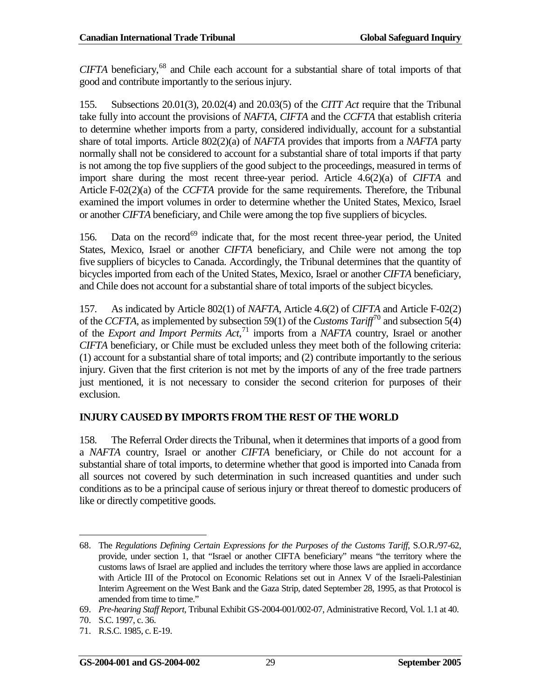*CIFTA* beneficiary,[68](#page-38-1) and Chile each account for a substantial share of total imports of that good and contribute importantly to the serious injury.

155. Subsections 20.01(3), 20.02(4) and 20.03(5) of the *CITT Act* require that the Tribunal take fully into account the provisions of *NAFTA*, *CIFTA* and the *CCFTA* that establish criteria to determine whether imports from a party, considered individually, account for a substantial share of total imports. Article 802(2)(a) of *NAFTA* provides that imports from a *NAFTA* party normally shall not be considered to account for a substantial share of total imports if that party is not among the top five suppliers of the good subject to the proceedings, measured in terms of import share during the most recent three-year period. Article 4.6(2)(a) of *CIFTA* and Article F-02(2)(a) of the *CCFTA* provide for the same requirements. Therefore, the Tribunal examined the import volumes in order to determine whether the United States, Mexico, Israel or another *CIFTA* beneficiary, and Chile were among the top five suppliers of bicycles.

156. Data on the record<sup>[69](#page-38-2)</sup> indicate that, for the most recent three-year period, the United States, Mexico, Israel or another *CIFTA* beneficiary, and Chile were not among the top five suppliers of bicycles to Canada. Accordingly, the Tribunal determines that the quantity of bicycles imported from each of the United States, Mexico, Israel or another *CIFTA* beneficiary, and Chile does not account for a substantial share of total imports of the subject bicycles.

157. As indicated by Article 802(1) of *NAFTA*, Article 4.6(2) of *CIFTA* and Article F-02(2) of the *CCFTA*, as implemented by subsection 59(1) of the *Customs Tariff*[70](#page-38-3) and subsection 5(4) of the *Export and Import Permits Act*, [71](#page-38-4) imports from a *NAFTA* country, Israel or another *CIFTA* beneficiary, or Chile must be excluded unless they meet both of the following criteria: (1) account for a substantial share of total imports; and (2) contribute importantly to the serious injury. Given that the first criterion is not met by the imports of any of the free trade partners just mentioned, it is not necessary to consider the second criterion for purposes of their exclusion.

### <span id="page-38-0"></span>**INJURY CAUSED BY IMPORTS FROM THE REST OF THE WORLD**

158. The Referral Order directs the Tribunal, when it determines that imports of a good from a *NAFTA* country, Israel or another *CIFTA* beneficiary, or Chile do not account for a substantial share of total imports, to determine whether that good is imported into Canada from all sources not covered by such determination in such increased quantities and under such conditions as to be a principal cause of serious injury or threat thereof to domestic producers of like or directly competitive goods.

<span id="page-38-1"></span><sup>68.</sup> The *Regulations Defining Certain Expressions for the Purposes of the Customs Tariff*, S.O.R./97-62, provide, under section 1, that "Israel or another CIFTA beneficiary" means "the territory where the customs laws of Israel are applied and includes the territory where those laws are applied in accordance with Article III of the Protocol on Economic Relations set out in Annex V of the Israeli-Palestinian Interim Agreement on the West Bank and the Gaza Strip, dated September 28, 1995, as that Protocol is amended from time to time."  $\overline{a}$ 

<span id="page-38-2"></span><sup>69.</sup> *Pre-hearing Staff Report*, Tribunal Exhibit GS-2004-001/002-07, Administrative Record, Vol. 1.1 at 40.

<span id="page-38-3"></span><sup>70.</sup> S.C. 1997, c. 36.

<span id="page-38-4"></span><sup>71.</sup> R.S.C. 1985, c. E-19.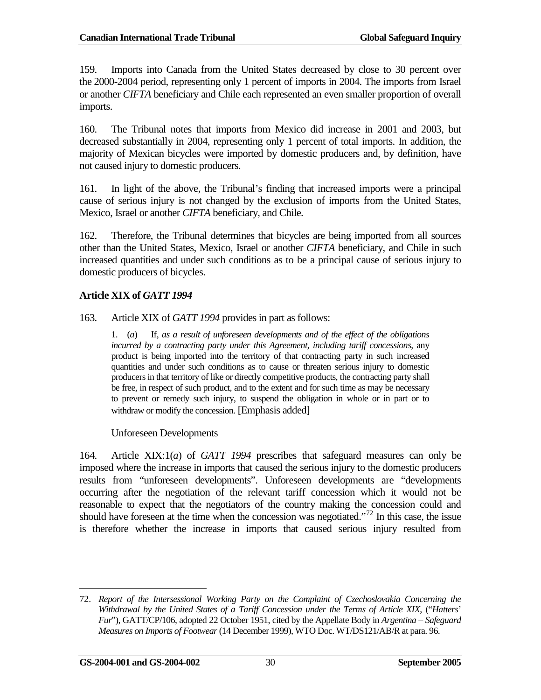159. Imports into Canada from the United States decreased by close to 30 percent over the 2000-2004 period, representing only 1 percent of imports in 2004. The imports from Israel or another *CIFTA* beneficiary and Chile each represented an even smaller proportion of overall imports.

160. The Tribunal notes that imports from Mexico did increase in 2001 and 2003, but decreased substantially in 2004, representing only 1 percent of total imports. In addition, the majority of Mexican bicycles were imported by domestic producers and, by definition, have not caused injury to domestic producers.

161. In light of the above, the Tribunal's finding that increased imports were a principal cause of serious injury is not changed by the exclusion of imports from the United States, Mexico, Israel or another *CIFTA* beneficiary, and Chile.

162. Therefore, the Tribunal determines that bicycles are being imported from all sources other than the United States, Mexico, Israel or another *CIFTA* beneficiary, and Chile in such increased quantities and under such conditions as to be a principal cause of serious injury to domestic producers of bicycles.

### **Article XIX of** *GATT 1994*

163. Article XIX of *GATT 1994* provides in part as follows:

1. (*a*) If, *as a result of unforeseen developments and of the effect of the obligations incurred by a contracting party under this Agreement, including tariff concessions*, any product is being imported into the territory of that contracting party in such increased quantities and under such conditions as to cause or threaten serious injury to domestic producers in that territory of like or directly competitive products, the contracting party shall be free, in respect of such product, and to the extent and for such time as may be necessary to prevent or remedy such injury, to suspend the obligation in whole or in part or to withdraw or modify the concession. [Emphasis added]

#### Unforeseen Developments

164. Article XIX:1(*a*) of *GATT 1994* prescribes that safeguard measures can only be imposed where the increase in imports that caused the serious injury to the domestic producers results from "unforeseen developments". Unforeseen developments are "developments occurring after the negotiation of the relevant tariff concession which it would not be reasonable to expect that the negotiators of the country making the concession could and should have foreseen at the time when the concession was negotiated."[72](#page-39-0) In this case, the issue is therefore whether the increase in imports that caused serious injury resulted from

<span id="page-39-0"></span><sup>72.</sup> *Report of the Intersessional Working Party on the Complaint of Czechoslovakia Concerning the Withdrawal by the United States of a Tariff Concession under the Terms of Article XIX*, ("*Hatters*' *Fur*"), GATT/CP/106, adopted 22 October 1951, cited by the Appellate Body in *Argentina – Safeguard Measures on Imports of Footwear*(14 December 1999), WTO Doc. WT/DS121/AB/R at para. 96.  $\overline{a}$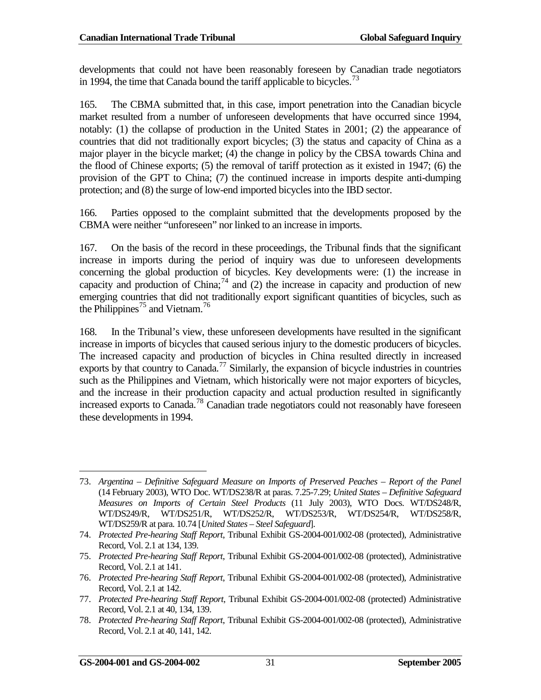developments that could not have been reasonably foreseen by Canadian trade negotiators in 1994, the time that Canada bound the tariff applicable to bicycles.<sup>[73](#page-40-0)</sup>

165. The CBMA submitted that, in this case, import penetration into the Canadian bicycle market resulted from a number of unforeseen developments that have occurred since 1994, notably: (1) the collapse of production in the United States in 2001; (2) the appearance of countries that did not traditionally export bicycles; (3) the status and capacity of China as a major player in the bicycle market; (4) the change in policy by the CBSA towards China and the flood of Chinese exports; (5) the removal of tariff protection as it existed in 1947; (6) the provision of the GPT to China; (7) the continued increase in imports despite anti-dumping protection; and (8) the surge of low-end imported bicycles into the IBD sector.

166. Parties opposed to the complaint submitted that the developments proposed by the CBMA were neither "unforeseen" nor linked to an increase in imports.

167. On the basis of the record in these proceedings, the Tribunal finds that the significant increase in imports during the period of inquiry was due to unforeseen developments concerning the global production of bicycles. Key developments were: (1) the increase in capacity and production of China;  $^{74}$  $^{74}$  $^{74}$  and (2) the increase in capacity and production of new emerging countries that did not traditionally export significant quantities of bicycles, such as the Philippines<sup>[75](#page-40-2)</sup> and Vietnam.<sup>[76](#page-40-3)</sup>

168. In the Tribunal's view, these unforeseen developments have resulted in the significant increase in imports of bicycles that caused serious injury to the domestic producers of bicycles. The increased capacity and production of bicycles in China resulted directly in increased exports by that country to Canada.<sup>[77](#page-40-4)</sup> Similarly, the expansion of bicycle industries in countries such as the Philippines and Vietnam, which historically were not major exporters of bicycles, and the increase in their production capacity and actual production resulted in significantly increased exports to Canada.[78](#page-40-5) Canadian trade negotiators could not reasonably have foreseen these developments in 1994.

<span id="page-40-0"></span><sup>73.</sup> *Argentina – Definitive Safeguard Measure on Imports of Preserved Peaches – Report of the Panel* (14 February 2003), WTO Doc. WT/DS238/R at paras. 7.25-7.29; *United States – Definitive Safeguard Measures on Imports of Certain Steel Products* (11 July 2003), WTO Docs. WT/DS248/R, WT/DS249/R, WT/DS251/R, WT/DS252/R, WT/DS253/R, WT/DS254/R, WT/DS258/R, WT/DS259/R at para. 10.74 [*United States – Steel Safeguard*].  $\overline{a}$ 

<span id="page-40-1"></span><sup>74.</sup> *Protected Pre-hearing Staff Report*, Tribunal Exhibit GS-2004-001/002-08 (protected), Administrative Record, Vol. 2.1 at 134, 139.

<span id="page-40-2"></span><sup>75.</sup> *Protected Pre-hearing Staff Report*, Tribunal Exhibit GS-2004-001/002-08 (protected), Administrative Record, Vol. 2.1 at 141.

<span id="page-40-3"></span><sup>76.</sup> *Protected Pre-hearing Staff Report*, Tribunal Exhibit GS-2004-001/002-08 (protected), Administrative Record, Vol. 2.1 at 142.

<span id="page-40-4"></span><sup>77.</sup> *Protected Pre-hearing Staff Report*, Tribunal Exhibit GS-2004-001/002-08 (protected) Administrative Record, Vol. 2.1 at 40, 134, 139.

<span id="page-40-5"></span><sup>78.</sup> *Protected Pre-hearing Staff Report*, Tribunal Exhibit GS-2004-001/002-08 (protected), Administrative Record, Vol. 2.1 at 40, 141, 142.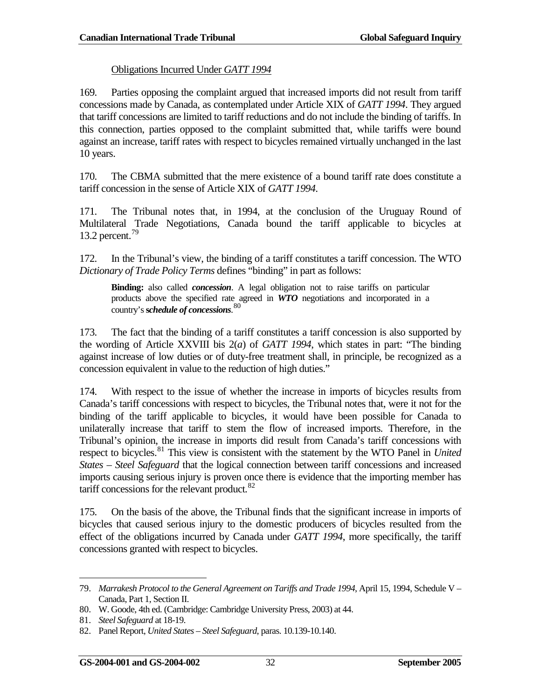#### Obligations Incurred Under *GATT 1994*

169. Parties opposing the complaint argued that increased imports did not result from tariff concessions made by Canada, as contemplated under Article XIX of *GATT 1994*. They argued that tariff concessions are limited to tariff reductions and do not include the binding of tariffs. In this connection, parties opposed to the complaint submitted that, while tariffs were bound against an increase, tariff rates with respect to bicycles remained virtually unchanged in the last 10 years.

170. The CBMA submitted that the mere existence of a bound tariff rate does constitute a tariff concession in the sense of Article XIX of *GATT 1994*.

171. The Tribunal notes that, in 1994, at the conclusion of the Uruguay Round of Multilateral Trade Negotiations, Canada bound the tariff applicable to bicycles at 13.2 percent.<sup>[79](#page-41-0)</sup>

172. In the Tribunal's view, the binding of a tariff constitutes a tariff concession. The WTO *Dictionary of Trade Policy Terms* defines "binding" in part as follows:

**Binding:** also called *concession*. A legal obligation not to raise tariffs on particular products above the specified rate agreed in *WTO* negotiations and incorporated in a country's **s***chedule of concessions*. [80](#page-41-1)

173. The fact that the binding of a tariff constitutes a tariff concession is also supported by the wording of Article XXVIII bis 2(*a*) of *GATT 1994*, which states in part: "The binding against increase of low duties or of duty-free treatment shall, in principle, be recognized as a concession equivalent in value to the reduction of high duties."

174. With respect to the issue of whether the increase in imports of bicycles results from Canada's tariff concessions with respect to bicycles, the Tribunal notes that, were it not for the binding of the tariff applicable to bicycles, it would have been possible for Canada to unilaterally increase that tariff to stem the flow of increased imports. Therefore, in the Tribunal's opinion, the increase in imports did result from Canada's tariff concessions with respect to bicycles.[81](#page-41-2) This view is consistent with the statement by the WTO Panel in *United States – Steel Safeguard* that the logical connection between tariff concessions and increased imports causing serious injury is proven once there is evidence that the importing member has tariff concessions for the relevant product. $82$ 

175. On the basis of the above, the Tribunal finds that the significant increase in imports of bicycles that caused serious injury to the domestic producers of bicycles resulted from the effect of the obligations incurred by Canada under *GATT 1994*, more specifically, the tariff concessions granted with respect to bicycles.

<span id="page-41-0"></span><sup>79.</sup> *Marrakesh Protocol to the General Agreement on Tariffs and Trade 1994*, April 15, 1994, Schedule V – Canada, Part 1, Section II.  $\overline{a}$ 

<span id="page-41-1"></span><sup>80.</sup> W. Goode, 4th ed. (Cambridge: Cambridge University Press, 2003) at 44.

<span id="page-41-2"></span><sup>81.</sup> *Steel Safeguard* at 18-19.

<span id="page-41-3"></span><sup>82.</sup> Panel Report, *United States – Steel Safeguard*, paras. 10.139-10.140.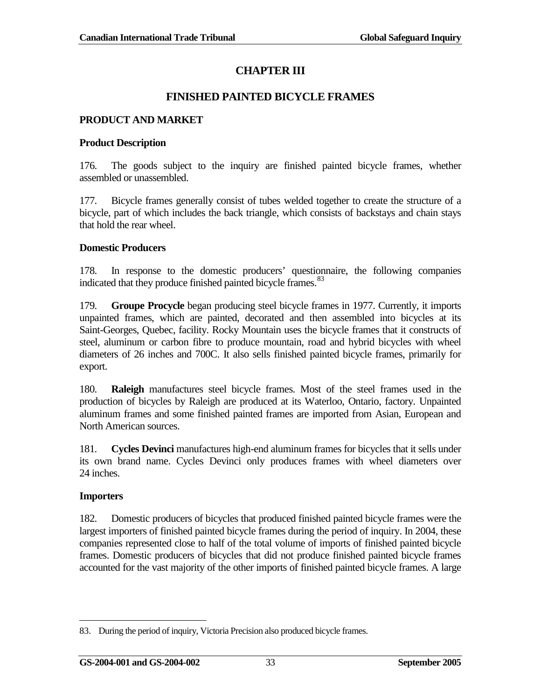# **CHAPTER III**

### **FINISHED PAINTED BICYCLE FRAMES**

### <span id="page-42-1"></span><span id="page-42-0"></span>**PRODUCT AND MARKET**

### **Product Description**

176. The goods subject to the inquiry are finished painted bicycle frames, whether assembled or unassembled.

177. Bicycle frames generally consist of tubes welded together to create the structure of a bicycle, part of which includes the back triangle, which consists of backstays and chain stays that hold the rear wheel.

#### **Domestic Producers**

178. In response to the domestic producers' questionnaire, the following companies indicated that they produce finished painted bicycle frames.<sup>[83](#page-42-2)</sup>

179. **Groupe Procycle** began producing steel bicycle frames in 1977. Currently, it imports unpainted frames, which are painted, decorated and then assembled into bicycles at its Saint-Georges, Quebec, facility. Rocky Mountain uses the bicycle frames that it constructs of steel, aluminum or carbon fibre to produce mountain, road and hybrid bicycles with wheel diameters of 26 inches and 700C. It also sells finished painted bicycle frames, primarily for export.

180. **Raleigh** manufactures steel bicycle frames. Most of the steel frames used in the production of bicycles by Raleigh are produced at its Waterloo, Ontario, factory. Unpainted aluminum frames and some finished painted frames are imported from Asian, European and North American sources.

181. **Cycles Devinci** manufactures high-end aluminum frames for bicycles that it sells under its own brand name. Cycles Devinci only produces frames with wheel diameters over 24 inches.

### **Importers**

182. Domestic producers of bicycles that produced finished painted bicycle frames were the largest importers of finished painted bicycle frames during the period of inquiry. In 2004, these companies represented close to half of the total volume of imports of finished painted bicycle frames. Domestic producers of bicycles that did not produce finished painted bicycle frames accounted for the vast majority of the other imports of finished painted bicycle frames. A large

<span id="page-42-2"></span><sup>83.</sup> During the period of inquiry, Victoria Precision also produced bicycle frames.  $\overline{a}$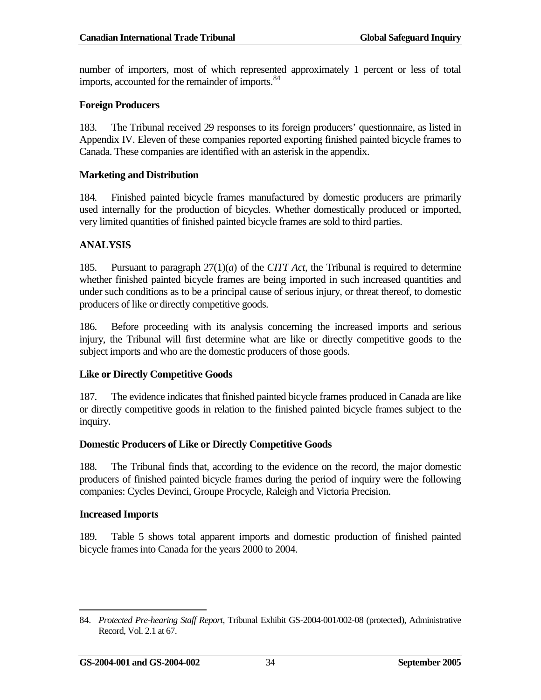number of importers, most of which represented approximately 1 percent or less of total imports, accounted for the remainder of imports.<sup>[84](#page-43-1)</sup>

#### **Foreign Producers**

183. The Tribunal received 29 responses to its foreign producers' questionnaire, as listed in Appendix IV. Eleven of these companies reported exporting finished painted bicycle frames to Canada. These companies are identified with an asterisk in the appendix.

#### **Marketing and Distribution**

184. Finished painted bicycle frames manufactured by domestic producers are primarily used internally for the production of bicycles. Whether domestically produced or imported, very limited quantities of finished painted bicycle frames are sold to third parties.

### <span id="page-43-0"></span>**ANALYSIS**

185. Pursuant to paragraph 27(1)(*a*) of the *CITT Act*, the Tribunal is required to determine whether finished painted bicycle frames are being imported in such increased quantities and under such conditions as to be a principal cause of serious injury, or threat thereof, to domestic producers of like or directly competitive goods.

186. Before proceeding with its analysis concerning the increased imports and serious injury, the Tribunal will first determine what are like or directly competitive goods to the subject imports and who are the domestic producers of those goods.

### **Like or Directly Competitive Goods**

187. The evidence indicates that finished painted bicycle frames produced in Canada are like or directly competitive goods in relation to the finished painted bicycle frames subject to the inquiry.

#### **Domestic Producers of Like or Directly Competitive Goods**

188. The Tribunal finds that, according to the evidence on the record, the major domestic producers of finished painted bicycle frames during the period of inquiry were the following companies: Cycles Devinci, Groupe Procycle, Raleigh and Victoria Precision.

#### **Increased Imports**

189. Table 5 shows total apparent imports and domestic production of finished painted bicycle frames into Canada for the years 2000 to 2004.

<span id="page-43-1"></span><sup>84.</sup> *Protected Pre-hearing Staff Report*, Tribunal Exhibit GS-2004-001/002-08 (protected), Administrative Record, Vol. 2.1 at 67.  $\overline{a}$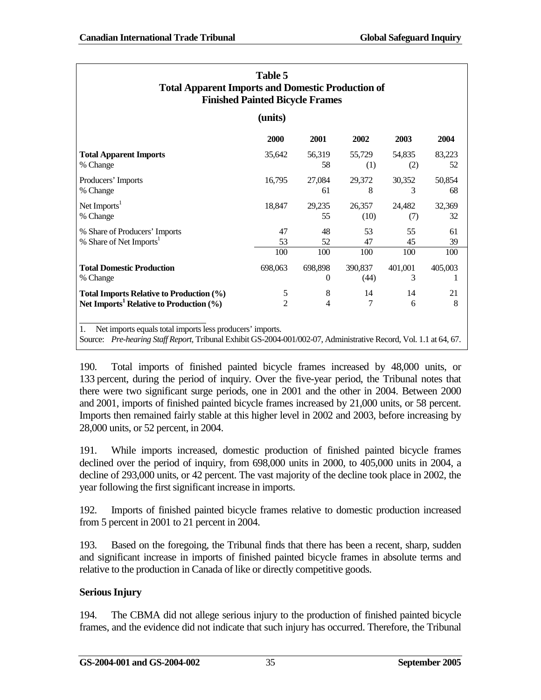| Table 5<br><b>Total Apparent Imports and Domestic Production of</b><br><b>Finished Painted Bicycle Frames</b>                                                                        |                     |                     |                 |               |              |
|--------------------------------------------------------------------------------------------------------------------------------------------------------------------------------------|---------------------|---------------------|-----------------|---------------|--------------|
| (units)                                                                                                                                                                              |                     |                     |                 |               |              |
|                                                                                                                                                                                      | 2000                | 2001                | 2002            | 2003          | 2004         |
| <b>Total Apparent Imports</b><br>% Change                                                                                                                                            | 35,642              | 56,319<br>58        | 55,729<br>(1)   | 54,835<br>(2) | 83,223<br>52 |
| Producers' Imports<br>% Change                                                                                                                                                       | 16,795              | 27,084<br>61        | 29,372<br>8     | 30,352<br>3   | 50,854<br>68 |
| Net Imports <sup>1</sup><br>% Change                                                                                                                                                 | 18,847              | 29,235<br>55        | 26,357<br>(10)  | 24,482<br>(7) | 32,369<br>32 |
| % Share of Producers' Imports<br>% Share of Net Imports <sup>1</sup>                                                                                                                 | 47<br>53            | 48<br>52            | 53<br>47        | 55<br>45      | 61<br>39     |
|                                                                                                                                                                                      | 100                 | 100                 | 100             | 100           | 100          |
| <b>Total Domestic Production</b><br>% Change                                                                                                                                         | 698,063             | 698,898<br>$\theta$ | 390,837<br>(44) | 401,001<br>3  | 405,003      |
| Total Imports Relative to Production (%)<br>Net Imports <sup>1</sup> Relative to Production $(\% )$                                                                                  | 5<br>$\overline{2}$ | 8<br>$\overline{4}$ | 14<br>7         | 14<br>6       | 21<br>8      |
| 1.<br>Net imports equals total imports less producers' imports.<br>Source: Pre-hearing Staff Report, Tribunal Exhibit GS-2004-001/002-07, Administrative Record, Vol. 1.1 at 64, 67. |                     |                     |                 |               |              |

190. Total imports of finished painted bicycle frames increased by 48,000 units, or 133 percent, during the period of inquiry. Over the five-year period, the Tribunal notes that there were two significant surge periods, one in 2001 and the other in 2004. Between 2000 and 2001, imports of finished painted bicycle frames increased by 21,000 units, or 58 percent. Imports then remained fairly stable at this higher level in 2002 and 2003, before increasing by 28,000 units, or 52 percent, in 2004.

191. While imports increased, domestic production of finished painted bicycle frames declined over the period of inquiry, from 698,000 units in 2000, to 405,000 units in 2004, a decline of 293,000 units, or 42 percent. The vast majority of the decline took place in 2002, the year following the first significant increase in imports.

192. Imports of finished painted bicycle frames relative to domestic production increased from 5 percent in 2001 to 21 percent in 2004.

193. Based on the foregoing, the Tribunal finds that there has been a recent, sharp, sudden and significant increase in imports of finished painted bicycle frames in absolute terms and relative to the production in Canada of like or directly competitive goods.

# **Serious Injury**

194. The CBMA did not allege serious injury to the production of finished painted bicycle frames, and the evidence did not indicate that such injury has occurred. Therefore, the Tribunal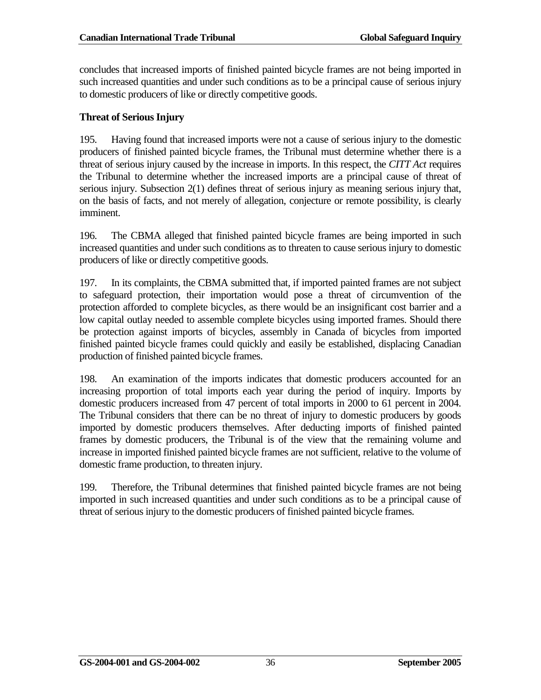concludes that increased imports of finished painted bicycle frames are not being imported in such increased quantities and under such conditions as to be a principal cause of serious injury to domestic producers of like or directly competitive goods.

#### **Threat of Serious Injury**

195. Having found that increased imports were not a cause of serious injury to the domestic producers of finished painted bicycle frames, the Tribunal must determine whether there is a threat of serious injury caused by the increase in imports. In this respect, the *CITT Act* requires the Tribunal to determine whether the increased imports are a principal cause of threat of serious injury. Subsection 2(1) defines threat of serious injury as meaning serious injury that, on the basis of facts, and not merely of allegation, conjecture or remote possibility, is clearly imminent.

196. The CBMA alleged that finished painted bicycle frames are being imported in such increased quantities and under such conditions as to threaten to cause serious injury to domestic producers of like or directly competitive goods.

197. In its complaints, the CBMA submitted that, if imported painted frames are not subject to safeguard protection, their importation would pose a threat of circumvention of the protection afforded to complete bicycles, as there would be an insignificant cost barrier and a low capital outlay needed to assemble complete bicycles using imported frames. Should there be protection against imports of bicycles, assembly in Canada of bicycles from imported finished painted bicycle frames could quickly and easily be established, displacing Canadian production of finished painted bicycle frames.

198. An examination of the imports indicates that domestic producers accounted for an increasing proportion of total imports each year during the period of inquiry. Imports by domestic producers increased from 47 percent of total imports in 2000 to 61 percent in 2004. The Tribunal considers that there can be no threat of injury to domestic producers by goods imported by domestic producers themselves. After deducting imports of finished painted frames by domestic producers, the Tribunal is of the view that the remaining volume and increase in imported finished painted bicycle frames are not sufficient, relative to the volume of domestic frame production, to threaten injury.

199. Therefore, the Tribunal determines that finished painted bicycle frames are not being imported in such increased quantities and under such conditions as to be a principal cause of threat of serious injury to the domestic producers of finished painted bicycle frames.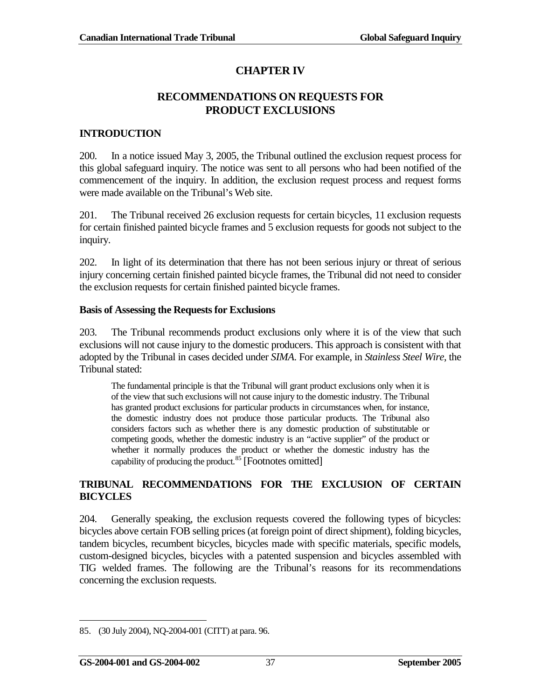# **CHAPTER IV**

### **RECOMMENDATIONS ON REQUESTS FOR PRODUCT EXCLUSIONS**

### <span id="page-46-1"></span><span id="page-46-0"></span>**INTRODUCTION**

200. In a notice issued May 3, 2005, the Tribunal outlined the exclusion request process for this global safeguard inquiry. The notice was sent to all persons who had been notified of the commencement of the inquiry. In addition, the exclusion request process and request forms were made available on the Tribunal's Web site.

201. The Tribunal received 26 exclusion requests for certain bicycles, 11 exclusion requests for certain finished painted bicycle frames and 5 exclusion requests for goods not subject to the inquiry.

202. In light of its determination that there has not been serious injury or threat of serious injury concerning certain finished painted bicycle frames, the Tribunal did not need to consider the exclusion requests for certain finished painted bicycle frames.

#### **Basis of Assessing the Requests for Exclusions**

203. The Tribunal recommends product exclusions only where it is of the view that such exclusions will not cause injury to the domestic producers. This approach is consistent with that adopted by the Tribunal in cases decided under *SIMA*. For example, in *Stainless Steel Wire*, the Tribunal stated:

The fundamental principle is that the Tribunal will grant product exclusions only when it is of the view that such exclusions will not cause injury to the domestic industry. The Tribunal has granted product exclusions for particular products in circumstances when, for instance, the domestic industry does not produce those particular products. The Tribunal also considers factors such as whether there is any domestic production of substitutable or competing goods, whether the domestic industry is an "active supplier" of the product or whether it normally produces the product or whether the domestic industry has the capability of producing the product.<sup>[85](#page-46-3)</sup> [Footnotes omitted]

### <span id="page-46-2"></span>**TRIBUNAL RECOMMENDATIONS FOR THE EXCLUSION OF CERTAIN BICYCLES**

204. Generally speaking, the exclusion requests covered the following types of bicycles: bicycles above certain FOB selling prices (at foreign point of direct shipment), folding bicycles, tandem bicycles, recumbent bicycles, bicycles made with specific materials, specific models, custom-designed bicycles, bicycles with a patented suspension and bicycles assembled with TIG welded frames. The following are the Tribunal's reasons for its recommendations concerning the exclusion requests.

<span id="page-46-3"></span><sup>85.</sup> (30 July 2004), NQ-2004-001 (CITT) at para. 96.  $\overline{a}$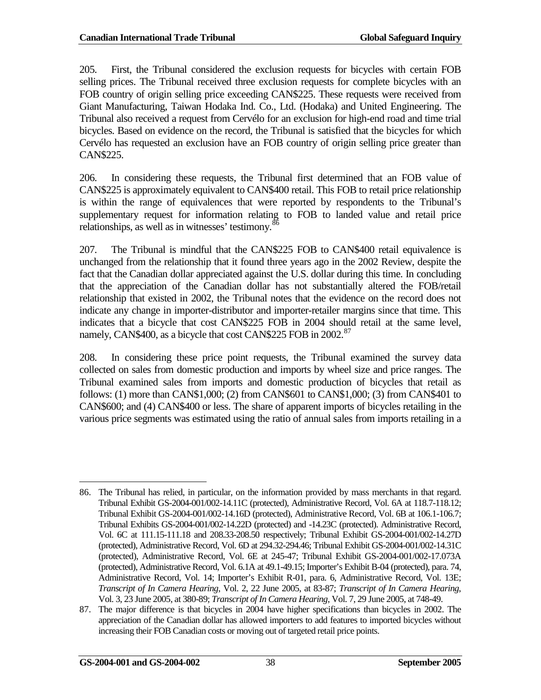205. First, the Tribunal considered the exclusion requests for bicycles with certain FOB selling prices. The Tribunal received three exclusion requests for complete bicycles with an FOB country of origin selling price exceeding CAN\$225. These requests were received from Giant Manufacturing, Taiwan Hodaka Ind. Co., Ltd. (Hodaka) and United Engineering. The Tribunal also received a request from Cervélo for an exclusion for high-end road and time trial bicycles. Based on evidence on the record, the Tribunal is satisfied that the bicycles for which Cervélo has requested an exclusion have an FOB country of origin selling price greater than CAN\$225.

206. In considering these requests, the Tribunal first determined that an FOB value of CAN\$225 is approximately equivalent to CAN\$400 retail. This FOB to retail price relationship is within the range of equivalences that were reported by respondents to the Tribunal's supplementary request for information relating to FOB to landed value and retail price relationships, as well as in witnesses' testimony.<sup>[86](#page-47-0)</sup>

207. The Tribunal is mindful that the CAN\$225 FOB to CAN\$400 retail equivalence is unchanged from the relationship that it found three years ago in the 2002 Review, despite the fact that the Canadian dollar appreciated against the U.S. dollar during this time. In concluding that the appreciation of the Canadian dollar has not substantially altered the FOB/retail relationship that existed in 2002, the Tribunal notes that the evidence on the record does not indicate any change in importer-distributor and importer-retailer margins since that time. This indicates that a bicycle that cost CAN\$225 FOB in 2004 should retail at the same level, namely, CAN\$400, as a bicycle that cost CAN\$225 FOB in 2002.<sup>[87](#page-47-1)</sup>

208. In considering these price point requests, the Tribunal examined the survey data collected on sales from domestic production and imports by wheel size and price ranges. The Tribunal examined sales from imports and domestic production of bicycles that retail as follows: (1) more than CAN\$1,000; (2) from CAN\$601 to CAN\$1,000; (3) from CAN\$401 to CAN\$600; and (4) CAN\$400 or less. The share of apparent imports of bicycles retailing in the various price segments was estimated using the ratio of annual sales from imports retailing in a

<span id="page-47-0"></span><sup>86.</sup> The Tribunal has relied, in particular, on the information provided by mass merchants in that regard. Tribunal Exhibit GS-2004-001/002-14.11C (protected), Administrative Record, Vol. 6A at 118.7-118.12; Tribunal Exhibit GS-2004-001/002-14.16D (protected), Administrative Record, Vol. 6B at 106.1-106.7; Tribunal Exhibits GS-2004-001/002-14.22D (protected) and -14.23C (protected). Administrative Record, Vol. 6C at 111.15-111.18 and 208.33-208.50 respectively; Tribunal Exhibit GS-2004-001/002-14.27D (protected), Administrative Record, Vol. 6D at 294.32-294.46; Tribunal Exhibit GS-2004-001/002-14.31C (protected), Administrative Record, Vol. 6E at 245-47; Tribunal Exhibit GS-2004-001/002-17.073A (protected), Administrative Record, Vol. 6.1A at 49.1-49.15; Importer's Exhibit B-04 (protected), para. 74, Administrative Record, Vol. 14; Importer's Exhibit R-01, para. 6, Administrative Record, Vol. 13E; *Transcript of In Camera Hearing*, Vol. 2, 22 June 2005, at 83-87; *Transcript of In Camera Hearing*, Vol. 3, 23 June 2005, at 380-89; *Transcript of In Camera Hearing*, Vol. 7, 29 June 2005, at 748-49.  $\overline{a}$ 

<span id="page-47-1"></span><sup>87.</sup> The major difference is that bicycles in 2004 have higher specifications than bicycles in 2002. The appreciation of the Canadian dollar has allowed importers to add features to imported bicycles without increasing their FOB Canadian costs or moving out of targeted retail price points.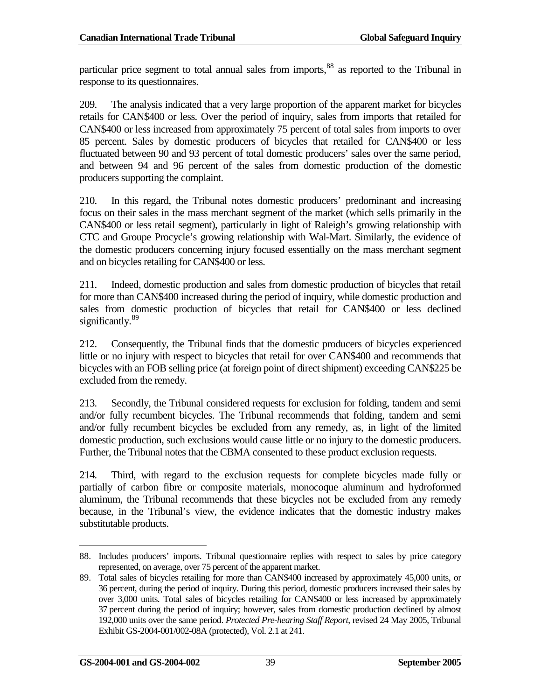particular price segment to total annual sales from imports, <sup>[88](#page-48-0)</sup> as reported to the Tribunal in response to its questionnaires.

209. The analysis indicated that a very large proportion of the apparent market for bicycles retails for CAN\$400 or less. Over the period of inquiry, sales from imports that retailed for CAN\$400 or less increased from approximately 75 percent of total sales from imports to over 85 percent. Sales by domestic producers of bicycles that retailed for CAN\$400 or less fluctuated between 90 and 93 percent of total domestic producers' sales over the same period, and between 94 and 96 percent of the sales from domestic production of the domestic producers supporting the complaint.

210. In this regard, the Tribunal notes domestic producers' predominant and increasing focus on their sales in the mass merchant segment of the market (which sells primarily in the CAN\$400 or less retail segment), particularly in light of Raleigh's growing relationship with CTC and Groupe Procycle's growing relationship with Wal-Mart. Similarly, the evidence of the domestic producers concerning injury focused essentially on the mass merchant segment and on bicycles retailing for CAN\$400 or less.

211. Indeed, domestic production and sales from domestic production of bicycles that retail for more than CAN\$400 increased during the period of inquiry, while domestic production and sales from domestic production of bicycles that retail for CAN\$400 or less declined significantly.<sup>[89](#page-48-1)</sup>

212. Consequently, the Tribunal finds that the domestic producers of bicycles experienced little or no injury with respect to bicycles that retail for over CAN\$400 and recommends that bicycles with an FOB selling price (at foreign point of direct shipment) exceeding CAN\$225 be excluded from the remedy.

213. Secondly, the Tribunal considered requests for exclusion for folding, tandem and semi and/or fully recumbent bicycles. The Tribunal recommends that folding, tandem and semi and/or fully recumbent bicycles be excluded from any remedy, as, in light of the limited domestic production, such exclusions would cause little or no injury to the domestic producers. Further, the Tribunal notes that the CBMA consented to these product exclusion requests.

214. Third, with regard to the exclusion requests for complete bicycles made fully or partially of carbon fibre or composite materials, monocoque aluminum and hydroformed aluminum, the Tribunal recommends that these bicycles not be excluded from any remedy because, in the Tribunal's view, the evidence indicates that the domestic industry makes substitutable products.

<span id="page-48-0"></span><sup>88.</sup> Includes producers' imports. Tribunal questionnaire replies with respect to sales by price category represented, on average, over 75 percent of the apparent market.  $\overline{a}$ 

<span id="page-48-1"></span><sup>89.</sup> Total sales of bicycles retailing for more than CAN\$400 increased by approximately 45,000 units, or 36 percent, during the period of inquiry. During this period, domestic producers increased their sales by over 3,000 units. Total sales of bicycles retailing for CAN\$400 or less increased by approximately 37 percent during the period of inquiry; however, sales from domestic production declined by almost 192,000 units over the same period. *Protected Pre-hearing Staff Report*, revised 24 May 2005, Tribunal Exhibit GS-2004-001/002-08A (protected), Vol. 2.1 at 241.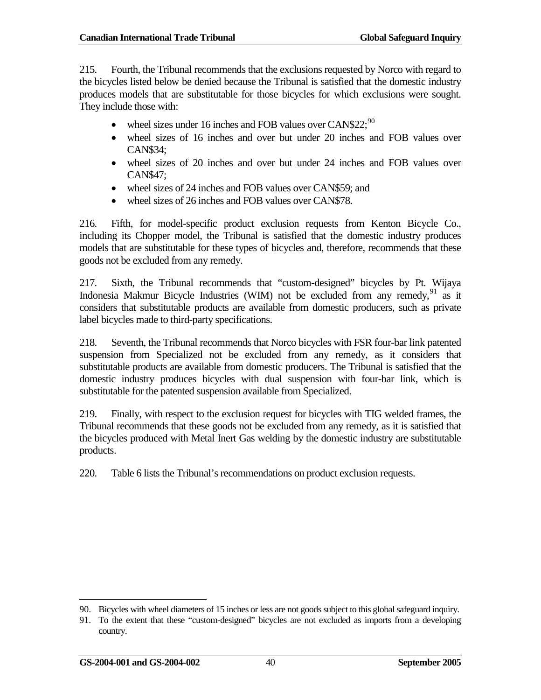215. Fourth, the Tribunal recommends that the exclusions requested by Norco with regard to the bicycles listed below be denied because the Tribunal is satisfied that the domestic industry produces models that are substitutable for those bicycles for which exclusions were sought. They include those with:

- wheel sizes under 16 inches and FOB values over CAN\$22; $^{90}$  $^{90}$  $^{90}$
- wheel sizes of 16 inches and over but under 20 inches and FOB values over CAN\$34;
- wheel sizes of 20 inches and over but under 24 inches and FOB values over CAN\$47;
- wheel sizes of 24 inches and FOB values over CAN\$59; and
- wheel sizes of 26 inches and FOB values over CAN\$78.

216. Fifth, for model-specific product exclusion requests from Kenton Bicycle Co., including its Chopper model, the Tribunal is satisfied that the domestic industry produces models that are substitutable for these types of bicycles and, therefore, recommends that these goods not be excluded from any remedy.

217. Sixth, the Tribunal recommends that "custom-designed" bicycles by Pt. Wijaya Indonesia Makmur Bicycle Industries (WIM) not be excluded from any remedy,  $91$  as it considers that substitutable products are available from domestic producers, such as private label bicycles made to third-party specifications.

218. Seventh, the Tribunal recommends that Norco bicycles with FSR four-bar link patented suspension from Specialized not be excluded from any remedy, as it considers that substitutable products are available from domestic producers. The Tribunal is satisfied that the domestic industry produces bicycles with dual suspension with four-bar link, which is substitutable for the patented suspension available from Specialized.

219. Finally, with respect to the exclusion request for bicycles with TIG welded frames, the Tribunal recommends that these goods not be excluded from any remedy, as it is satisfied that the bicycles produced with Metal Inert Gas welding by the domestic industry are substitutable products.

220. Table 6 lists the Tribunal's recommendations on product exclusion requests.

 $\overline{a}$ 

<span id="page-49-0"></span><sup>90.</sup> Bicycles with wheel diameters of 15 inches or less are not goods subject to this global safeguard inquiry.

<span id="page-49-1"></span><sup>91.</sup> To the extent that these "custom-designed" bicycles are not excluded as imports from a developing country.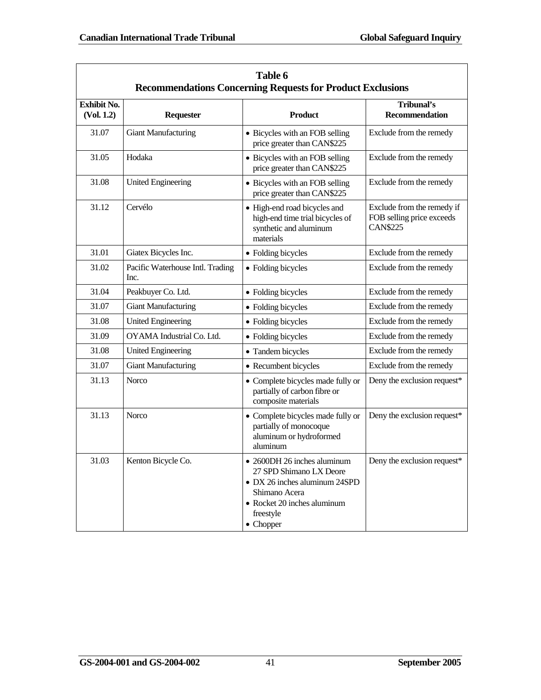| Table 6<br><b>Recommendations Concerning Requests for Product Exclusions</b> |                                          |                                                                                                                                                                           |                                                                            |  |
|------------------------------------------------------------------------------|------------------------------------------|---------------------------------------------------------------------------------------------------------------------------------------------------------------------------|----------------------------------------------------------------------------|--|
| <b>Exhibit No.</b><br>(Vol. 1.2)                                             | <b>Requester</b>                         | <b>Product</b>                                                                                                                                                            | Tribunal's<br><b>Recommendation</b>                                        |  |
| 31.07                                                                        | <b>Giant Manufacturing</b>               | • Bicycles with an FOB selling<br>price greater than CAN\$225                                                                                                             | Exclude from the remedy                                                    |  |
| 31.05                                                                        | Hodaka                                   | • Bicycles with an FOB selling<br>price greater than CAN\$225                                                                                                             | Exclude from the remedy                                                    |  |
| 31.08                                                                        | <b>United Engineering</b>                | • Bicycles with an FOB selling<br>price greater than CAN\$225                                                                                                             | Exclude from the remedy                                                    |  |
| 31.12                                                                        | Cervélo                                  | • High-end road bicycles and<br>high-end time trial bicycles of<br>synthetic and aluminum<br>materials                                                                    | Exclude from the remedy if<br>FOB selling price exceeds<br><b>CAN\$225</b> |  |
| 31.01                                                                        | Giatex Bicycles Inc.                     | • Folding bicycles                                                                                                                                                        | Exclude from the remedy                                                    |  |
| 31.02                                                                        | Pacific Waterhouse Intl. Trading<br>Inc. | • Folding bicycles                                                                                                                                                        | Exclude from the remedy                                                    |  |
| 31.04                                                                        | Peakbuyer Co. Ltd.                       | • Folding bicycles                                                                                                                                                        | Exclude from the remedy                                                    |  |
| 31.07                                                                        | <b>Giant Manufacturing</b>               | • Folding bicycles                                                                                                                                                        | Exclude from the remedy                                                    |  |
| 31.08                                                                        | <b>United Engineering</b>                | • Folding bicycles                                                                                                                                                        | Exclude from the remedy                                                    |  |
| 31.09                                                                        | OYAMA Industrial Co. Ltd.                | • Folding bicycles                                                                                                                                                        | Exclude from the remedy                                                    |  |
| 31.08                                                                        | <b>United Engineering</b>                | • Tandem bicycles                                                                                                                                                         | Exclude from the remedy                                                    |  |
| 31.07                                                                        | <b>Giant Manufacturing</b>               | • Recumbent bicycles                                                                                                                                                      | Exclude from the remedy                                                    |  |
| 31.13                                                                        | <b>Norco</b>                             | • Complete bicycles made fully or<br>partially of carbon fibre or<br>composite materials                                                                                  | Deny the exclusion request*                                                |  |
| 31.13                                                                        | <b>Norco</b>                             | • Complete bicycles made fully or<br>partially of monocoque<br>aluminum or hydroformed<br>aluminum                                                                        | Deny the exclusion request*                                                |  |
| 31.03                                                                        | Kenton Bicycle Co.                       | • 2600DH 26 inches aluminum<br>27 SPD Shimano LX Deore<br>• DX 26 inches aluminum 24SPD<br>Shimano Acera<br>• Rocket 20 inches aluminum<br>freestyle<br>$\bullet$ Chopper | Deny the exclusion request*                                                |  |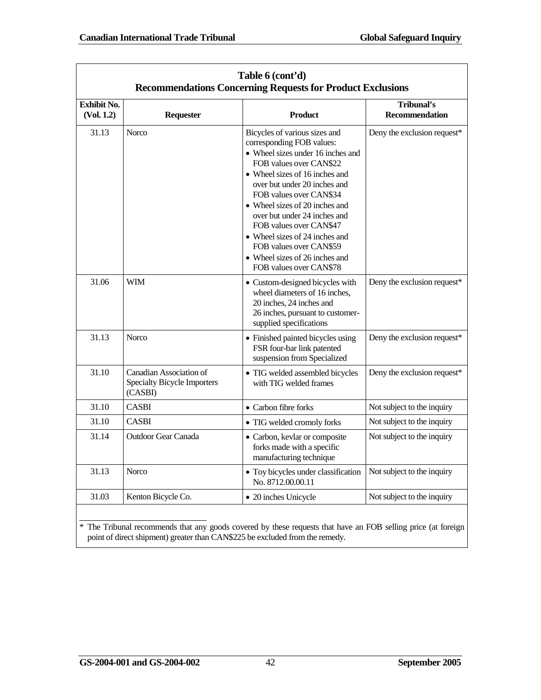| <b>Exhibit No.</b><br><b>Product</b><br>(Vol. 1.2)<br>Requester<br><b>Norco</b><br>Bicycles of various sizes and<br>31.13<br>corresponding FOB values:<br>• Wheel sizes under 16 inches and<br>FOB values over CAN\$22<br>• Wheel sizes of 16 inches and<br>over but under 20 inches and<br>FOB values over CAN\$34<br>• Wheel sizes of 20 inches and<br>over but under 24 inches and<br>FOB values over CAN\$47<br>• Wheel sizes of 24 inches and<br>FOB values over CAN\$59<br>• Wheel sizes of 26 inches and<br>FOB values over CAN\$78<br>31.06<br><b>WIM</b><br>• Custom-designed bicycles with<br>wheel diameters of 16 inches,<br>20 inches, 24 inches and<br>26 inches, pursuant to customer-<br>supplied specifications<br>31.13<br><b>Norco</b><br>• Finished painted bicycles using<br>FSR four-bar link patented<br>suspension from Specialized<br>31.10<br>Canadian Association of<br>• TIG welded assembled bicycles<br><b>Specialty Bicycle Importers</b><br>with TIG welded frames<br>(CASBI)<br>31.10<br><b>CASBI</b><br>• Carbon fibre forks<br>31.10<br><b>CASBI</b><br>• TIG welded cromoly forks | Table 6 (cont'd)<br><b>Recommendations Concerning Requests for Product Exclusions</b> |                            |                               |                                     |  |  |
|-----------------------------------------------------------------------------------------------------------------------------------------------------------------------------------------------------------------------------------------------------------------------------------------------------------------------------------------------------------------------------------------------------------------------------------------------------------------------------------------------------------------------------------------------------------------------------------------------------------------------------------------------------------------------------------------------------------------------------------------------------------------------------------------------------------------------------------------------------------------------------------------------------------------------------------------------------------------------------------------------------------------------------------------------------------------------------------------------------------------------|---------------------------------------------------------------------------------------|----------------------------|-------------------------------|-------------------------------------|--|--|
|                                                                                                                                                                                                                                                                                                                                                                                                                                                                                                                                                                                                                                                                                                                                                                                                                                                                                                                                                                                                                                                                                                                       |                                                                                       |                            |                               | Tribunal's<br><b>Recommendation</b> |  |  |
|                                                                                                                                                                                                                                                                                                                                                                                                                                                                                                                                                                                                                                                                                                                                                                                                                                                                                                                                                                                                                                                                                                                       |                                                                                       |                            |                               | Deny the exclusion request*         |  |  |
|                                                                                                                                                                                                                                                                                                                                                                                                                                                                                                                                                                                                                                                                                                                                                                                                                                                                                                                                                                                                                                                                                                                       |                                                                                       |                            |                               | Deny the exclusion request*         |  |  |
|                                                                                                                                                                                                                                                                                                                                                                                                                                                                                                                                                                                                                                                                                                                                                                                                                                                                                                                                                                                                                                                                                                                       |                                                                                       |                            |                               | Deny the exclusion request*         |  |  |
|                                                                                                                                                                                                                                                                                                                                                                                                                                                                                                                                                                                                                                                                                                                                                                                                                                                                                                                                                                                                                                                                                                                       |                                                                                       |                            |                               | Deny the exclusion request*         |  |  |
|                                                                                                                                                                                                                                                                                                                                                                                                                                                                                                                                                                                                                                                                                                                                                                                                                                                                                                                                                                                                                                                                                                                       |                                                                                       |                            |                               | Not subject to the inquiry          |  |  |
|                                                                                                                                                                                                                                                                                                                                                                                                                                                                                                                                                                                                                                                                                                                                                                                                                                                                                                                                                                                                                                                                                                                       |                                                                                       |                            |                               | Not subject to the inquiry          |  |  |
| forks made with a specific<br>manufacturing technique                                                                                                                                                                                                                                                                                                                                                                                                                                                                                                                                                                                                                                                                                                                                                                                                                                                                                                                                                                                                                                                                 | 31.14                                                                                 | <b>Outdoor Gear Canada</b> | • Carbon, kevlar or composite | Not subject to the inquiry          |  |  |
| 31.13<br>Norco<br>• Toy bicycles under classification<br>No. 8712.00.00.11                                                                                                                                                                                                                                                                                                                                                                                                                                                                                                                                                                                                                                                                                                                                                                                                                                                                                                                                                                                                                                            |                                                                                       |                            |                               | Not subject to the inquiry          |  |  |
| 31.03<br>Kenton Bicycle Co.<br>• 20 inches Unicycle                                                                                                                                                                                                                                                                                                                                                                                                                                                                                                                                                                                                                                                                                                                                                                                                                                                                                                                                                                                                                                                                   |                                                                                       |                            |                               | Not subject to the inquiry          |  |  |

\* The Tribunal recommends that any goods covered by these requests that have an FOB selling price (at foreign point of direct shipment) greater than CAN\$225 be excluded from the remedy.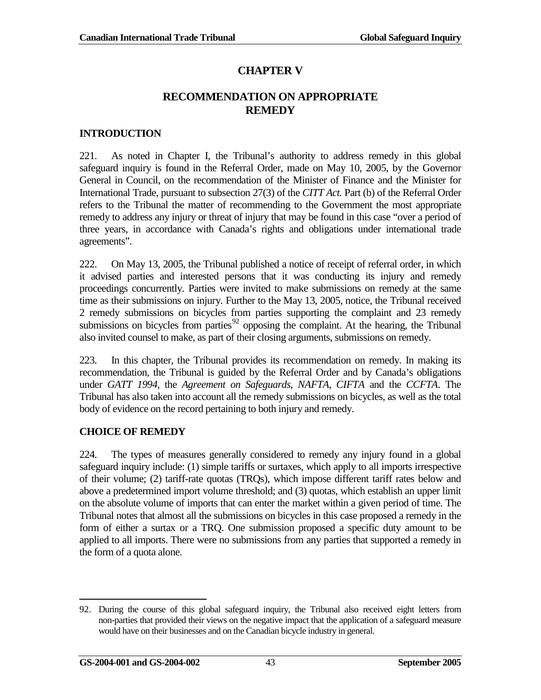# **CHAPTER V**

### **RECOMMENDATION ON APPROPRIATE REMEDY**

### <span id="page-52-1"></span><span id="page-52-0"></span>**INTRODUCTION**

221. As noted in Chapter I, the Tribunal's authority to address remedy in this global safeguard inquiry is found in the Referral Order, made on May 10, 2005, by the Governor General in Council, on the recommendation of the Minister of Finance and the Minister for International Trade, pursuant to subsection 27(3) of the *CITT Act.* Part (b) of the Referral Order refers to the Tribunal the matter of recommending to the Government the most appropriate remedy to address any injury or threat of injury that may be found in this case "over a period of three years, in accordance with Canada's rights and obligations under international trade agreements".

222. On May 13, 2005, the Tribunal published a notice of receipt of referral order, in which it advised parties and interested persons that it was conducting its injury and remedy proceedings concurrently. Parties were invited to make submissions on remedy at the same time as their submissions on injury. Further to the May 13, 2005, notice, the Tribunal received 2 remedy submissions on bicycles from parties supporting the complaint and 23 remedy submissions on bicycles from parties<sup>[92](#page-52-3)</sup> opposing the complaint. At the hearing, the Tribunal also invited counsel to make, as part of their closing arguments, submissions on remedy.

223. In this chapter, the Tribunal provides its recommendation on remedy. In making its recommendation, the Tribunal is guided by the Referral Order and by Canada's obligations under *GATT 1994*, the *Agreement on Safeguards*, *NAFTA*, *CIFTA* and the *CCFTA*. The Tribunal has also taken into account all the remedy submissions on bicycles, as well as the total body of evidence on the record pertaining to both injury and remedy.

### <span id="page-52-2"></span>**CHOICE OF REMEDY**

224. The types of measures generally considered to remedy any injury found in a global safeguard inquiry include: (1) simple tariffs or surtaxes, which apply to all imports irrespective of their volume; (2) tariff-rate quotas (TRQs), which impose different tariff rates below and above a predetermined import volume threshold; and (3) quotas, which establish an upper limit on the absolute volume of imports that can enter the market within a given period of time. The Tribunal notes that almost all the submissions on bicycles in this case proposed a remedy in the form of either a surtax or a TRQ. One submission proposed a specific duty amount to be applied to all imports. There were no submissions from any parties that supported a remedy in the form of a quota alone.

<span id="page-52-3"></span><sup>92.</sup> During the course of this global safeguard inquiry, the Tribunal also received eight letters from non-parties that provided their views on the negative impact that the application of a safeguard measure would have on their businesses and on the Canadian bicycle industry in general.  $\overline{a}$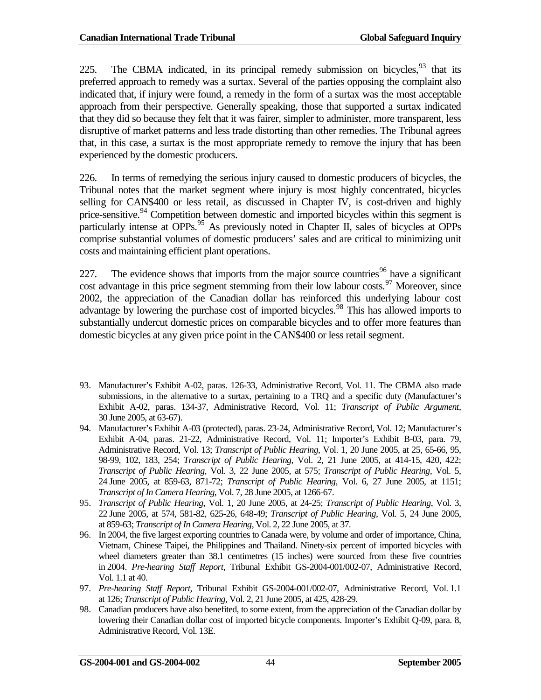225. The CBMA indicated, in its principal remedy submission on bicycles,  $93$  that its preferred approach to remedy was a surtax. Several of the parties opposing the complaint also indicated that, if injury were found, a remedy in the form of a surtax was the most acceptable approach from their perspective. Generally speaking, those that supported a surtax indicated that they did so because they felt that it was fairer, simpler to administer, more transparent, less disruptive of market patterns and less trade distorting than other remedies. The Tribunal agrees that, in this case, a surtax is the most appropriate remedy to remove the injury that has been experienced by the domestic producers.

226. In terms of remedying the serious injury caused to domestic producers of bicycles, the Tribunal notes that the market segment where injury is most highly concentrated, bicycles selling for CAN\$400 or less retail, as discussed in Chapter IV, is cost-driven and highly price-sensitive.<sup>[94](#page-53-1)</sup> Competition between domestic and imported bicycles within this segment is particularly intense at OPPs.<sup>[95](#page-53-2)</sup> As previously noted in Chapter II, sales of bicycles at OPPs comprise substantial volumes of domestic producers' sales and are critical to minimizing unit costs and maintaining efficient plant operations.

227. The evidence shows that imports from the major source countries<sup>[96](#page-53-3)</sup> have a significant cost advantage in this price segment stemming from their low labour costs.<sup>[97](#page-53-4)</sup> Moreover, since 2002, the appreciation of the Canadian dollar has reinforced this underlying labour cost advantage by lowering the purchase cost of imported bicycles.<sup>[98](#page-53-5)</sup> This has allowed imports to substantially undercut domestic prices on comparable bicycles and to offer more features than domestic bicycles at any given price point in the CAN\$400 or less retail segment.

<span id="page-53-0"></span><sup>93.</sup> Manufacturer's Exhibit A-02, paras. 126-33, Administrative Record, Vol. 11. The CBMA also made submissions, in the alternative to a surtax, pertaining to a TRQ and a specific duty (Manufacturer's Exhibit A-02, paras. 134-37, Administrative Record, Vol. 11; *Transcript of Public Argument*, 30 June 2005, at 63-67).  $\overline{a}$ 

<span id="page-53-1"></span><sup>94.</sup> Manufacturer's Exhibit A-03 (protected), paras. 23-24, Administrative Record, Vol. 12; Manufacturer's Exhibit A-04, paras. 21-22, Administrative Record, Vol. 11; Importer's Exhibit B-03, para. 79, Administrative Record, Vol. 13; *Transcript of Public Hearing*, Vol. 1, 20 June 2005, at 25, 65-66, 95, 98-99, 102, 183, 254; *Transcript of Public Hearing*, Vol. 2, 21 June 2005, at 414-15, 420, 422; *Transcript of Public Hearing*, Vol. 3, 22 June 2005, at 575; *Transcript of Public Hearing*, Vol. 5, 24 June 2005, at 859-63, 871-72; *Transcript of Public Hearing*, Vol. 6, 27 June 2005, at 1151; *Transcript of In Camera Hearing*, Vol. 7, 28 June 2005, at 1266-67.

<span id="page-53-2"></span><sup>95.</sup> *Transcript of Public Hearing*, Vol. 1, 20 June 2005, at 24-25; *Transcript of Public Hearing*, Vol. 3, 22 June 2005, at 574, 581-82, 625-26, 648-49; *Transcript of Public Hearing*, Vol. 5, 24 June 2005, at 859-63; *Transcript of In Camera Hearing*, Vol. 2, 22 June 2005, at 37.

<span id="page-53-3"></span><sup>96.</sup> In 2004, the five largest exporting countries to Canada were, by volume and order of importance, China, Vietnam, Chinese Taipei, the Philippines and Thailand. Ninety-six percent of imported bicycles with wheel diameters greater than 38.1 centimetres (15 inches) were sourced from these five countries in 2004. *Pre-hearing Staff Report*, Tribunal Exhibit GS-2004-001/002-07, Administrative Record, Vol. 1.1 at 40.

<span id="page-53-4"></span><sup>97.</sup> *Pre-hearing Staff Report*, Tribunal Exhibit GS-2004-001/002-07, Administrative Record, Vol. 1.1 at 126; *Transcript of Public Hearing*, Vol. 2, 21 June 2005, at 425, 428-29.

<span id="page-53-5"></span><sup>98.</sup> Canadian producers have also benefited, to some extent, from the appreciation of the Canadian dollar by lowering their Canadian dollar cost of imported bicycle components. Importer's Exhibit Q-09, para. 8, Administrative Record, Vol. 13E.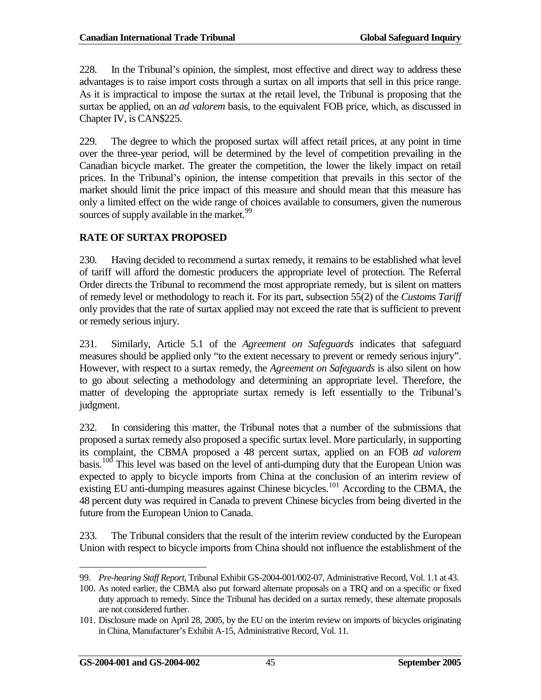228. In the Tribunal's opinion, the simplest, most effective and direct way to address these advantages is to raise import costs through a surtax on all imports that sell in this price range. As it is impractical to impose the surtax at the retail level, the Tribunal is proposing that the surtax be applied, on an *ad valorem* basis, to the equivalent FOB price, which, as discussed in Chapter IV, is CAN\$225.

229. The degree to which the proposed surtax will affect retail prices, at any point in time over the three-year period, will be determined by the level of competition prevailing in the Canadian bicycle market. The greater the competition, the lower the likely impact on retail prices. In the Tribunal's opinion, the intense competition that prevails in this sector of the market should limit the price impact of this measure and should mean that this measure has only a limited effect on the wide range of choices available to consumers, given the numerous sources of supply available in the market.<sup>[99](#page-54-1)</sup>

### <span id="page-54-0"></span>**RATE OF SURTAX PROPOSED**

230. Having decided to recommend a surtax remedy, it remains to be established what level of tariff will afford the domestic producers the appropriate level of protection. The Referral Order directs the Tribunal to recommend the most appropriate remedy, but is silent on matters of remedy level or methodology to reach it. For its part, subsection 55(2) of the *Customs Tariff* only provides that the rate of surtax applied may not exceed the rate that is sufficient to prevent or remedy serious injury.

231. Similarly, Article 5.1 of the *Agreement on Safeguards* indicates that safeguard measures should be applied only "to the extent necessary to prevent or remedy serious injury". However, with respect to a surtax remedy, the *Agreement on Safeguards* is also silent on how to go about selecting a methodology and determining an appropriate level. Therefore, the matter of developing the appropriate surtax remedy is left essentially to the Tribunal's judgment.

232. In considering this matter, the Tribunal notes that a number of the submissions that proposed a surtax remedy also proposed a specific surtax level. More particularly, in supporting its complaint, the CBMA proposed a 48 percent surtax, applied on an FOB *ad valorem* basis.[100](#page-54-2) This level was based on the level of anti-dumping duty that the European Union was expected to apply to bicycle imports from China at the conclusion of an interim review of existing EU anti-dumping measures against Chinese bicycles.<sup>[101](#page-54-3)</sup> According to the CBMA, the 48 percent duty was required in Canada to prevent Chinese bicycles from being diverted in the future from the European Union to Canada.

233. The Tribunal considers that the result of the interim review conducted by the European Union with respect to bicycle imports from China should not influence the establishment of the

<span id="page-54-1"></span><sup>99.</sup> *Pre-hearing Staff Report*, Tribunal Exhibit GS-2004-001/002-07, Administrative Record, Vol. 1.1 at 43.  $\overline{a}$ 

<span id="page-54-2"></span><sup>100.</sup> As noted earlier, the CBMA also put forward alternate proposals on a TRQ and on a specific or fixed duty approach to remedy. Since the Tribunal has decided on a surtax remedy, these alternate proposals are not considered further.

<span id="page-54-3"></span><sup>101.</sup> Disclosure made on April 28, 2005, by the EU on the interim review on imports of bicycles originating in China, Manufacturer's Exhibit A-15, Administrative Record, Vol. 11.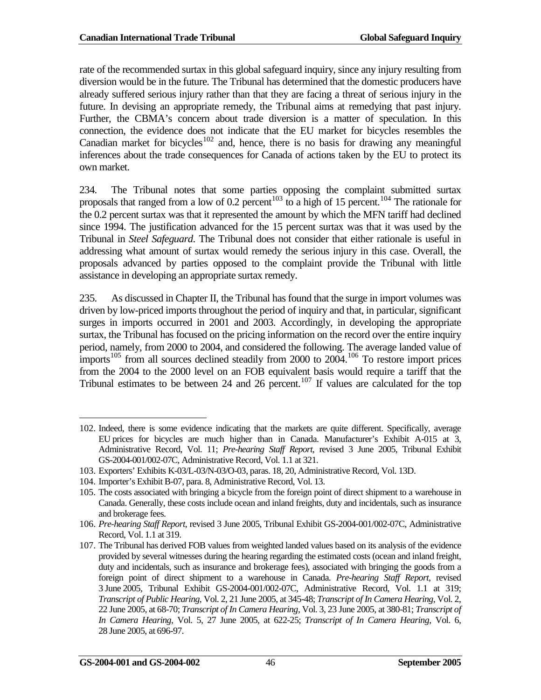rate of the recommended surtax in this global safeguard inquiry, since any injury resulting from diversion would be in the future. The Tribunal has determined that the domestic producers have already suffered serious injury rather than that they are facing a threat of serious injury in the future. In devising an appropriate remedy, the Tribunal aims at remedying that past injury. Further, the CBMA's concern about trade diversion is a matter of speculation. In this connection, the evidence does not indicate that the EU market for bicycles resembles the Canadian market for bicycles<sup>[102](#page-55-0)</sup> and, hence, there is no basis for drawing any meaningful inferences about the trade consequences for Canada of actions taken by the EU to protect its own market.

234. The Tribunal notes that some parties opposing the complaint submitted surtax proposals that ranged from a low of 0.2 percent<sup>[103](#page-55-1)</sup> to a high of 15 percent.<sup>[104](#page-55-2)</sup> The rationale for the 0.2 percent surtax was that it represented the amount by which the MFN tariff had declined since 1994. The justification advanced for the 15 percent surtax was that it was used by the Tribunal in *Steel Safeguard*. The Tribunal does not consider that either rationale is useful in addressing what amount of surtax would remedy the serious injury in this case. Overall, the proposals advanced by parties opposed to the complaint provide the Tribunal with little assistance in developing an appropriate surtax remedy.

235. As discussed in Chapter II, the Tribunal has found that the surge in import volumes was driven by low-priced imports throughout the period of inquiry and that, in particular, significant surges in imports occurred in 2001 and 2003. Accordingly, in developing the appropriate surtax, the Tribunal has focused on the pricing information on the record over the entire inquiry period, namely, from 2000 to 2004, and considered the following. The average landed value of imports<sup>[105](#page-55-3)</sup> from all sources declined steadily from 2000 to  $2004$ .<sup>[106](#page-55-4)</sup> To restore import prices from the 2004 to the 2000 level on an FOB equivalent basis would require a tariff that the Tribunal estimates to be between 24 and 26 percent.<sup>[107](#page-55-5)</sup> If values are calculated for the top

 $\overline{a}$ 

<span id="page-55-0"></span><sup>102.</sup> Indeed, there is some evidence indicating that the markets are quite different. Specifically, average EU prices for bicycles are much higher than in Canada. Manufacturer's Exhibit A-015 at 3, Administrative Record, Vol. 11; *Pre-hearing Staff Report*, revised 3 June 2005, Tribunal Exhibit GS-2004-001/002-07C, Administrative Record, Vol. 1.1 at 321.

<span id="page-55-1"></span><sup>103.</sup> Exporters' Exhibits K-03/L-03/N-03/O-03, paras. 18, 20, Administrative Record, Vol. 13D.

<span id="page-55-2"></span><sup>104.</sup> Importer's Exhibit B-07, para. 8, Administrative Record, Vol. 13.

<span id="page-55-3"></span><sup>105.</sup> The costs associated with bringing a bicycle from the foreign point of direct shipment to a warehouse in Canada. Generally, these costs include ocean and inland freights, duty and incidentals, such as insurance and brokerage fees.

<span id="page-55-4"></span><sup>106.</sup> *Pre-hearing Staff Report*, revised 3 June 2005, Tribunal Exhibit GS-2004-001/002-07C, Administrative Record, Vol. 1.1 at 319.

<span id="page-55-5"></span><sup>107.</sup> The Tribunal has derived FOB values from weighted landed values based on its analysis of the evidence provided by several witnesses during the hearing regarding the estimated costs (ocean and inland freight, duty and incidentals, such as insurance and brokerage fees), associated with bringing the goods from a foreign point of direct shipment to a warehouse in Canada. *Pre-hearing Staff Report*, revised 3 June 2005, Tribunal Exhibit GS-2004-001/002-07C, Administrative Record, Vol. 1.1 at 319; *Transcript of Public Hearing*, Vol. 2, 21 June 2005, at 345-48; *Transcript of In Camera Hearing*, Vol. 2, 22 June 2005, at 68-70; *Transcript of In Camera Hearing*, Vol. 3, 23 June 2005, at 380-81; *Transcript of In Camera Hearing*, Vol. 5, 27 June 2005, at 622-25; *Transcript of In Camera Hearing*, Vol. 6, 28 June 2005, at 696-97.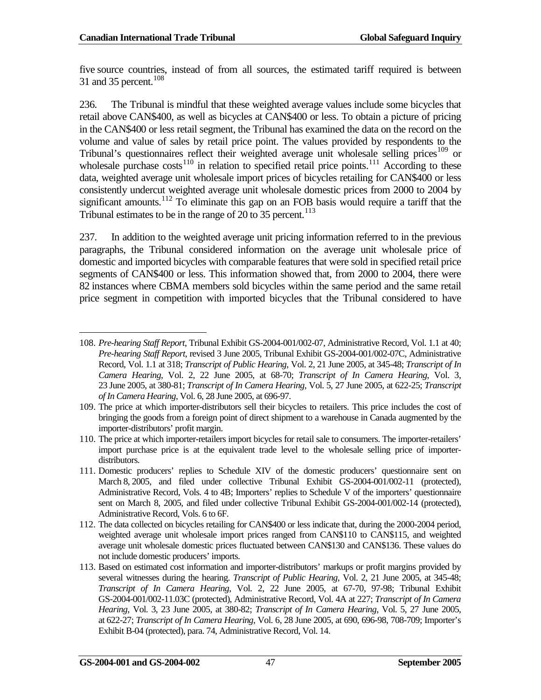five source countries, instead of from all sources, the estimated tariff required is between 31 and 35 percent.<sup>[108](#page-56-0)</sup>

236. The Tribunal is mindful that these weighted average values include some bicycles that retail above CAN\$400, as well as bicycles at CAN\$400 or less. To obtain a picture of pricing in the CAN\$400 or less retail segment, the Tribunal has examined the data on the record on the volume and value of sales by retail price point. The values provided by respondents to the Tribunal's questionnaires reflect their weighted average unit wholesale selling prices<sup>[109](#page-56-1)</sup> or wholesale purchase  $costs<sup>110</sup>$  $costs<sup>110</sup>$  $costs<sup>110</sup>$  in relation to specified retail price points.<sup>[111](#page-56-3)</sup> According to these data, weighted average unit wholesale import prices of bicycles retailing for CAN\$400 or less consistently undercut weighted average unit wholesale domestic prices from 2000 to 2004 by significant amounts.<sup>[112](#page-56-4)</sup> To eliminate this gap on an FOB basis would require a tariff that the Tribunal estimates to be in the range of  $20 \text{ to } 35$  percent.<sup>[113](#page-56-5)</sup>

237. In addition to the weighted average unit pricing information referred to in the previous paragraphs, the Tribunal considered information on the average unit wholesale price of domestic and imported bicycles with comparable features that were sold in specified retail price segments of CAN\$400 or less. This information showed that, from 2000 to 2004, there were 82 instances where CBMA members sold bicycles within the same period and the same retail price segment in competition with imported bicycles that the Tribunal considered to have

<span id="page-56-0"></span><sup>108.</sup> *Pre-hearing Staff Report*, Tribunal Exhibit GS-2004-001/002-07, Administrative Record, Vol. 1.1 at 40; *Pre-hearing Staff Report*, revised 3 June 2005, Tribunal Exhibit GS-2004-001/002-07C, Administrative Record, Vol. 1.1 at 318; *Transcript of Public Hearing*, Vol. 2, 21 June 2005, at 345-48; *Transcript of In Camera Hearing*, Vol. 2, 22 June 2005, at 68-70; *Transcript of In Camera Hearing*, Vol. 3, 23 June 2005, at 380-81; *Transcript of In Camera Hearing*, Vol. 5, 27 June 2005, at 622-25; *Transcript of In Camera Hearing*, Vol. 6, 28 June 2005, at 696-97.  $\overline{a}$ 

<span id="page-56-1"></span><sup>109.</sup> The price at which importer-distributors sell their bicycles to retailers. This price includes the cost of bringing the goods from a foreign point of direct shipment to a warehouse in Canada augmented by the importer-distributors' profit margin.

<span id="page-56-2"></span><sup>110.</sup> The price at which importer-retailers import bicycles for retail sale to consumers. The importer-retailers' import purchase price is at the equivalent trade level to the wholesale selling price of importerdistributors.

<span id="page-56-3"></span><sup>111.</sup> Domestic producers' replies to Schedule XIV of the domestic producers' questionnaire sent on March 8, 2005, and filed under collective Tribunal Exhibit GS-2004-001/002-11 (protected), Administrative Record, Vols. 4 to 4B; Importers' replies to Schedule V of the importers' questionnaire sent on March 8, 2005, and filed under collective Tribunal Exhibit GS-2004-001/002-14 (protected), Administrative Record, Vols. 6 to 6F.

<span id="page-56-4"></span><sup>112.</sup> The data collected on bicycles retailing for CAN\$400 or less indicate that, during the 2000-2004 period, weighted average unit wholesale import prices ranged from CAN\$110 to CAN\$115, and weighted average unit wholesale domestic prices fluctuated between CAN\$130 and CAN\$136. These values do not include domestic producers' imports.

<span id="page-56-5"></span><sup>113.</sup> Based on estimated cost information and importer-distributors' markups or profit margins provided by several witnesses during the hearing. *Transcript of Public Hearing*, Vol. 2, 21 June 2005, at 345-48; *Transcript of In Camera Hearing*, Vol. 2, 22 June 2005, at 67-70, 97-98; Tribunal Exhibit GS-2004-001/002-11.03C (protected), Administrative Record, Vol. 4A at 227; *Transcript of In Camera Hearing*, Vol. 3, 23 June 2005, at 380-82; *Transcript of In Camera Hearing*, Vol. 5, 27 June 2005, at 622-27; *Transcript of In Camera Hearing*, Vol. 6, 28 June 2005, at 690, 696-98, 708-709; Importer's Exhibit B-04 (protected), para. 74, Administrative Record, Vol. 14.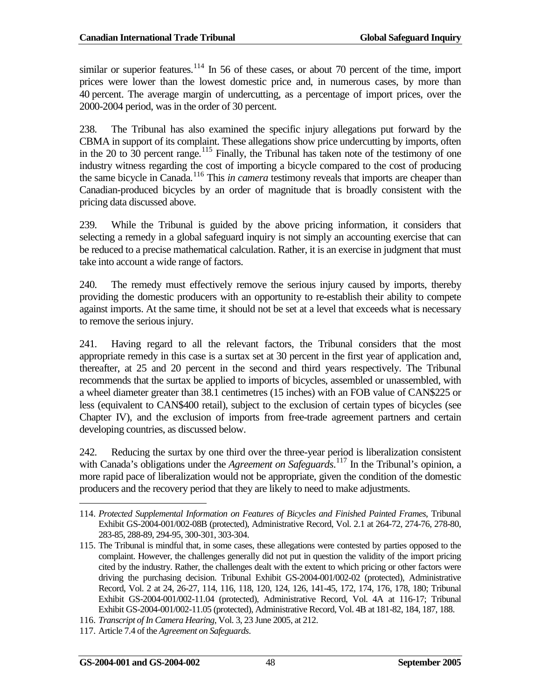similar or superior features.<sup>[114](#page-57-0)</sup> In 56 of these cases, or about 70 percent of the time, import prices were lower than the lowest domestic price and, in numerous cases, by more than 40 percent. The average margin of undercutting, as a percentage of import prices, over the 2000-2004 period, was in the order of 30 percent.

238. The Tribunal has also examined the specific injury allegations put forward by the CBMA in support of its complaint. These allegations show price undercutting by imports, often in the 20 to  $30$  percent range.<sup>[115](#page-57-1)</sup> Finally, the Tribunal has taken note of the testimony of one industry witness regarding the cost of importing a bicycle compared to the cost of producing the same bicycle in Canada.<sup>[116](#page-57-2)</sup> This *in camera* testimony reveals that imports are cheaper than Canadian-produced bicycles by an order of magnitude that is broadly consistent with the pricing data discussed above.

239. While the Tribunal is guided by the above pricing information, it considers that selecting a remedy in a global safeguard inquiry is not simply an accounting exercise that can be reduced to a precise mathematical calculation. Rather, it is an exercise in judgment that must take into account a wide range of factors.

240. The remedy must effectively remove the serious injury caused by imports, thereby providing the domestic producers with an opportunity to re-establish their ability to compete against imports. At the same time, it should not be set at a level that exceeds what is necessary to remove the serious injury.

241. Having regard to all the relevant factors, the Tribunal considers that the most appropriate remedy in this case is a surtax set at 30 percent in the first year of application and, thereafter, at 25 and 20 percent in the second and third years respectively. The Tribunal recommends that the surtax be applied to imports of bicycles, assembled or unassembled, with a wheel diameter greater than 38.1 centimetres (15 inches) with an FOB value of CAN\$225 or less (equivalent to CAN\$400 retail), subject to the exclusion of certain types of bicycles (see Chapter IV), and the exclusion of imports from free-trade agreement partners and certain developing countries, as discussed below.

242. Reducing the surtax by one third over the three-year period is liberalization consistent with Canada's obligations under the *Agreement on Safeguards*.<sup>[117](#page-57-3)</sup> In the Tribunal's opinion, a more rapid pace of liberalization would not be appropriate, given the condition of the domestic producers and the recovery period that they are likely to need to make adjustments.

 $\overline{a}$ 

<span id="page-57-0"></span><sup>114.</sup> *Protected Supplemental Information on Features of Bicycles and Finished Painted Frames*, Tribunal Exhibit GS-2004-001/002-08B (protected), Administrative Record, Vol. 2.1 at 264-72, 274-76, 278-80, 283-85, 288-89, 294-95, 300-301, 303-304.

<span id="page-57-1"></span><sup>115.</sup> The Tribunal is mindful that, in some cases, these allegations were contested by parties opposed to the complaint. However, the challenges generally did not put in question the validity of the import pricing cited by the industry. Rather, the challenges dealt with the extent to which pricing or other factors were driving the purchasing decision. Tribunal Exhibit GS-2004-001/002-02 (protected), Administrative Record, Vol. 2 at 24, 26-27, 114, 116, 118, 120, 124, 126, 141-45, 172, 174, 176, 178, 180; Tribunal Exhibit GS-2004-001/002-11.04 (protected), Administrative Record, Vol. 4A at 116-17; Tribunal Exhibit GS-2004-001/002-11.05 (protected), Administrative Record, Vol. 4B at 181-82, 184, 187, 188.

<span id="page-57-2"></span><sup>116.</sup> *Transcript of In Camera Hearing*, Vol. 3, 23 June 2005, at 212.

<span id="page-57-3"></span><sup>117.</sup> Article 7.4 of the *Agreement on Safeguards*.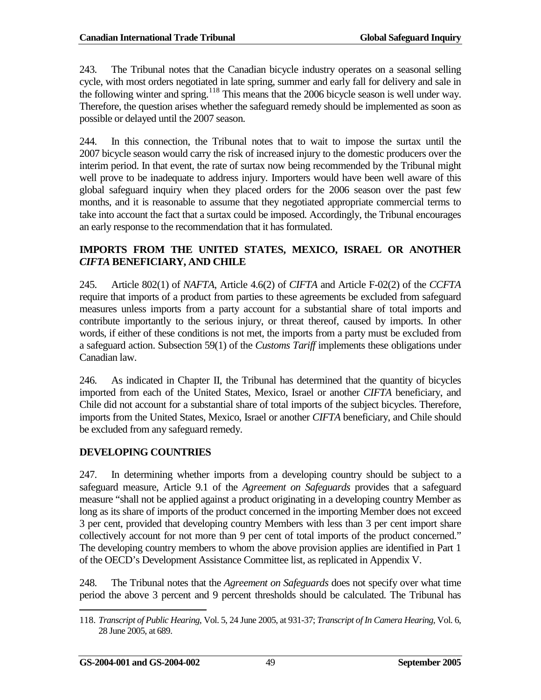243. The Tribunal notes that the Canadian bicycle industry operates on a seasonal selling cycle, with most orders negotiated in late spring, summer and early fall for delivery and sale in the following winter and spring.<sup>[118](#page-58-2)</sup> This means that the 2006 bicycle season is well under way. Therefore, the question arises whether the safeguard remedy should be implemented as soon as possible or delayed until the 2007 season.

244. In this connection, the Tribunal notes that to wait to impose the surtax until the 2007 bicycle season would carry the risk of increased injury to the domestic producers over the interim period. In that event, the rate of surtax now being recommended by the Tribunal might well prove to be inadequate to address injury. Importers would have been well aware of this global safeguard inquiry when they placed orders for the 2006 season over the past few months, and it is reasonable to assume that they negotiated appropriate commercial terms to take into account the fact that a surtax could be imposed. Accordingly, the Tribunal encourages an early response to the recommendation that it has formulated.

### <span id="page-58-0"></span>**IMPORTS FROM THE UNITED STATES, MEXICO, ISRAEL OR ANOTHER**  *CIFTA* **BENEFICIARY, AND CHILE**

245. Article 802(1) of *NAFTA*, Article 4.6(2) of *CIFTA* and Article F-02(2) of the *CCFTA* require that imports of a product from parties to these agreements be excluded from safeguard measures unless imports from a party account for a substantial share of total imports and contribute importantly to the serious injury, or threat thereof, caused by imports. In other words, if either of these conditions is not met, the imports from a party must be excluded from a safeguard action. Subsection 59(1) of the *Customs Tariff* implements these obligations under Canadian law.

246. As indicated in Chapter II, the Tribunal has determined that the quantity of bicycles imported from each of the United States, Mexico, Israel or another *CIFTA* beneficiary, and Chile did not account for a substantial share of total imports of the subject bicycles. Therefore, imports from the United States, Mexico, Israel or another *CIFTA* beneficiary, and Chile should be excluded from any safeguard remedy.

### <span id="page-58-1"></span>**DEVELOPING COUNTRIES**

247. In determining whether imports from a developing country should be subject to a safeguard measure, Article 9.1 of the *Agreement on Safeguards* provides that a safeguard measure "shall not be applied against a product originating in a developing country Member as long as its share of imports of the product concerned in the importing Member does not exceed 3 per cent, provided that developing country Members with less than 3 per cent import share collectively account for not more than 9 per cent of total imports of the product concerned." The developing country members to whom the above provision applies are identified in Part 1 of the OECD's Development Assistance Committee list, as replicated in Appendix V.

248. The Tribunal notes that the *Agreement on Safeguards* does not specify over what time period the above 3 percent and 9 percent thresholds should be calculated. The Tribunal has

<span id="page-58-2"></span><sup>118.</sup> *Transcript of Public Hearing*, Vol. 5, 24 June 2005, at 931-37; *Transcript of In Camera Hearing*, Vol. 6, 28 June 2005, at 689.  $\overline{a}$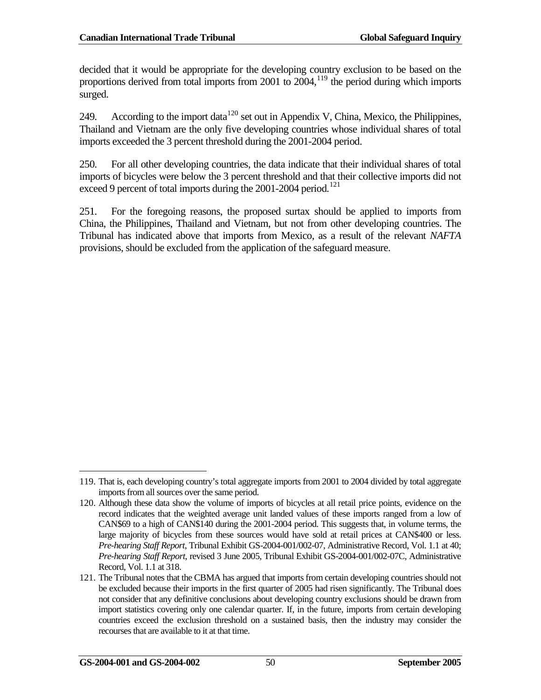decided that it would be appropriate for the developing country exclusion to be based on the proportions derived from total imports from 2001 to 2004,[119](#page-59-0) the period during which imports surged.

249. According to the import data<sup>[120](#page-59-1)</sup> set out in Appendix V, China, Mexico, the Philippines, Thailand and Vietnam are the only five developing countries whose individual shares of total imports exceeded the 3 percent threshold during the 2001-2004 period.

250. For all other developing countries, the data indicate that their individual shares of total imports of bicycles were below the 3 percent threshold and that their collective imports did not exceed 9 percent of total imports during the 2001-2004 period.<sup>[121](#page-59-2)</sup>

251. For the foregoing reasons, the proposed surtax should be applied to imports from China, the Philippines, Thailand and Vietnam, but not from other developing countries. The Tribunal has indicated above that imports from Mexico, as a result of the relevant *NAFTA* provisions, should be excluded from the application of the safeguard measure.

<span id="page-59-0"></span><sup>119.</sup> That is, each developing country's total aggregate imports from 2001 to 2004 divided by total aggregate imports from all sources over the same period.  $\overline{a}$ 

<span id="page-59-1"></span><sup>120.</sup> Although these data show the volume of imports of bicycles at all retail price points, evidence on the record indicates that the weighted average unit landed values of these imports ranged from a low of CAN\$69 to a high of CAN\$140 during the 2001-2004 period. This suggests that, in volume terms, the large majority of bicycles from these sources would have sold at retail prices at CAN\$400 or less. *Pre-hearing Staff Report*, Tribunal Exhibit GS-2004-001/002-07, Administrative Record, Vol. 1.1 at 40; *Pre-hearing Staff Report*, revised 3 June 2005, Tribunal Exhibit GS-2004-001/002-07C, Administrative Record, Vol. 1.1 at 318.

<span id="page-59-2"></span><sup>121.</sup> The Tribunal notes that the CBMA has argued that imports from certain developing countries should not be excluded because their imports in the first quarter of 2005 had risen significantly. The Tribunal does not consider that any definitive conclusions about developing country exclusions should be drawn from import statistics covering only one calendar quarter. If, in the future, imports from certain developing countries exceed the exclusion threshold on a sustained basis, then the industry may consider the recourses that are available to it at that time.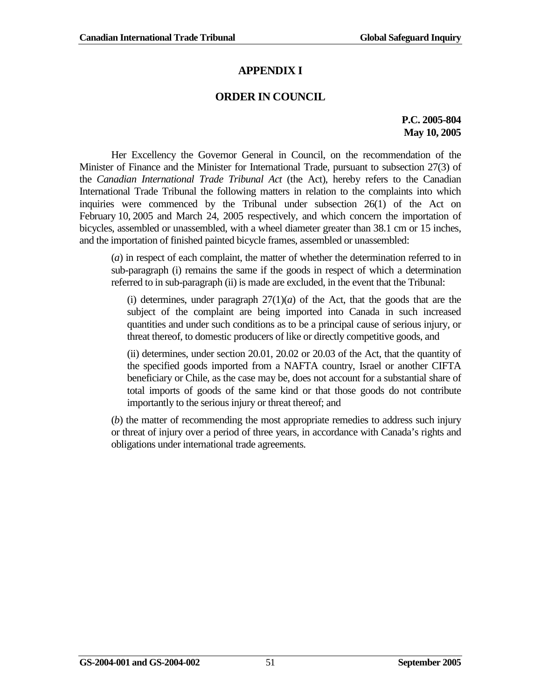# **APPENDIX I**

### **ORDER IN COUNCIL**

### **P.C. 2005-804 May 10, 2005**

Her Excellency the Governor General in Council, on the recommendation of the Minister of Finance and the Minister for International Trade, pursuant to subsection 27(3) of the *Canadian International Trade Tribunal Act* (the Act), hereby refers to the Canadian International Trade Tribunal the following matters in relation to the complaints into which inquiries were commenced by the Tribunal under subsection 26(1) of the Act on February 10, 2005 and March 24, 2005 respectively, and which concern the importation of bicycles, assembled or unassembled, with a wheel diameter greater than 38.1 cm or 15 inches, and the importation of finished painted bicycle frames, assembled or unassembled:

(*a*) in respect of each complaint, the matter of whether the determination referred to in sub-paragraph (i) remains the same if the goods in respect of which a determination referred to in sub-paragraph (ii) is made are excluded, in the event that the Tribunal:

(i) determines, under paragraph  $27(1)(a)$  of the Act, that the goods that are the subject of the complaint are being imported into Canada in such increased quantities and under such conditions as to be a principal cause of serious injury, or threat thereof, to domestic producers of like or directly competitive goods, and

(ii) determines, under section 20.01, 20.02 or 20.03 of the Act, that the quantity of the specified goods imported from a NAFTA country, Israel or another CIFTA beneficiary or Chile, as the case may be, does not account for a substantial share of total imports of goods of the same kind or that those goods do not contribute importantly to the serious injury or threat thereof; and

(*b*) the matter of recommending the most appropriate remedies to address such injury or threat of injury over a period of three years, in accordance with Canada's rights and obligations under international trade agreements.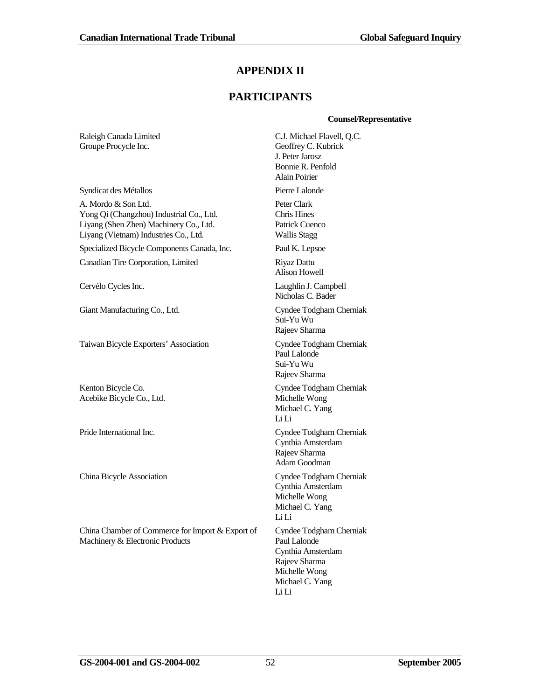### **APPENDIX II**

### **PARTICIPANTS**

#### **Counsel/Representative**

Raleigh Canada Limited Groupe Procycle Inc. C.J. Michael Flavell, Q.C. Geoffrey C. Kubrick J. Peter Jarosz Bonnie R. Penfold Alain Poirier Syndicat des Métallos Pierre Lalonde A. Mordo & Son Ltd. Yong Qi (Changzhou) Industrial Co., Ltd. Liyang (Shen Zhen) Machinery Co., Ltd. Liyang (Vietnam) Industries Co., Ltd. Peter Clark Chris Hines Patrick Cuenco Wallis Stagg Specialized Bicycle Components Canada, Inc. Paul K. Lepsoe Canadian Tire Corporation, Limited Riyaz Dattu Alison Howell Cervélo Cycles Inc. Laughlin J. Campbell Nicholas C. Bader Giant Manufacturing Co., Ltd. Cyndee Todgham Cherniak Sui-Yu Wu Rajeev Sharma Taiwan Bicycle Exporters' Association Cyndee Todgham Cherniak Paul Lalonde Sui-Yu Wu Rajeev Sharma Kenton Bicycle Co. Acebike Bicycle Co., Ltd. Cyndee Todgham Cherniak Michelle Wong Michael C. Yang Li Li Pride International Inc. Cyndee Todgham Cherniak Cynthia Amsterdam Rajeev Sharma Adam Goodman China Bicycle Association Cyndee Todgham Cherniak Cynthia Amsterdam Michelle Wong Michael C. Yang Li Li China Chamber of Commerce for Import & Export of Machinery & Electronic Products Cyndee Todgham Cherniak Paul Lalonde Cynthia Amsterdam Rajeev Sharma Michelle Wong Michael C. Yang Li Li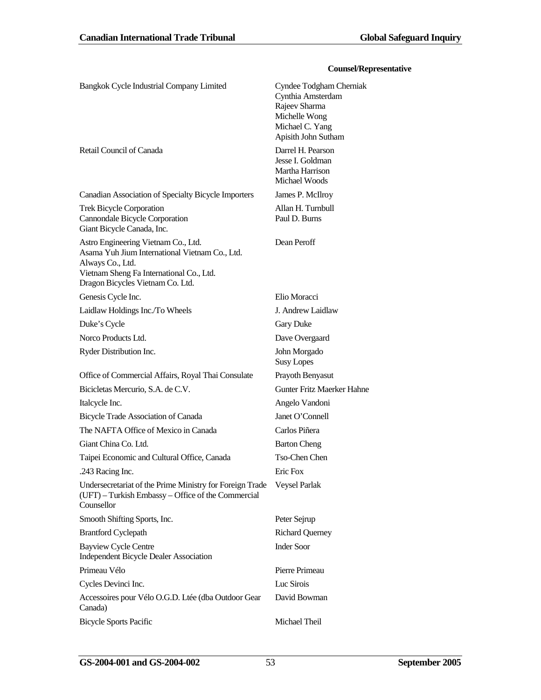#### **Counsel/Representative**

| Bangkok Cycle Industrial Company Limited                                                                                                                                                  | Cyndee Todgham Cherniak<br>Cynthia Amsterdam<br>Rajeev Sharma<br>Michelle Wong<br>Michael C. Yang<br>Apisith John Sutham |
|-------------------------------------------------------------------------------------------------------------------------------------------------------------------------------------------|--------------------------------------------------------------------------------------------------------------------------|
| Retail Council of Canada                                                                                                                                                                  | Darrel H. Pearson<br>Jesse I. Goldman<br>Martha Harrison<br>Michael Woods                                                |
| Canadian Association of Specialty Bicycle Importers                                                                                                                                       | James P. McIlroy                                                                                                         |
| <b>Trek Bicycle Corporation</b><br>Cannondale Bicycle Corporation<br>Giant Bicycle Canada, Inc.                                                                                           | Allan H. Turnbull<br>Paul D. Burns                                                                                       |
| Astro Engineering Vietnam Co., Ltd.<br>Asama Yuh Jium International Vietnam Co., Ltd.<br>Always Co., Ltd.<br>Vietnam Sheng Fa International Co., Ltd.<br>Dragon Bicycles Vietnam Co. Ltd. | Dean Peroff                                                                                                              |
| Genesis Cycle Inc.                                                                                                                                                                        | Elio Moracci                                                                                                             |
| Laidlaw Holdings Inc./To Wheels                                                                                                                                                           | J. Andrew Laidlaw                                                                                                        |
| Duke's Cycle                                                                                                                                                                              | <b>Gary Duke</b>                                                                                                         |
| Norco Products Ltd.                                                                                                                                                                       | Dave Overgaard                                                                                                           |
| Ryder Distribution Inc.                                                                                                                                                                   | John Morgado<br><b>Susy Lopes</b>                                                                                        |
| Office of Commercial Affairs, Royal Thai Consulate                                                                                                                                        | Prayoth Benyasut                                                                                                         |
| Bicicletas Mercurio, S.A. de C.V.                                                                                                                                                         | <b>Gunter Fritz Maerker Hahne</b>                                                                                        |
| Italcycle Inc.                                                                                                                                                                            | Angelo Vandoni                                                                                                           |
| Bicycle Trade Association of Canada                                                                                                                                                       | Janet O'Connell                                                                                                          |
| The NAFTA Office of Mexico in Canada                                                                                                                                                      | Carlos Piñera                                                                                                            |
| Giant China Co. Ltd.                                                                                                                                                                      | <b>Barton Cheng</b>                                                                                                      |
| Taipei Economic and Cultural Office, Canada                                                                                                                                               | Tso-Chen Chen                                                                                                            |
| .243 Racing Inc.                                                                                                                                                                          | Eric Fox                                                                                                                 |
| Undersecretariat of the Prime Ministry for Foreign Trade<br>(UFT) – Turkish Embassy – Office of the Commercial<br>Counsellor                                                              | Veysel Parlak                                                                                                            |
| Smooth Shifting Sports, Inc.                                                                                                                                                              | Peter Sejrup                                                                                                             |
| <b>Brantford Cyclepath</b>                                                                                                                                                                | <b>Richard Querney</b>                                                                                                   |
| <b>Bayview Cycle Centre</b><br><b>Independent Bicycle Dealer Association</b>                                                                                                              | <b>Inder Soor</b>                                                                                                        |
| Primeau Vélo                                                                                                                                                                              | Pierre Primeau                                                                                                           |
| Cycles Devinci Inc.                                                                                                                                                                       | Luc Sirois                                                                                                               |
| Accessoires pour Vélo O.G.D. Ltée (dba Outdoor Gear<br>Canada)                                                                                                                            | David Bowman                                                                                                             |
| <b>Bicycle Sports Pacific</b>                                                                                                                                                             | Michael Theil                                                                                                            |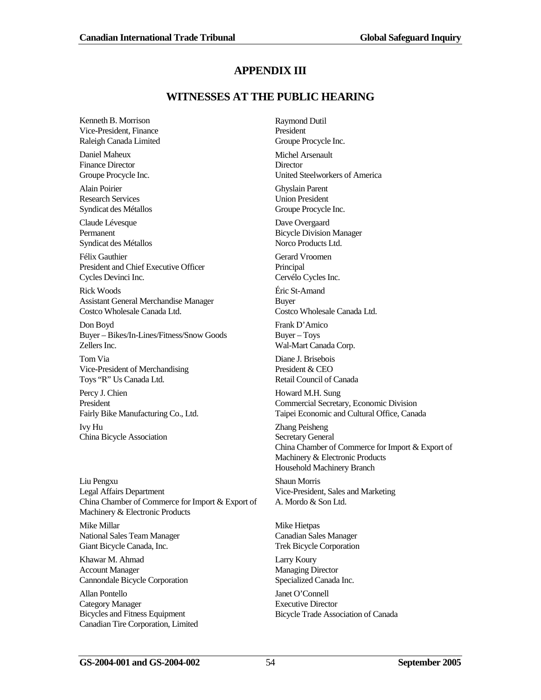### **APPENDIX III**

### **WITNESSES AT THE PUBLIC HEARING**

Kenneth B. Morrison Vice-President, Finance Raleigh Canada Limited

Daniel Maheux Finance Director Groupe Procycle Inc.

Alain Poirier Research Services Syndicat des Métallos

Claude Lévesque Permanent Syndicat des Métallos

Félix Gauthier President and Chief Executive Officer Cycles Devinci Inc.

Rick Woods Assistant General Merchandise Manager Costco Wholesale Canada Ltd.

Don Boyd Buyer – Bikes/In-Lines/Fitness/Snow Goods Zellers Inc.

Tom Via Vice-President of Merchandising Toys "R" Us Canada Ltd.

Percy J. Chien President Fairly Bike Manufacturing Co., Ltd.

Ivy Hu China Bicycle Association

Liu Pengxu Legal Affairs Department China Chamber of Commerce for Import & Export of Machinery & Electronic Products

Mike Millar National Sales Team Manager Giant Bicycle Canada, Inc.

Khawar M. Ahmad Account Manager Cannondale Bicycle Corporation

Allan Pontello Category Manager Bicycles and Fitness Equipment Canadian Tire Corporation, Limited

Raymond Dutil President Groupe Procycle Inc. Michel Arsenault **Director** United Steelworkers of America Ghyslain Parent Union President Groupe Procycle Inc.

Dave Overgaard Bicycle Division Manager Norco Products Ltd.

Gerard Vroomen Principal Cervélo Cycles Inc.

Éric St-Amand Buyer Costco Wholesale Canada Ltd.

Frank D'Amico Buyer – Toys Wal-Mart Canada Corp.

Diane J. Brisebois President & CEO Retail Council of Canada

Howard M.H. Sung Commercial Secretary, Economic Division Taipei Economic and Cultural Office, Canada

Zhang Peisheng Secretary General China Chamber of Commerce for Import & Export of Machinery & Electronic Products Household Machinery Branch

Shaun Morris Vice-President, Sales and Marketing A. Mordo & Son Ltd.

Mike Hietpas Canadian Sales Manager Trek Bicycle Corporation

Larry Koury Managing Director Specialized Canada Inc.

Janet O'Connell Executive Director Bicycle Trade Association of Canada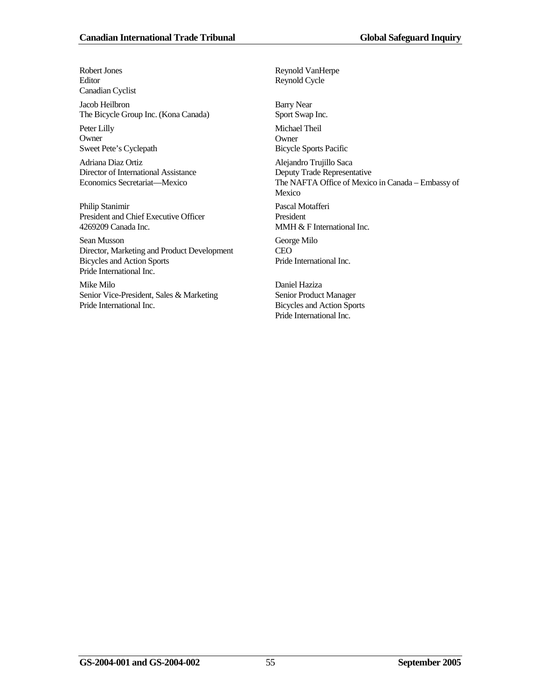Robert Jones Editor Canadian Cyclist

Jacob Heilbron The Bicycle Group Inc. (Kona Canada)

Peter Lilly **Owner** Sweet Pete's Cyclepath

Adriana Diaz Ortiz Director of International Assistance Economics Secretariat—Mexico

Philip Stanimir President and Chief Executive Officer 4269209 Canada Inc.

Sean Musson Director, Marketing and Product Development Bicycles and Action Sports Pride International Inc.

Mike Milo Senior Vice-President, Sales & Marketing Pride International Inc.

Reynold Cycle Barry Near Sport Swap Inc. Michael Theil **Owner** Bicycle Sports Pacific Alejandro Trujillo Saca Deputy Trade Representative The NAFTA Office of Mexico in Canada – Embassy of Mexico Pascal Motafferi President MMH & F International Inc. George Milo CEO Pride International Inc.

Daniel Haziza Senior Product Manager Bicycles and Action Sports Pride International Inc.

Reynold VanHerpe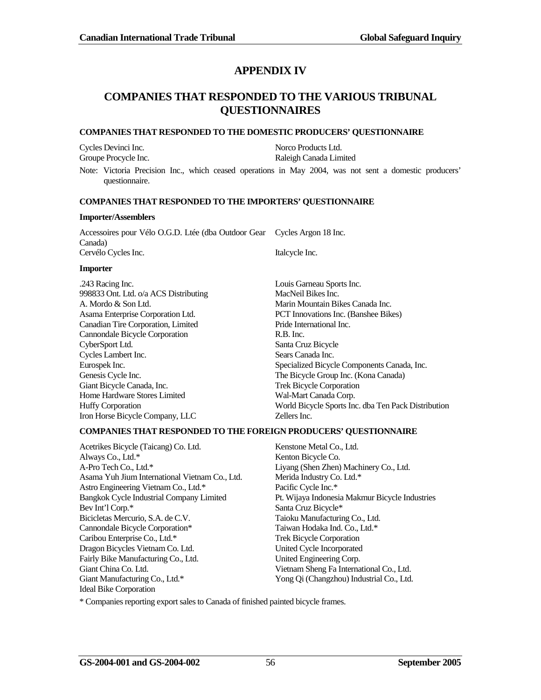### **APPENDIX IV**

### **COMPANIES THAT RESPONDED TO THE VARIOUS TRIBUNAL QUESTIONNAIRES**

#### **COMPANIES THAT RESPONDED TO THE DOMESTIC PRODUCERS' QUESTIONNAIRE**

Cycles Devinci Inc. Norco Products Ltd.

Raleigh Canada Limited

Note: Victoria Precision Inc., which ceased operations in May 2004, was not sent a domestic producers' questionnaire.

#### **COMPANIES THAT RESPONDED TO THE IMPORTERS' QUESTIONNAIRE**

#### **Importer/Assemblers**

| Importer                                                                 |                |
|--------------------------------------------------------------------------|----------------|
| Cervélo Cycles Inc.                                                      | Italcycle Inc. |
| Canada)                                                                  |                |
| Accessoires pour Vélo O.G.D. Ltée (dba Outdoor Gear Cycles Argon 18 Inc. |                |

.243 Racing Inc. Louis Garneau Sports Inc. 998833 Ont. Ltd. o/a ACS Distributing MacNeil Bikes Inc. A. Mordo & Son Ltd. Marin Mountain Bikes Canada Inc. Asama Enterprise Corporation Ltd. PCT Innovations Inc. (Banshee Bikes) Canadian Tire Corporation, Limited Pride International Inc. Cannondale Bicycle Corporation R.B. Inc. CyberSport Ltd. Santa Cruz Bicycle Cycles Lambert Inc. Sears Canada Inc. Genesis Cycle Inc. The Bicycle Group Inc. (Kona Canada) Giant Bicycle Canada, Inc. Trek Bicycle Corporation Home Hardware Stores Limited Wal-Mart Canada Corp. Iron Horse Bicycle Company, LLC Zellers Inc.

Eurospek Inc. Specialized Bicycle Components Canada, Inc. Huffy Corporation World Bicycle Sports Inc. dba Ten Pack Distribution

#### **COMPANIES THAT RESPONDED TO THE FOREIGN PRODUCERS' QUESTIONNAIRE**

Acetrikes Bicycle (Taicang) Co. Ltd. Kenstone Metal Co., Ltd. Always Co., Ltd.\* Kenton Bicycle Co. A-Pro Tech Co., Ltd.\* Liyang (Shen Zhen) Machinery Co., Ltd. Asama Yuh Jium International Vietnam Co., Ltd. Merida Industry Co. Ltd.\* Astro Engineering Vietnam Co., Ltd.\* Pacific Cycle Inc.\* Bangkok Cycle Industrial Company Limited Pt. Wijaya Indonesia Makmur Bicycle Industries Bev Int'l Corp.\* Santa Cruz Bicycle\* Bicicletas Mercurio, S.A. de C.V. Taioku Manufacturing Co., Ltd. Cannondale Bicycle Corporation\* Taiwan Hodaka Ind. Co., Ltd.\* Caribou Enterprise Co., Ltd.\* Trek Bicycle Corporation Dragon Bicycles Vietnam Co. Ltd. United Cycle Incorporated Fairly Bike Manufacturing Co., Ltd. United Engineering Corp. Giant China Co. Ltd. Vietnam Sheng Fa International Co., Ltd. Giant Manufacturing Co., Ltd.\* Yong Qi (Changzhou) Industrial Co., Ltd. Ideal Bike Corporation

\* Companies reporting export sales to Canada of finished painted bicycle frames.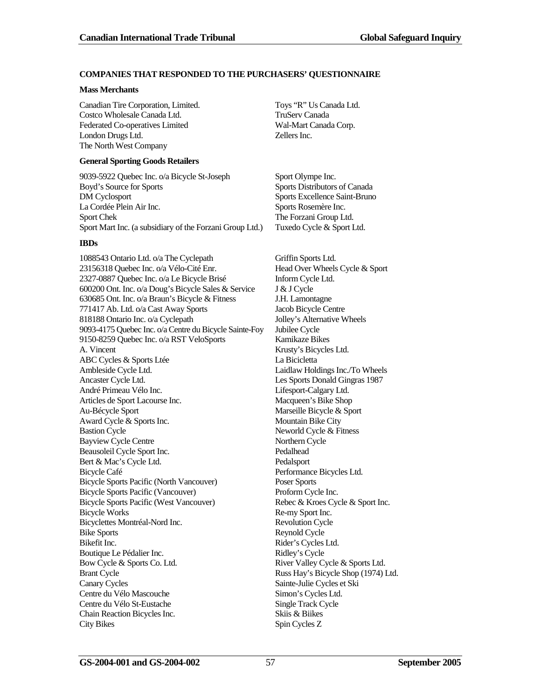#### **COMPANIES THAT RESPONDED TO THE PURCHASERS' QUESTIONNAIRE**

#### **Mass Merchants**

Canadian Tire Corporation, Limited. Toys "R" Us Canada Ltd. Costco Wholesale Canada Ltd. TruServ Canada Federated Co-operatives Limited Wal-Mart Canada Corp. London Drugs Ltd. Zellers Inc. The North West Company

#### **General Sporting Goods Retailers**

9039-5922 Quebec Inc. o/a Bicycle St-Joseph Sport Olympe Inc. Boyd's Source for Sports Sports Distributors of Canada DM Cyclosport Sports Excellence Saint-Bruno La Cordée Plein Air Inc. Sports Rosemère Inc. Sport Chek The Forzani Group Ltd. Sport Mart Inc. (a subsidiary of the Forzani Group Ltd.) Tuxedo Cycle & Sport Ltd.

#### **IBDs**

1088543 Ontario Ltd. o/a The Cyclepath Griffin Sports Ltd. 23156318 Quebec Inc. o/a Vélo-Cité Enr. Head Over Wheels Cycle & Sport 2327-0887 Quebec Inc. o/a Le Bicycle Brisé Inform Cycle Ltd. 600200 Ont. Inc. o/a Doug's Bicycle Sales & Service J & J Cycle 630685 Ont. Inc. o/a Braun's Bicycle & Fitness J.H. Lamontagne 771417 Ab. Ltd. o/a Cast Away Sports Jacob Bicycle Centre 818188 Ontario Inc. o/a Cyclepath Jolley's Alternative Wheels 9093-4175 Quebec Inc. o/a Centre du Bicycle Sainte-Foy Jubilee Cycle 9150-8259 Quebec Inc. o/a RST VeloSports Kamikaze Bikes A. Vincent Krusty's Bicycles Ltd. ABC Cycles & Sports Ltée La Bicicletta Ambleside Cycle Ltd. Laidlaw Holdings Inc./To Wheels Ancaster Cycle Ltd. Les Sports Donald Gingras 1987 André Primeau Vélo Inc. Lifesport-Calgary Ltd. Articles de Sport Lacourse Inc. Macqueen's Bike Shop Au-Bécycle Sport Marseille Bicycle & Sport Award Cycle & Sports Inc. Mountain Bike City Bastion Cycle 2018 Cycle & Fitness Bayview Cycle Centre<br>
Beausoleil Cycle Sport Inc.<br>
Pedalhead<br>
Pedalhead Beausoleil Cycle Sport Inc. Bert & Mac's Cycle Ltd. Pedalsport Bicycle Café Performance Bicycles Ltd. Bicycle Sports Pacific (North Vancouver) Poser Sports Bicycle Sports Pacific (Vancouver) Proform Cycle Inc. Bicycle Sports Pacific (West Vancouver) Rebec & Kroes Cycle & Sport Inc. Bicycle Works Re-my Sport Inc. Bicyclettes Montréal-Nord Inc. Revolution Cycle Bike Sports Reynold Cycle Bikefit Inc. Rider's Cycles Ltd. Boutique Le Pédalier Inc. <br>
Ridley's Cycle Bow Cycle & Sports Co. Ltd. River Valley Cycle & Sports Ltd. Brant Cycle **Russ Hay's Bicycle Shop (1974)** Ltd. Canary Cycles Sainte-Julie Cycles et Ski Centre du Vélo Mascouche Simon's Cycles Ltd. Centre du Vélo St-Eustache Single Track Cycle Chain Reaction Bicycles Inc. Skiis & Biikes City Bikes Spin Cycles Z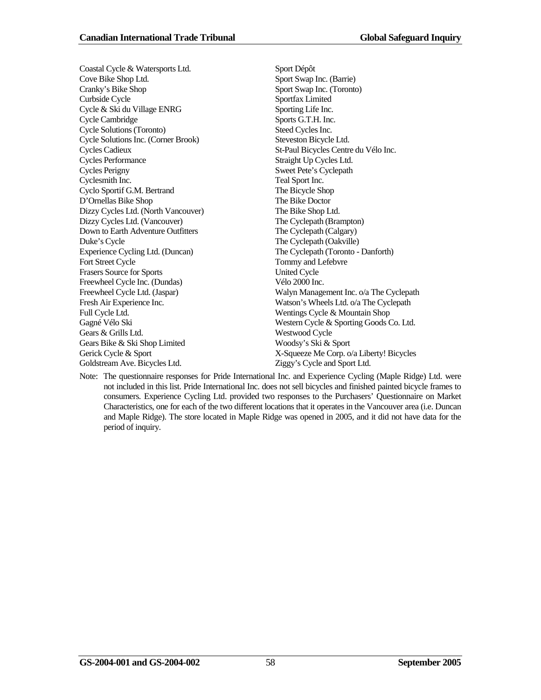Coastal Cycle & Watersports Ltd. Sport Dépôt Cove Bike Shop Ltd. Sport Swap Inc. (Barrie) Cranky's Bike Shop Sport Swap Inc. (Toronto) Curbside Cycle Sportfax Limited Cycle & Ski du Village ENRG Sporting Life Inc. Cycle Cambridge Sports G.T.H. Inc. Cycle Solutions (Toronto) Steed Cycles Inc. Cycle Solutions Inc. (Corner Brook) Steveston Bicycle Ltd. Cycles Cadieux St-Paul Bicycles Centre du Vélo Inc. Cycles Performance Straight Up Cycles Ltd. Cycles Perigny Sweet Pete's Cyclepath Cyclesmith Inc. Teal Sport Inc. Cyclo Sportif G.M. Bertrand The Bicycle Shop D'Ornellas Bike Shop The Bike Doctor Dizzy Cycles Ltd. (North Vancouver) The Bike Shop Ltd. Dizzy Cycles Ltd. (Vancouver) The Cyclepath (Brampton) Down to Earth Adventure Outfitters The Cyclepath (Calgary) Duke's Cycle The Cyclepath (Oakville) Experience Cycling Ltd. (Duncan) The Cyclepath (Toronto - Danforth)<br>
Fort Street Cycle Tommy and Lefebvre Frasers Source for Sports United Cycle Freewheel Cycle Inc. (Dundas) Vélo 2000 Inc. Fresh Air Experience Inc. Watson's Wheels Ltd. o/a The Cyclepath Full Cycle Ltd. Wentings Cycle & Mountain Shop Gagné Vélo Ski Western Cycle & Sporting Goods Co. Ltd. Gears & Grills Ltd. Westwood Cycle Gears Bike & Ski Shop Limited Woodsy's Ski & Sport Gerick Cycle & Sport X-Squeeze Me Corp. o/a Liberty! Bicycles Goldstream Ave. Bicycles Ltd.  $\qquad \qquad$  Ziggy's Cycle and Sport Ltd.

Tommy and Lefebvre Freewheel Cycle Ltd. (Jaspar) Walyn Management Inc. o/a The Cyclepath

Note: The questionnaire responses for Pride International Inc. and Experience Cycling (Maple Ridge) Ltd. were not included in this list. Pride International Inc. does not sell bicycles and finished painted bicycle frames to consumers. Experience Cycling Ltd. provided two responses to the Purchasers' Questionnaire on Market Characteristics, one for each of the two different locations that it operates in the Vancouver area (i.e. Duncan and Maple Ridge). The store located in Maple Ridge was opened in 2005, and it did not have data for the period of inquiry.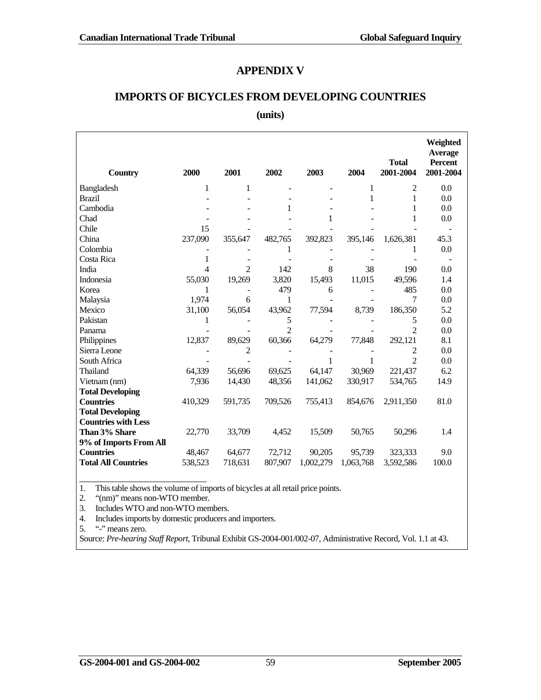### **APPENDIX V**

# **IMPORTS OF BICYCLES FROM DEVELOPING COUNTRIES**

#### **(units)**

| <b>Country</b>             | 2000    | 2001           | 2002           | 2003      | 2004      | <b>Total</b><br>2001-2004 | Weighted<br><b>Average</b><br><b>Percent</b><br>2001-2004 |
|----------------------------|---------|----------------|----------------|-----------|-----------|---------------------------|-----------------------------------------------------------|
| Bangladesh                 | 1       | 1              |                |           | 1         | 2                         | 0.0                                                       |
| <b>Brazil</b>              |         |                |                |           | 1         | 1                         | 0.0                                                       |
| Cambodia                   |         |                | 1              |           |           | 1                         | 0.0                                                       |
| Chad                       |         |                |                | 1         |           | 1                         | 0.0                                                       |
| Chile                      | 15      |                |                |           |           |                           |                                                           |
| China                      | 237,090 | 355,647        | 482,765        | 392,823   | 395,146   | 1,626,381                 | 45.3                                                      |
| Colombia                   |         |                | 1              |           |           | 1                         | 0.0                                                       |
| Costa Rica                 | 1       |                |                |           |           |                           |                                                           |
| India                      | 4       | $\overline{2}$ | 142            | 8         | 38        | 190                       | 0.0                                                       |
| Indonesia                  | 55,030  | 19,269         | 3,820          | 15,493    | 11,015    | 49,596                    | 1.4                                                       |
| Korea                      | 1       |                | 479            | 6         |           | 485                       | 0.0                                                       |
| Malaysia                   | 1,974   | 6              | 1              |           |           | 7                         | 0.0                                                       |
| Mexico                     | 31,100  | 56,054         | 43,962         | 77,594    | 8,739     | 186,350                   | 5.2                                                       |
| Pakistan                   | 1       |                | 5              |           |           | 5                         | 0.0                                                       |
| Panama                     |         |                | $\overline{2}$ |           |           | $\overline{2}$            | 0.0                                                       |
| Philippines                | 12,837  | 89,629         | 60,366         | 64,279    | 77,848    | 292,121                   | 8.1                                                       |
| Sierra Leone               |         | 2              |                |           |           | 2                         | 0.0                                                       |
| South Africa               |         |                |                | 1         | 1         | $\overline{2}$            | 0.0                                                       |
| Thailand                   | 64,339  | 56,696         | 69,625         | 64,147    | 30,969    | 221,437                   | 6.2                                                       |
| Vietnam (nm)               | 7,936   | 14,430         | 48,356         | 141,062   | 330,917   | 534,765                   | 14.9                                                      |
| <b>Total Developing</b>    |         |                |                |           |           |                           |                                                           |
| <b>Countries</b>           | 410,329 | 591,735        | 709,526        | 755,413   | 854,676   | 2,911,350                 | 81.0                                                      |
| <b>Total Developing</b>    |         |                |                |           |           |                           |                                                           |
| <b>Countries with Less</b> |         |                |                |           |           |                           |                                                           |
| Than 3% Share              | 22,770  | 33,709         | 4,452          | 15,509    | 50,765    | 50,296                    | 1.4                                                       |
| 9% of Imports From All     |         |                |                |           |           |                           |                                                           |
| <b>Countries</b>           | 48,467  | 64,677         | 72,712         | 90,205    | 95,739    | 323,333                   | 9.0                                                       |
| <b>Total All Countries</b> | 538,523 | 718,631        | 807,907        | 1,002,279 | 1,063,768 | 3,592,586                 | 100.0                                                     |

1. This table shows the volume of imports of bicycles at all retail price points.

2. "(nm)" means non-WTO member.

3. Includes WTO and non-WTO members.

4. Includes imports by domestic producers and importers.

5. "-" means zero.

Source: *Pre-hearing Staff Report*, Tribunal Exhibit GS-2004-001/002-07, Administrative Record, Vol. 1.1 at 43.